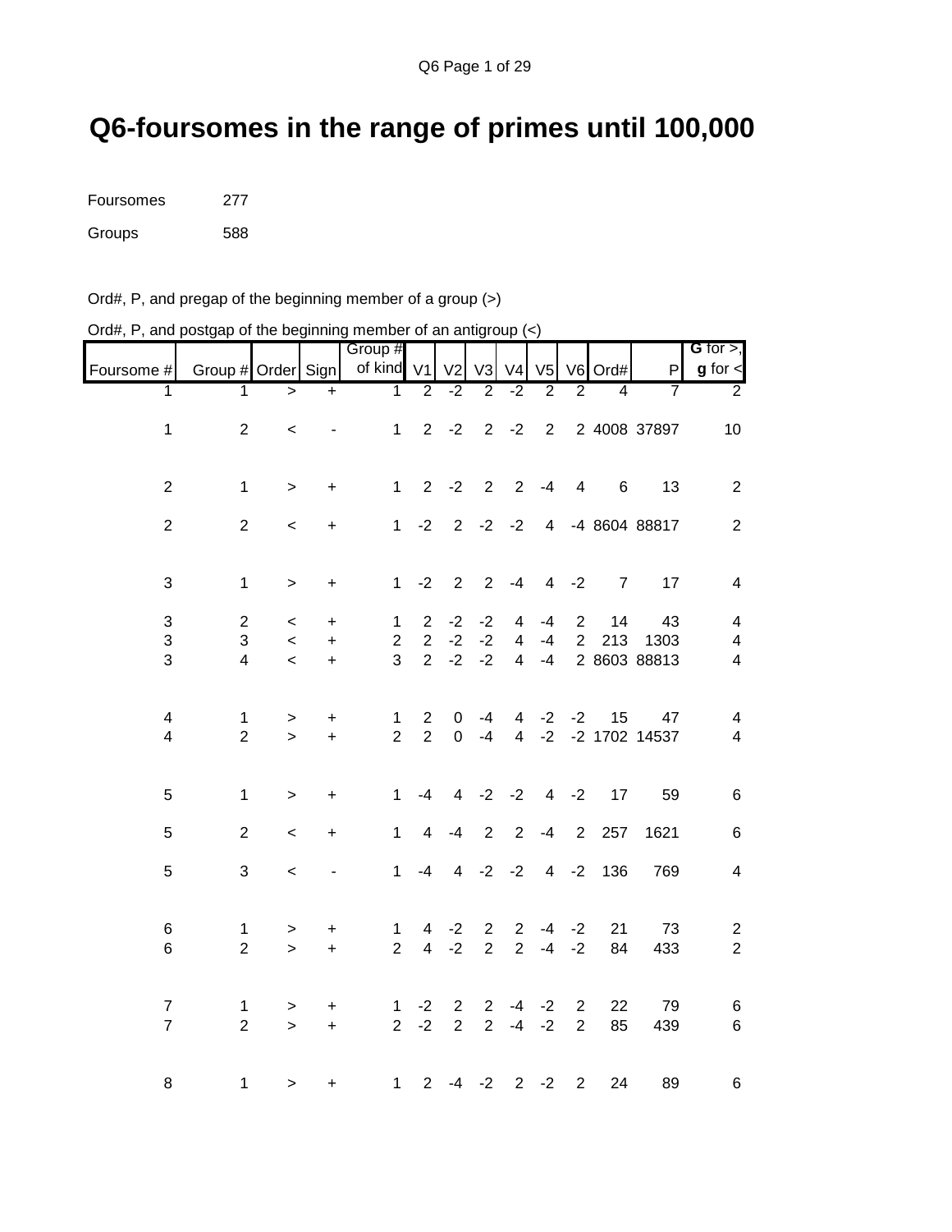## **Q6-foursomes in the range of primes until 100,000**

| Foursomes | 277 |
|-----------|-----|
| Groups    | 588 |

Ord#, P, and pregap of the beginning member of a group (>)

| $O(dH, F)$ , and posigap or the beginning member or an analytoup $(\leq)$ |                    |                          |                          |                       |                |                |                |                |                |                |                |               |                              |
|---------------------------------------------------------------------------|--------------------|--------------------------|--------------------------|-----------------------|----------------|----------------|----------------|----------------|----------------|----------------|----------------|---------------|------------------------------|
| Foursome #                                                                | Group # Order Sign |                          |                          | Group #<br>of kind V1 |                | V <sub>2</sub> | V3             | V <sub>4</sub> | V <sub>5</sub> |                | V6 Ord#        | P             | G for $>$ ,<br>$g$ for $\lt$ |
| 1                                                                         | 1                  | $\geq$                   | $\ddot{}$                | $\mathbf{1}$          | $\overline{2}$ | $-2$           | $\overline{2}$ | $-2$           | $\overline{2}$ | $\overline{2}$ | 4              | 7             | $\overline{2}$               |
|                                                                           |                    |                          |                          |                       |                |                |                |                |                |                |                |               |                              |
| $\mathbf 1$                                                               | $\overline{2}$     | $\,<\,$                  | $\overline{\phantom{a}}$ | $\mathbf{1}$          | $2^{\circ}$    | $-2$           |                | $2 -2$         | $\overline{2}$ |                |                | 2 4008 37897  | 10                           |
| $\mathbf 2$                                                               | $\mathbf 1$        | $\,>$                    | +                        | $\mathbf 1$           | $2^{\circ}$    | $-2$           |                | $2 \quad 2$    | $-4$           | $\overline{4}$ | 6              | 13            | $\overline{2}$               |
| $\overline{c}$                                                            | 2                  | $\,<$                    | +                        | $\mathbf 1$           | $-2$           | 2              | $-2$           | $-2$           | $\overline{4}$ |                |                | -4 8604 88817 | $\overline{c}$               |
| 3                                                                         | $\mathbf{1}$       | $\mathbf{L}$             | $\ddot{}$                | $\mathbf{1}$          | $-2$           | 2              | $\overline{2}$ | $-4$           | $\overline{4}$ | $-2$           | $\overline{7}$ | 17            | $\overline{4}$               |
| 3                                                                         | $\overline{c}$     | $\,<\,$                  | $\ddot{}$                | $\mathbf 1$           | $\overline{2}$ | $-2$           | $-2$           | 4              | $-4$           | $\overline{2}$ | 14             | 43            | $\overline{4}$               |
| 3                                                                         | 3                  | $\prec$                  | $\ddot{}$                | $\overline{2}$        | $\overline{2}$ | $-2$           | $-2$           | $\overline{4}$ | $-4$           | $\overline{2}$ | 213            | 1303          | 4                            |
| 3                                                                         | $\overline{4}$     | $\overline{\phantom{a}}$ | $\ddot{}$                | 3                     | $\overline{2}$ | $-2$           | $-2$           | $\overline{4}$ | $-4$           |                |                | 2 8603 88813  | $\overline{\mathcal{A}}$     |
| 4                                                                         | $\mathbf{1}$       | $\, > \,$                | +                        | 1                     | $\overline{2}$ | $\mathbf 0$    | -4             | 4              | $-2$           | $-2$           | 15             | 47            | 4                            |
| 4                                                                         | $\overline{2}$     | $\geq$                   | $\ddot{}$                | $\overline{2}$        | $\overline{2}$ | $\mathbf 0$    | $-4$           | $\overline{4}$ | $-2$           |                |                | -2 1702 14537 | $\overline{\mathbf{4}}$      |
| 5                                                                         | $\mathbf 1$        | $\geq$                   | $\ddot{}$                | $\mathbf{1}$          | -4             | $\overline{4}$ |                | $-2 -2$        |                | $4 -2$         | 17             | 59            | $\,6$                        |
| 5                                                                         | $\overline{2}$     | $\prec$                  | +                        | $\mathbf 1$           | 4              | $-4$           | $\overline{2}$ | 2              | $-4$           | 2              | 257            | 1621          | $\,6$                        |
| 5                                                                         | 3                  | $\prec$                  |                          | $\mathbf{1}$          | -4             | $\overline{4}$ |                | $-2 -2$        |                | $4 -2$         | 136            | 769           | $\overline{\mathbf{4}}$      |
| 6                                                                         | $\mathbf{1}$       | $\,$                     | $\ddot{}$                | $\mathbf{1}$          | $\overline{4}$ | $-2$           | $\overline{2}$ | $\overline{2}$ | $-4$           | $-2$           | 21             | 73            | $\overline{\mathbf{c}}$      |
| 6                                                                         | $\overline{2}$     | $\geq$                   | $+$                      | $\overline{2}$        | $\overline{4}$ | $-2$           | $\overline{2}$ | $\overline{2}$ | $-4$           | $-2$           | 84             | 433           | $\overline{c}$               |
| $\overline{7}$                                                            | $\mathbf{1}$       | $\, > \,$                | $\ddot{}$                | 1                     | $-2$           | $\overline{2}$ | $\overline{2}$ | $-4$           | $-2$           | $\mathbf{2}$   | 22             | 79            | 6                            |
| $\overline{7}$                                                            | $\overline{2}$     | $\geq$                   | $\ddot{}$                | $\overline{2}$        | $-2$           | $\overline{2}$ | $\overline{2}$ | $-4$           | $-2$           | $\overline{2}$ | 85             | 439           | 6                            |
| 8                                                                         | $\mathbf 1$        | $\mathbf{L}$             | $\ddot{}$                | $\mathbf 1$           | $\overline{2}$ | -4             | $-2$           | $\overline{2}$ | $-2$           | $\overline{2}$ | 24             | 89            | 6                            |

Ord#, P, and postgap of the beginning member of an antigroup  $\left\langle \epsilon \right\rangle$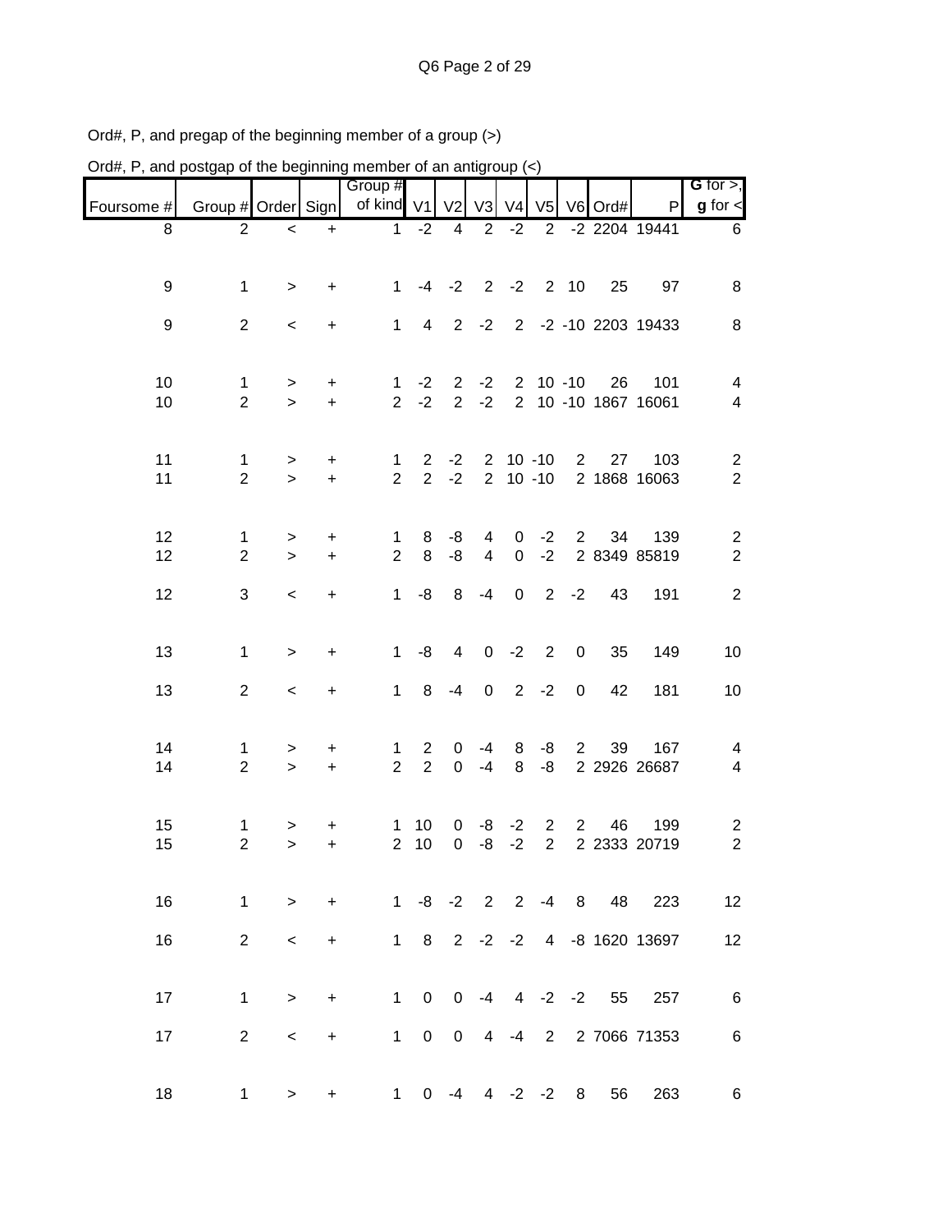| Ord#, P, and postgap of the beginning member of an antigroup (<) |                                |                           |                               |                                |                                  |                                  |                                  |                                  |                                  |                |                  |                             |                                  |
|------------------------------------------------------------------|--------------------------------|---------------------------|-------------------------------|--------------------------------|----------------------------------|----------------------------------|----------------------------------|----------------------------------|----------------------------------|----------------|------------------|-----------------------------|----------------------------------|
|                                                                  |                                |                           |                               | Group #                        |                                  |                                  |                                  |                                  |                                  |                |                  |                             | G for $>$ ,                      |
| Foursome #                                                       | Group # Order Sign             |                           |                               | of kind V1                     |                                  | V <sub>2</sub>                   |                                  |                                  |                                  |                | V3 V4 V5 V6 Ord# | P                           | $g$ for $\leq$                   |
| 8                                                                | 2                              | $\,<\,$                   | $\ddot{}$                     | $\mathbf{1}$                   | $-2$                             | $\overline{4}$                   | $\overline{2}$                   | $-2$                             | $\overline{2}$                   |                |                  | -2 2204 19441               | 6                                |
| 9                                                                | $\mathbf 1$                    | $\, >$                    | +                             | $\mathbf{1}$                   |                                  | $-4 -2$                          |                                  | $2 - 2$                          | 2                                | 10             | 25               | 97                          | 8                                |
| 9                                                                | $\overline{2}$                 | $\,<$                     | $\ddot{}$                     | $\mathbf{1}$                   | $\overline{4}$                   | $2^{\circ}$                      | $-2$                             |                                  |                                  |                |                  | 2 -2 -10 2203 19433         | 8                                |
| 10<br>10                                                         | 1<br>$\overline{2}$            | $\, > \,$<br>$\mathbf{L}$ | $\ddot{}$<br>$\color{red}{+}$ | 1<br>$\overline{2}$            | $-2$<br>$-2$                     | $\overline{2}$<br>$\overline{2}$ | $-2$<br>$-2$                     | $\overline{2}$<br>$\overline{2}$ |                                  | $10 - 10$      | 26               | 101<br>10 -10 1867 16061    | 4<br>4                           |
| 11<br>11                                                         | $\mathbf{1}$<br>$\overline{2}$ | $\,$<br>$\geq$            | $\ddot{}$<br>$\ddot{}$        | $\mathbf{1}$<br>$\overline{2}$ | $\overline{2}$<br>$\overline{2}$ | $-2$<br>$-2$                     | $2^{\circ}$                      |                                  | $10 - 10$<br>$2 10 - 10$         | $\overline{2}$ | 27               | 103<br>2 1868 16063         | $\overline{c}$<br>$\overline{2}$ |
| 12<br>12                                                         | $\mathbf{1}$<br>$\overline{2}$ | ><br>$\geq$               | $\ddot{}$<br>$\ddot{}$        | $\mathbf 1$<br>$\overline{2}$  | 8<br>8                           | -8<br>-8                         | $\overline{4}$<br>$\overline{4}$ | 0<br>$\mathsf{O}\xspace$         | $-2$<br>$-2$                     | $\overline{2}$ | 34               | 139<br>2 8349 85819         | $\overline{c}$<br>$\overline{c}$ |
| 12                                                               | 3                              | $\,<$                     | $\ddot{}$                     | $\mathbf{1}$                   | -8                               | 8                                | $-4$                             | $\mathbf 0$                      | $\overline{2}$                   | $-2$           | 43               | 191                         | $\overline{c}$                   |
| 13                                                               | $\mathbf 1$                    | $\,>$                     | $\ddot{}$                     | 1                              | -8                               | $\overline{4}$                   | $\overline{0}$                   | $-2$                             | $\sqrt{2}$                       | $\pmb{0}$      | 35               | 149                         | 10                               |
| 13                                                               | $\overline{2}$                 | $\,<$                     | $\ddot{}$                     | 1                              | 8                                | $-4$                             | $\mathbf 0$                      | $2^{\circ}$                      | $-2$                             | $\,0\,$        | 42               | 181                         | 10                               |
| 14<br>14                                                         | 1<br>$\overline{2}$            | ><br>$\mathbf{L}$         | $\ddot{}$<br>$\ddot{}$        | 1<br>$\overline{2}$            | $\overline{c}$<br>$\overline{2}$ | 0<br>$\boldsymbol{0}$            | -4<br>$-4$                       | 8<br>8                           | -8<br>-8                         | $\overline{2}$ | 39               | 167<br>2 2926 26687         | 4<br>4                           |
| 15<br>15                                                         | 1<br>$\overline{c}$            | ><br>$\, > \,$            | $\ddot{}$<br>$\ddot{}$        | 1<br>$\overline{2}$            | 10<br>10                         | 0<br>0                           | -8<br>$-8$                       | $-2$<br>$-2$                     | $\overline{2}$<br>$\overline{2}$ | $\overline{2}$ | 46               | 199<br>2 2333 20719         | $\overline{a}$<br>$\overline{2}$ |
| 16                                                               | $\mathbf{1}$                   | $\,>$                     | $+$                           |                                |                                  |                                  |                                  |                                  |                                  |                |                  | 1 -8 -2 2 2 -4 8 48 223     | 12                               |
| 16                                                               | 2                              | $\,<$                     | $\ddot{}$                     |                                |                                  |                                  |                                  |                                  |                                  |                |                  | 1 8 2 -2 -2 4 -8 1620 13697 | 12                               |
| 17                                                               | $\mathbf 1$                    | $\,>$                     | $\ddot{}$                     |                                | $1 \quad 0$                      |                                  |                                  |                                  |                                  |                |                  | $0 -4 4 -2 -2 55 257$       | 6                                |
| 17                                                               | $\overline{2}$                 | $\,<\,$                   | $+$                           | 1                              | $\overline{0}$                   | $\mathbf 0$                      |                                  |                                  |                                  |                |                  | 4 -4 2 2 7066 71353         | $\,6$                            |
| 18                                                               | 1                              | $\geq$                    | $\ddot{}$                     |                                | $1 \quad 0$                      | -4                               |                                  |                                  | $4 -2 -2$                        | 8              | 56               | 263                         | 6                                |

Ord#, P, and pregap of the beginning member of a group (>)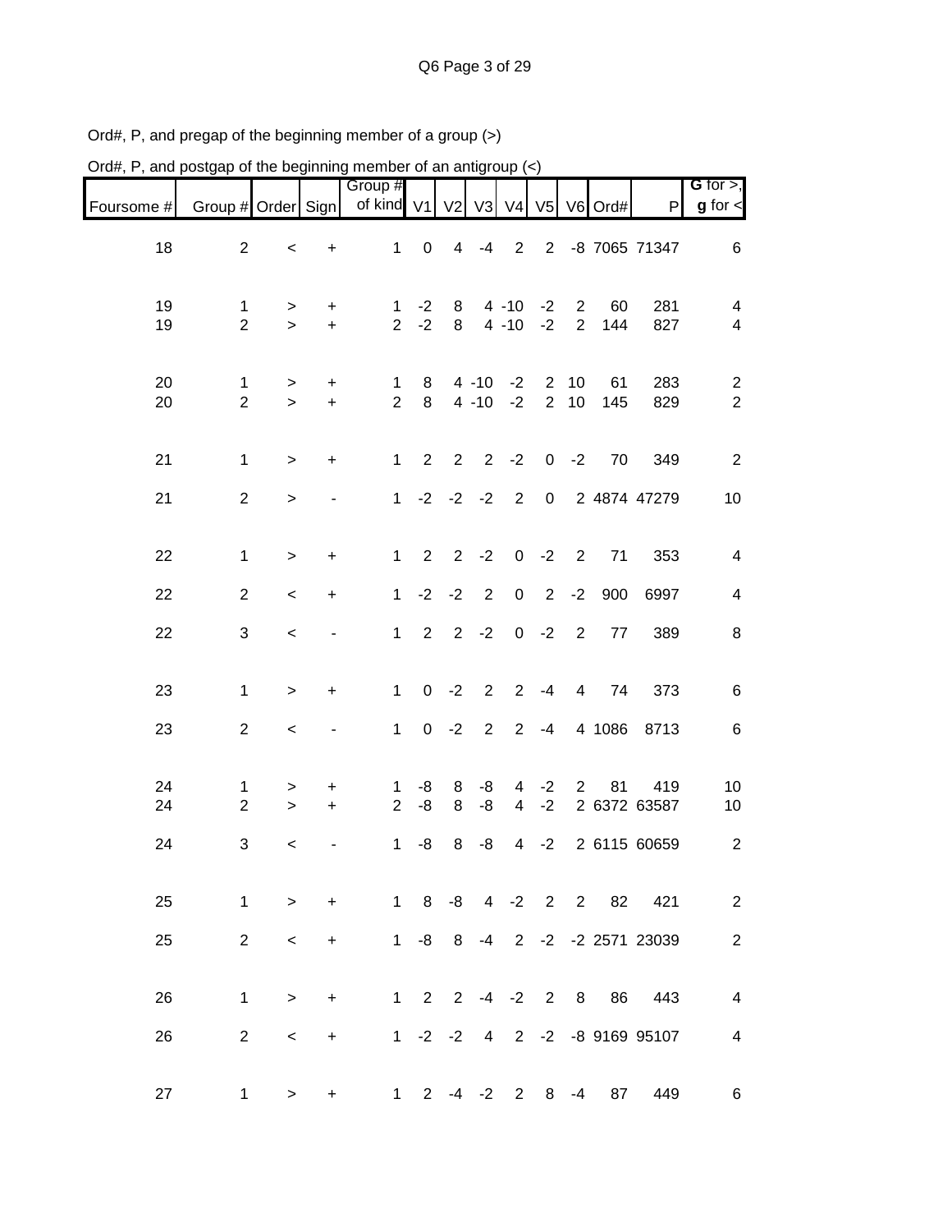| Ord#, P, and postgap of the beginning member of an antigroup $(\le)$ |                     |              |                |                               |                |                |                      |                               |                                  |                                  |           |                              |                                  |
|----------------------------------------------------------------------|---------------------|--------------|----------------|-------------------------------|----------------|----------------|----------------------|-------------------------------|----------------------------------|----------------------------------|-----------|------------------------------|----------------------------------|
| Foursome #                                                           | Group # Order Sign  |              |                | Group #<br>of kind V1         |                |                |                      | V2 V3 V4                      | V <sub>5</sub>                   |                                  | V6 Ord#   | $\mathsf{P}$                 | G for $>$ ,<br>$g$ for $\lt$     |
| 18                                                                   | $\mathbf{2}$        | $\,<$        | +              | $\mathbf 1$                   | $\pmb{0}$      | $\overline{4}$ | $-4$                 | $\overline{2}$                | $\overline{2}$                   |                                  |           | -8 7065 71347                | 6                                |
| 19<br>19                                                             | 1<br>$\mathbf{2}$   | ><br>$\geq$  | +<br>$\ddot{}$ | 1<br>$\overline{2}$           | $-2$<br>$-2$   | 8<br>8         |                      | $4 - 10$<br>$4 - 10$          | $-2$<br>$-2$                     | $\overline{2}$<br>$\overline{2}$ | 60<br>144 | 281<br>827                   | 4<br>4                           |
| 20<br>20                                                             | 1<br>$\overline{2}$ | ><br>$\geq$  | +<br>$\ddot{}$ | 1<br>$\overline{2}$           | 8<br>8         |                | $4 - 10$<br>$4 - 10$ | $-2$<br>$-2$                  | $\overline{2}$<br>$\overline{2}$ | 10<br>10                         | 61<br>145 | 283<br>829                   | $\overline{c}$<br>$\overline{2}$ |
| 21                                                                   | $\mathbf{1}$        | $\mathbf{L}$ | $\ddot{}$      | $\mathbf{1}$                  | 2              | 2              | $\overline{2}$       | $-2$                          | $\mathbf 0$                      | $-2$                             | 70        | 349                          | $\overline{2}$                   |
| 21                                                                   | $\overline{2}$      | $\, >$       |                | $\mathbf{1}$                  |                | $-2 -2$        | $-2$                 | 2                             | $\mathbf 0$                      |                                  |           | 2 4874 47279                 | 10                               |
| 22                                                                   | $\mathbf{1}$        | >            | +              | $\mathbf{1}$                  | $\overline{2}$ | $\mathbf{2}$   | $-2$                 | $\pmb{0}$                     | $-2$                             | $\overline{2}$                   | 71        | 353                          | 4                                |
| 22                                                                   | $\overline{2}$      | $\,<\,$      | +              | $\mathbf{1}$                  | $-2$           | $-2$           | $\overline{2}$       | $\pmb{0}$                     | $\overline{2}$                   | $-2$                             | 900       | 6997                         | 4                                |
| 22                                                                   | 3                   | $\,<\,$      |                | $\mathbf{1}$                  | $\overline{2}$ | $\overline{2}$ | $-2$                 | $\pmb{0}$                     | $-2$                             | $\overline{2}$                   | 77        | 389                          | 8                                |
| 23                                                                   | $\mathbf 1$         | $\,$         | $\ddot{}$      | $\mathbf{1}$                  | $\mathbf 0$    | $-2$           | $\overline{2}$       | $\overline{2}$                | $-4$                             | 4                                | 74        | 373                          | 6                                |
| 23                                                                   | $\overline{2}$      | $\,<$        | -              | $\mathbf{1}$                  | 0              | $-2$           | $\overline{2}$       | 2                             | $-4$                             |                                  | 4 1086    | 8713                         | 6                                |
| 24<br>24                                                             | 1<br>$\overline{c}$ | ><br>$\, >$  | +<br>$\ddot{}$ | $\mathbf 1$<br>$\overline{2}$ | -8<br>$-8$     | 8<br>8         | -8<br>-8             | 4<br>$\overline{4}$           | $-2$<br>$-2$                     | $\overline{2}$                   | 81        | 419<br>2 6372 63587          | 10<br>10                         |
| 24                                                                   | 3                   | $\,<\,$      |                | $\mathbf{1}$                  | -8             | 8              | -8                   | $\overline{4}$                | $-2$                             |                                  |           | 2 6115 60659                 | $\overline{c}$                   |
| 25                                                                   | $\mathbf{1}$        | $\geq$       | $+$            |                               |                |                |                      |                               |                                  |                                  |           | 1 8 -8 4 -2 2 2 82 421       | $\overline{2}$                   |
| 25                                                                   | $\overline{2}$      | $\prec$      | $\ddot{}$      |                               | $1 - 8 8$      |                |                      |                               |                                  |                                  |           | -4 2 -2 -2 2571 23039        | $\mathbf{2}$                     |
| 26                                                                   | $\mathbf{1}$        | $\,>$        | $+$            |                               |                |                |                      | $1 \t2 \t2 \t-4 \t-2 \t2 \t8$ |                                  |                                  | 86        | 443                          | $\overline{4}$                   |
| 26                                                                   | $\overline{2}$      | $\,<\,$      | $+$            |                               |                |                |                      |                               |                                  |                                  |           | 1 -2 -2 4 2 -2 -8 9169 95107 | $\overline{\mathbf{4}}$          |
| 27                                                                   | 1                   | $\geq$       | $\ddot{}$      |                               |                |                |                      | $1 \t2 \t-4 \t-2 \t2$         | 8                                | -4                               | 87        | 449                          | 6                                |

Ord#, P, and pregap of the beginning member of a group (>)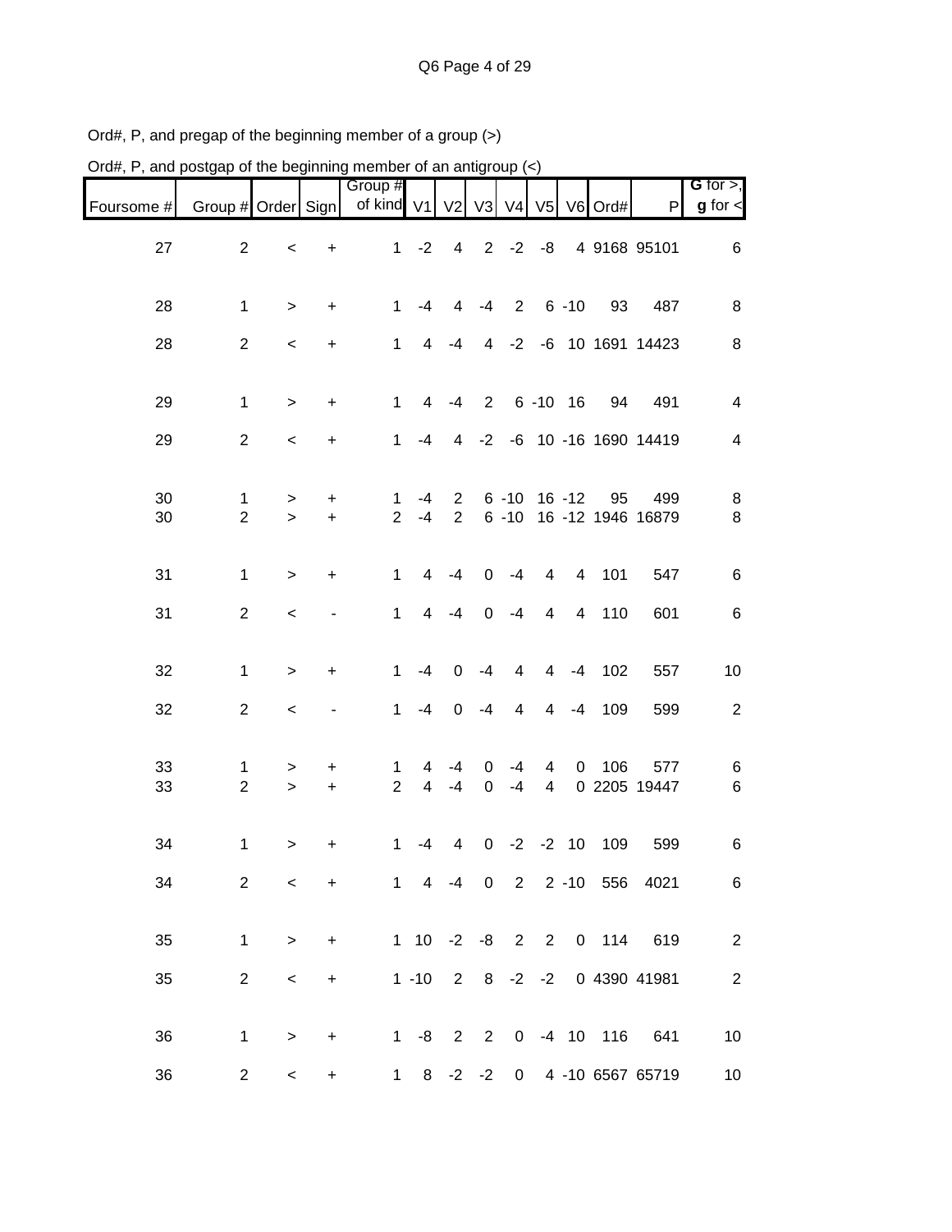| Ord#, P, and postgap of the beginning member of an antigroup (<) |                     |             |                                  |                     |                        |                  |                  |                         |                     |          |                      |                            |                |
|------------------------------------------------------------------|---------------------|-------------|----------------------------------|---------------------|------------------------|------------------|------------------|-------------------------|---------------------|----------|----------------------|----------------------------|----------------|
|                                                                  |                     |             |                                  | Group #             |                        |                  |                  |                         |                     |          |                      |                            | G for $>$ ,    |
| Foursome #                                                       | Group # Order Sign  |             |                                  | of kind $V1$        |                        |                  |                  | V2 V3 V4                | V <sub>5</sub>      |          | $V6$ Ord#            | P                          | $g$ for $\lt$  |
| 27                                                               | $\mathbf{2}$        | $\,<$       | +                                | $\mathbf 1$         | $-2$                   | $\overline{4}$   | $\overline{2}$   | $-2$                    | -8                  |          |                      | 4 9168 95101               | 6              |
| 28                                                               | $\mathbf 1$         | $\, >$      | $\ddot{}$                        | $\mathbf{1}$        | $-4$                   | 4                | $-4$             | $\overline{2}$          |                     | $6 - 10$ | 93                   | 487                        | 8              |
| 28                                                               | $\overline{2}$      | $\,<$       | $\ddot{}$                        | $\mathbf{1}$        | $\overline{4}$         | $-4$             | $\overline{4}$   | $-2$                    |                     |          |                      | -6 10 1691 14423           | 8              |
| 29                                                               | $\mathbf 1$         | $\geq$      | $\ddot{}$                        | $\mathbf{1}$        | 4                      | $-4$             | $\overline{2}$   |                         | $6 - 10$            | 16       | 94                   | 491                        | $\overline{4}$ |
| 29                                                               | $\mathbf{2}$        | $\,<$       | $\ddot{}$                        | $\mathbf{1}$        | $-4$                   | 4                |                  |                         |                     |          |                      | -2 -6 10 -16 1690 14419    | $\overline{4}$ |
| 30                                                               | 1                   | >           | +                                | $\mathbf 1$         | $-4$                   | $\overline{2}$   |                  | $6 - 10$ 16 $-12$       |                     |          | 95                   | 499                        | 8              |
| 30                                                               | $\overline{2}$      | $\geq$      | $\ddot{}$                        | $\overline{2}$      | $-4$                   | $\overline{2}$   |                  |                         |                     |          |                      | 6 -10 16 -12 1946 16879    | 8              |
| 31                                                               | 1                   | $\, >$      | $\ddot{}$                        | $\mathbf{1}$        | 4                      | $-4$             | 0                | $-4$                    | $\overline{4}$      | 4        | 101                  | 547                        | 6              |
| 31                                                               | $\mathbf{2}$        | $\,<\,$     |                                  | 1                   | 4                      | $-4$             | $\mathbf 0$      | $-4$                    | 4                   | 4        | 110                  | 601                        | 6              |
| 32                                                               | $\mathbf 1$         | $\, >$      | $\ddot{}$                        | $\mathbf{1}$        | $-4$                   | $\boldsymbol{0}$ | $-4$             | $\overline{4}$          | $\overline{4}$      | $-4$     | 102                  | 557                        | 10             |
| 32                                                               | $\mathbf{2}$        | $\,<$       |                                  | $\mathbf{1}$        | $-4$                   | $\mathbf 0$      | $-4$             | $\overline{\mathbf{4}}$ | $\overline{4}$      | $-4$     | 109                  | 599                        | $\overline{c}$ |
| 33<br>33                                                         | 1<br>$\overline{2}$ | ><br>$\geq$ | +<br>$\ddot{}$                   | 1<br>$\overline{2}$ | 4<br>$\overline{4}$    | -4<br>$-4$       | 0<br>$\mathbf 0$ | -4<br>$-4$              | 4<br>$\overline{4}$ | 0        | 106                  | 577<br>0 2205 19447        | 6<br>6         |
|                                                                  |                     |             |                                  |                     |                        |                  |                  |                         |                     |          |                      |                            |                |
| 34                                                               | 1                   | $\,$        | +                                | 1                   | $-4$                   | 4                |                  | $0 -2 -2 10$            |                     |          | 109                  | 599                        | 6              |
| 34                                                               | $\overline{2}$      | $\,<\,$     | $\ddot{}$                        |                     |                        |                  |                  |                         |                     |          |                      | 1 4 -4 0 2 2 -10 556 4021  | 6              |
| 35                                                               | $\mathbf 1$         | $\geq$      | +                                |                     |                        |                  |                  |                         |                     |          | 1 10 -2 -8 2 2 0 114 | 619                        | $\overline{2}$ |
| 35                                                               | $\overline{2}$      | $\,<\,$     | $\begin{array}{c} + \end{array}$ |                     | $1 - 10$ 2 8 $-2$ $-2$ |                  |                  |                         |                     |          |                      | 0 4390 41981               | $\overline{c}$ |
| 36                                                               | $\mathbf{1}$        | $\, >$      | +                                |                     | $1 -8 2$               |                  |                  |                         |                     |          | 2 0 -4 10 116        | 641                        | 10             |
| 36                                                               | $\overline{a}$      | $\,<\,$     | +                                | $\mathbf 1$         |                        |                  |                  |                         |                     |          |                      | 8 -2 -2 0 4 -10 6567 65719 | 10             |

Ord#, P, and pregap of the beginning member of a group (>)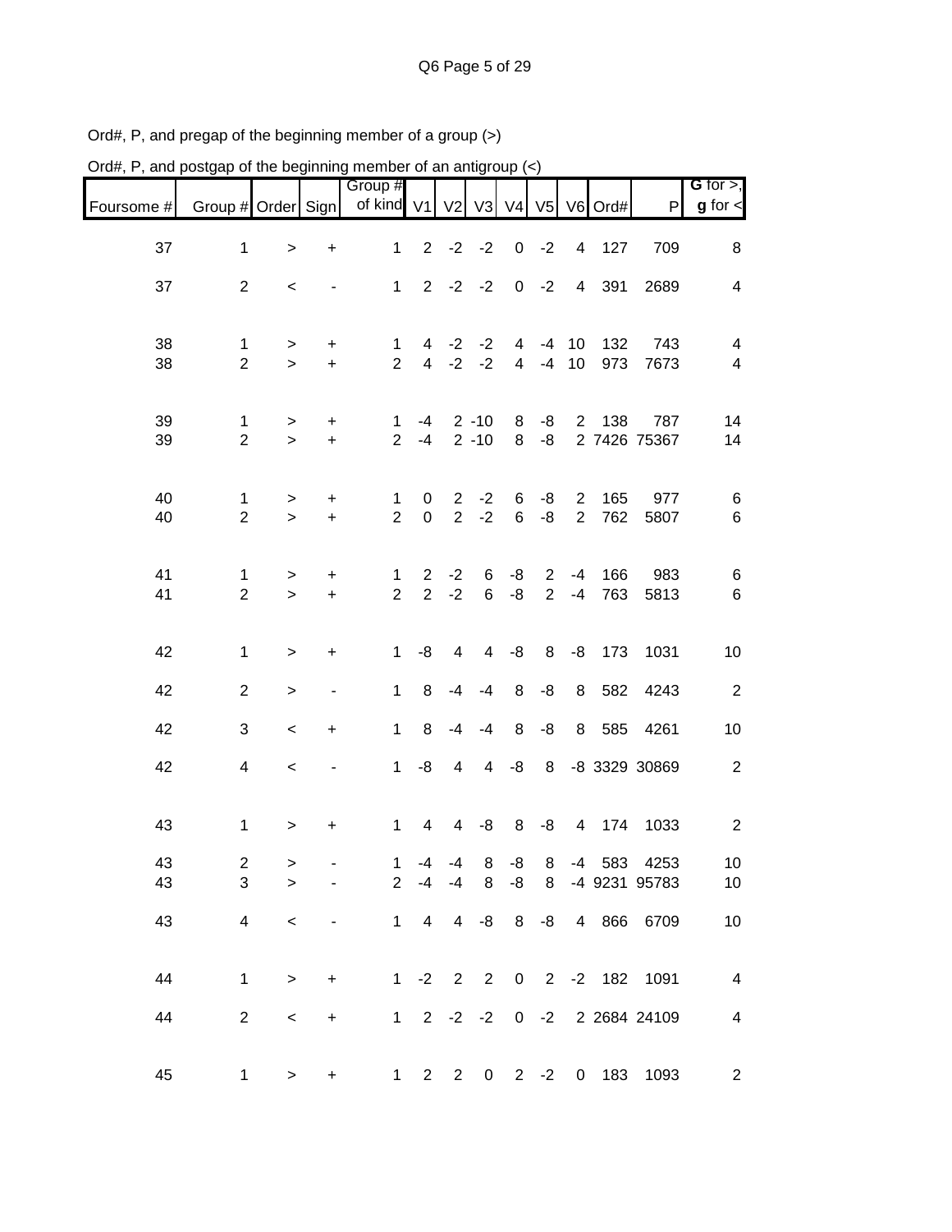| Ord#, P, and postgap of the beginning member of an antigroup $\left\langle \epsilon \right\rangle$ |                     |                       |                        |                         |                                  |                                  |                                                             |                     |                                  |                                  |            |                                  |                              |
|----------------------------------------------------------------------------------------------------|---------------------|-----------------------|------------------------|-------------------------|----------------------------------|----------------------------------|-------------------------------------------------------------|---------------------|----------------------------------|----------------------------------|------------|----------------------------------|------------------------------|
| Foursome #                                                                                         | Group # Order Sign  |                       |                        | Group #<br>of kind $V1$ |                                  |                                  | V <sub>2</sub> V <sub>3</sub> V <sub>4</sub> V <sub>5</sub> |                     |                                  |                                  | V6 Ord#    | $\mathsf{P}$                     | G for $>$ ,<br>$g$ for $\lt$ |
| 37                                                                                                 | $\mathbf{1}$        | $\geq$                | $\ddot{}$              | $\mathbf{1}$            | $\overline{2}$                   | $-2$                             | $-2$                                                        | $\boldsymbol{0}$    | $-2$                             | 4                                | 127        | 709                              | 8                            |
| 37                                                                                                 | $\overline{2}$      | $\,<$                 |                        | $\mathbf{1}$            | $\overline{2}$                   | $-2$                             | $-2$                                                        | $\pmb{0}$           | $-2$                             | 4                                | 391        | 2689                             | $\overline{4}$               |
| 38<br>38                                                                                           | 1<br>$\overline{2}$ | ><br>$\mathbf{L}$     | $\ddot{}$<br>$\ddot{}$ | 1<br>$\overline{2}$     | 4<br>$\overline{4}$              | $-2$<br>$-2$                     | $-2$<br>$-2$                                                | 4<br>$\overline{4}$ | $-4$<br>$-4$                     | 10<br>10                         | 132<br>973 | 743<br>7673                      | 4<br>4                       |
| 39<br>39                                                                                           | 1<br>$\overline{2}$ | ><br>$\geq$           | +<br>$+$               | 1<br>$\overline{2}$     | $-4$<br>$-4$                     |                                  | $2 - 10$<br>$2 - 10$                                        | 8<br>8              | -8<br>-8                         | $\overline{2}$                   | 138        | 787<br>2 7426 75367              | 14<br>14                     |
| 40<br>40                                                                                           | 1<br>$\overline{2}$ | $\, > \,$<br>$\geq$   | +<br>$\color{red}{+}$  | 1<br>$\overline{2}$     | 0<br>$\boldsymbol{0}$            | $\overline{2}$<br>$\overline{2}$ | $-2$<br>$-2$                                                | 6<br>$\,6$          | -8<br>-8                         | $\overline{2}$<br>$\overline{2}$ | 165<br>762 | 977<br>5807                      | 6<br>6                       |
| 41<br>41                                                                                           | 1<br>$\overline{2}$ | $\,>$<br>$\mathbf{L}$ | +<br>$\color{red}{+}$  | 1<br>$\overline{2}$     | $\overline{2}$<br>$\overline{2}$ | $-2$<br>$-2$                     | 6<br>6                                                      | -8<br>-8            | $\overline{2}$<br>$\overline{2}$ | $-4$<br>$-4$                     | 166<br>763 | 983<br>5813                      | 6<br>6                       |
| 42                                                                                                 | 1                   | >                     | $\ddot{}$              | $\mathbf{1}$            | -8                               | $\overline{\mathbf{4}}$          | 4                                                           | -8                  | 8                                | $-8$                             | 173        | 1031                             | 10                           |
| 42                                                                                                 | $\overline{2}$      | $\, > \,$             | ٠                      | $\mathbf{1}$            | 8                                | -4                               | $-4$                                                        | 8                   | -8                               | 8                                | 582        | 4243                             | $\overline{2}$               |
| 42                                                                                                 | 3                   | $\,<\,$               | $\ddot{}$              | $\mathbf{1}$            | 8                                | $-4$                             | $-4$                                                        | 8                   | -8                               | 8                                | 585        | 4261                             | 10                           |
| 42                                                                                                 | 4                   | $\,<$                 |                        | $\mathbf{1}$            | -8                               | 4                                | $\overline{4}$                                              | $-8$                | 8                                |                                  |            | -8 3329 30869                    | $\overline{c}$               |
| 43                                                                                                 | 1                   | $\, > \,$             | +                      | 1                       | 4                                | 4                                | -8                                                          | 8                   | -8                               | $\overline{4}$                   | 174        | 1033                             | 2                            |
| 43<br>43                                                                                           | $\overline{c}$<br>3 | ><br>$\geq$           |                        |                         |                                  | $1 -4 -4$<br>$2 -4 -4$           | 8                                                           | $8 - 8$<br>$-8$     |                                  |                                  |            | 8 -4 583 4253<br>8 -4 9231 95783 | 10<br>10                     |
| 43                                                                                                 | 4                   | $\,<$                 |                        |                         | $1 \quad 4$                      |                                  | $4 -8 8$                                                    |                     | $-8$                             |                                  |            | 4 866 6709                       | 10                           |
| 44                                                                                                 | $\mathbf{1}$        | $\, >$                | $\ddot{}$              |                         |                                  |                                  |                                                             |                     |                                  |                                  |            | 1 -2 2 2 0 2 -2 182 1091         | $\overline{\mathbf{4}}$      |
| 44                                                                                                 | $\overline{2}$      | $\,<$                 | $\ddot{}$              |                         |                                  |                                  |                                                             |                     |                                  |                                  |            | 1 2 -2 -2 0 -2 2 2684 24109      | $\overline{\mathcal{A}}$     |
| 45                                                                                                 | 1                   | $\,$                  | +                      |                         |                                  | 1 2 2 0 2 -2                     |                                                             |                     |                                  |                                  |            | 0 183 1093                       | $\overline{c}$               |

Ord#, P, and pregap of the beginning member of a group (>)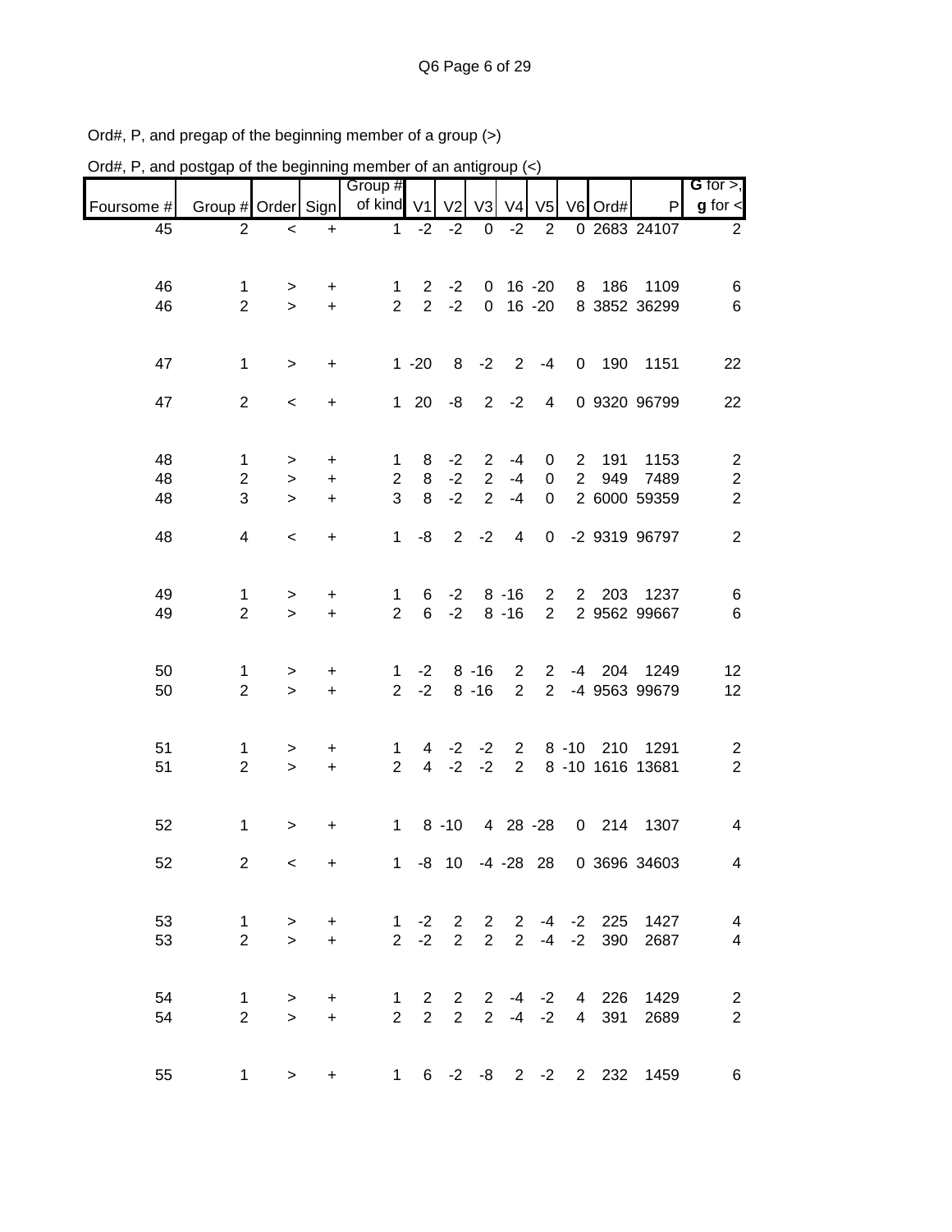| Ord#, P, and postgap of the beginning member of an antigroup $\left\langle \epsilon \right\rangle$ |                    |           |           |                |                |                |                |                |                |                |           |                                |                          |
|----------------------------------------------------------------------------------------------------|--------------------|-----------|-----------|----------------|----------------|----------------|----------------|----------------|----------------|----------------|-----------|--------------------------------|--------------------------|
|                                                                                                    |                    |           |           | Group #        |                |                |                |                |                |                |           |                                | G for $>$ ,              |
| Foursome #                                                                                         | Group # Order Sign |           |           | of kind $V1$   |                | V <sub>2</sub> | V <sub>3</sub> | V <sub>4</sub> | V <sub>5</sub> |                | V6 Ord#   | P                              | $g$ for $\leq$           |
| 45                                                                                                 | $\overline{2}$     | $\,<\,$   | $\ddot{}$ | 1              | $-2$           | $-2$           | $\mathbf 0$    | $-2$           | $\overline{2}$ |                |           | 0 2683 24107                   | $\overline{2}$           |
| 46                                                                                                 | 1                  | >         | $\ddot{}$ | 1              | $\overline{2}$ | $-2$           | 0              |                | $16 - 20$      | 8              | 186       | 1109                           | 6                        |
| 46                                                                                                 | $\overline{2}$     | $\geq$    | $+$       | $\overline{2}$ | $\overline{2}$ | $-2$           | $\overline{0}$ |                | $16 - 20$      |                |           | 8 3852 36299                   | $\,6$                    |
| 47                                                                                                 | 1                  | $\geq$    | +         |                | $1 - 20$       | 8              | $-2$           | $\overline{2}$ | $-4$           | $\mathbf 0$    | 190       | 1151                           | 22                       |
| 47                                                                                                 | $\overline{2}$     | $\,<$     | +         | $\mathbf{1}$   | 20             | -8             | $\overline{2}$ | $-2$           | 4              |                |           | 0 9320 96799                   | 22                       |
| 48                                                                                                 | $\mathbf{1}$       | >         | +         | 1              | 8              | $-2$           | $\overline{2}$ | $-4$           | 0              | $\overline{2}$ | 191       | 1153                           | $\overline{c}$           |
| 48                                                                                                 | $\overline{c}$     | $\, > \,$ | $\ddot{}$ | $\overline{2}$ | 8              | $-2$           | $\overline{2}$ | $-4$           | $\mathbf 0$    | $\overline{2}$ | 949       | 7489                           | $\overline{\mathbf{c}}$  |
| 48                                                                                                 | 3                  | $\geq$    | $\ddot{}$ | 3              | 8              | $-2$           | $\overline{2}$ | $-4$           | $\mathbf 0$    |                |           | 2 6000 59359                   | $\overline{2}$           |
| 48                                                                                                 | 4                  | $\,<\,$   | +         | 1              | -8             | $\overline{2}$ | $-2$           | 4              | $\mathbf 0$    |                |           | -2 9319 96797                  | 2                        |
| 49                                                                                                 | $\mathbf 1$        | >         | +         | 1              | 6              | $-2$           |                | $8 - 16$       | $\overline{2}$ | $\overline{2}$ | 203       | 1237                           | 6                        |
| 49                                                                                                 | $\overline{2}$     | $\geq$    | $\ddot{}$ | $\overline{2}$ | 6              | $-2$           |                | $8 - 16$       | $\overline{2}$ |                |           | 2 9562 99667                   | $\,6$                    |
| 50                                                                                                 | 1                  | >         | +         | 1              | $-2$           |                | $8 - 16$       | 2              | $\mathbf{2}$   | -4             | 204       | 1249                           | 12                       |
| 50                                                                                                 | $\overline{2}$     | $\geq$    | $\ddot{}$ | $\overline{2}$ | $-2$           |                | $8 - 16$       | $\overline{2}$ | $\overline{2}$ |                |           | -4 9563 99679                  | 12                       |
| 51                                                                                                 | 1                  | >         | +         | $\mathbf 1$    | 4              | $-2$           | $-2$           | 2              |                | $8 - 10$       | 210       | 1291                           | $\overline{\mathbf{c}}$  |
| 51                                                                                                 | $\overline{2}$     | $\geq$    | $\ddot{}$ | $\overline{2}$ | $\overline{4}$ | $-2$           | $-2$           | $\overline{2}$ |                |                |           | 8 -10 1616 13681               | $\overline{2}$           |
| 52                                                                                                 | $\mathbf 1$        | >         | +         | 1              |                | $8 - 10$       |                |                | 4 28 -28       | 0              | 214       | 1307                           | 4                        |
| 52                                                                                                 | 2                  | $\,<\,$   | $\ddot{}$ |                |                |                |                |                |                |                |           | 1 -8 10 -4 -28 28 0 3696 34603 | $\overline{4}$           |
| 53                                                                                                 | $\mathbf{1}$       | >         | $\ddot{}$ | $\mathbf{1}$   | $-2$           | $\overline{2}$ | $\overline{2}$ | $\overline{2}$ |                |                | -4 -2 225 | 1427                           | $\overline{\mathbf{4}}$  |
| 53                                                                                                 | $\overline{2}$     | $\geq$    | $\ddot{}$ |                | $2 -2$         | $\overline{2}$ | 2 <sup>7</sup> | $2^{\circ}$    |                | $-4 -2$        | 390       | 2687                           | $\overline{\mathcal{A}}$ |
| 54                                                                                                 | 1                  | $\,$      | $\ddot{}$ | $\mathbf{1}$   | $2^{\circ}$    | $2^{\circ}$    |                |                | $2 - 4 - 2$    |                | 4 226     | 1429                           | $\overline{c}$           |
| 54                                                                                                 | $\overline{2}$     | $\geq$    | $\ddot{}$ | $\overline{2}$ | $2^{\circ}$    | $\overline{2}$ |                | $2 - 4$        | $-2$           | $\overline{4}$ | 391       | 2689                           | $\boldsymbol{2}$         |
| 55                                                                                                 | $\mathbf{1}$       | $\, >$    | $\ddot{}$ |                |                |                |                |                |                |                |           | 1 6 -2 -8 2 -2 2 232 1459      | 6                        |

Ord#, P, and pregap of the beginning member of a group (>)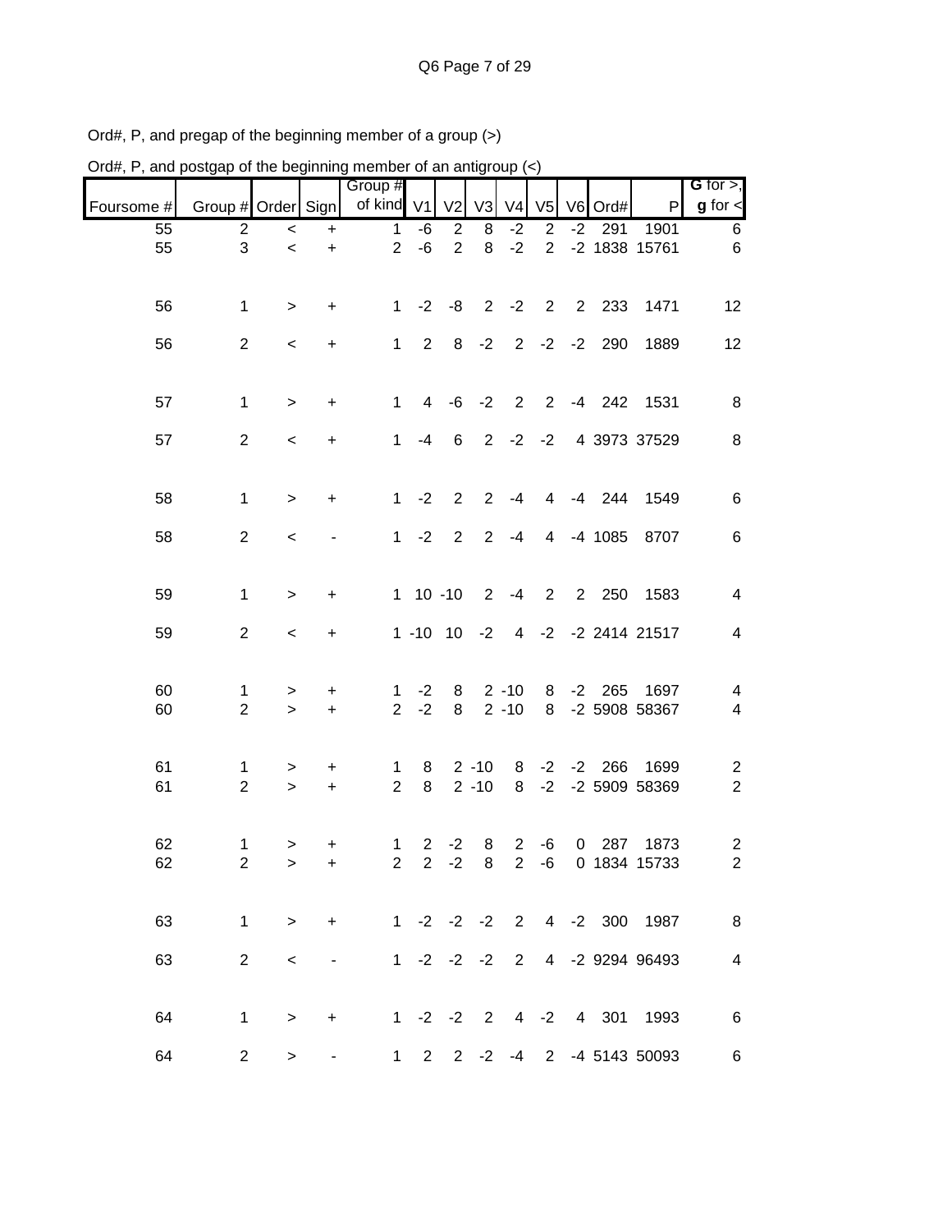| Ord#, P, and postgap of the beginning member of an antigroup $\left\langle \epsilon \right\rangle$ |                      |                          |                       |                                                                                        |              |                |                      |                      |                |                |             |                                    |                                  |
|----------------------------------------------------------------------------------------------------|----------------------|--------------------------|-----------------------|----------------------------------------------------------------------------------------|--------------|----------------|----------------------|----------------------|----------------|----------------|-------------|------------------------------------|----------------------------------|
|                                                                                                    | Group # Order Sign   |                          |                       | Group #<br>of kind V1                                                                  |              | V <sub>2</sub> | V3                   | $V4$ $V5$            |                |                | V6 Ord#     | P                                  | $G$ for $>$ ,<br>$g$ for $\leq$  |
| Foursome #<br>55                                                                                   | $\overline{2}$       | $\,<\,$                  | $\ddot{}$             | 1                                                                                      | $-6$         | $\overline{2}$ | 8                    | $-2$                 | $\overline{2}$ | $-2$           | 291         | 1901                               | 6                                |
| 55                                                                                                 | 3                    | $\prec$                  | $\ddot{}$             | $\overline{2}$                                                                         | $-6$         | $\overline{2}$ | 8                    | $-2$                 | $\overline{2}$ |                |             | -2 1838 15761                      | 6                                |
| 56                                                                                                 | 1                    | $\, > \,$                | +                     | $\mathbf{1}$                                                                           | $-2$         | -8             | $\overline{2}$       | $-2$                 | 2              | $\overline{2}$ | 233         | 1471                               | 12                               |
| 56                                                                                                 | $\overline{2}$       | $\,<$                    | $\ddot{}$             | $\mathbf{1}$                                                                           | 2            | 8              | $-2$                 | 2                    | $-2$           | $-2$           | 290         | 1889                               | 12                               |
| 57                                                                                                 | 1                    | $\,>$                    | $\ddot{}$             | 1                                                                                      | 4            | -6             | $-2$                 | $\overline{2}$       | $\overline{2}$ |                | $-4$ 242    | 1531                               | 8                                |
| 57                                                                                                 | $\overline{2}$       | $\,<\,$                  | $\ddot{}$             | 1                                                                                      | $-4$         | 6              | 2                    | $-2$                 | $-2$           |                |             | 4 3973 37529                       | 8                                |
| 58                                                                                                 | 1                    | $\,>$                    | $\ddot{}$             | 1                                                                                      | $-2$         | $\overline{2}$ | $\overline{2}$       | $-4$                 | 4              | $-4$           | 244         | 1549                               | 6                                |
| 58                                                                                                 | $\overline{2}$       | $\,<\,$                  |                       | 1                                                                                      | $-2$         | $\overline{2}$ | $\overline{2}$       | $-4$                 | 4              |                | $-4$ 1085   | 8707                               | 6                                |
| 59                                                                                                 | 1                    | $\,>$                    | +                     |                                                                                        | $1 10 - 10$  |                | $\overline{2}$       | $-4$                 | $\overline{2}$ | $2^{\circ}$    | 250         | 1583                               | 4                                |
| 59                                                                                                 | $\overline{2}$       | $\,<\,$                  | +                     |                                                                                        | $1 - 10$     | 10             | $-2$                 | $\overline{4}$       |                |                |             | -2 -2 2414 21517                   | 4                                |
| 60<br>60                                                                                           | 1<br>$\overline{2}$  | ><br>$\geq$              | +<br>$\color{red}{+}$ | 1<br>$\overline{2}$                                                                    | $-2$<br>$-2$ | 8<br>8         |                      | $2 - 10$<br>$2 - 10$ | 8<br>8         | $-2$           | 265         | 1697<br>-2 5908 58367              | 4<br>4                           |
| 61<br>61                                                                                           | 1<br>$\overline{2}$  | ><br>$\geq$              | +<br>$\ddot{}$        | 1<br>$\overline{2}$                                                                    | 8<br>8       |                | $2 - 10$<br>$2 - 10$ | 8<br>8               | $-2$<br>$-2$   | $-2$           | 266         | 1699<br>-2 5909 58369              | $\overline{c}$<br>$\overline{2}$ |
| 62<br>62                                                                                           | 1.<br>$\overline{2}$ | $\geq$<br>$\geq$         | +<br>$+$              |                                                                                        |              | 1 2 $-2$       |                      | 8 2 -6               |                |                | $0\quad287$ | 1873<br>2 2 -2 8 2 -6 0 1834 15733 | $\overline{c}$<br>$\overline{2}$ |
| 63                                                                                                 | $\mathbf 1$          | $\geq$                   | $+$                   |                                                                                        |              |                |                      |                      |                |                |             | 1 -2 -2 -2 2 4 -2 300 1987         | 8                                |
| 63                                                                                                 | $\overline{2}$       | $\overline{\phantom{0}}$ |                       | $\mathcal{L}=\mathcal{L}(\mathcal{L}^{\mathcal{L}})$ . The $\mathcal{L}^{\mathcal{L}}$ |              |                |                      |                      |                |                |             | 1 -2 -2 -2 2 4 -2 9294 96493       | $\overline{4}$                   |
| 64                                                                                                 | $\mathbf{1}$         | $\, >$                   | $+$                   | 1 -2 -2 2 4 -2 4 301 1993                                                              |              |                |                      |                      |                |                |             |                                    | $\,6$                            |
| 64                                                                                                 | $\overline{2}$       | $\,$                     |                       |                                                                                        |              |                |                      |                      |                |                |             | 1 2 2 -2 -4 2 -4 5143 50093        | 6                                |

Ord#, P, and pregap of the beginning member of a group (>)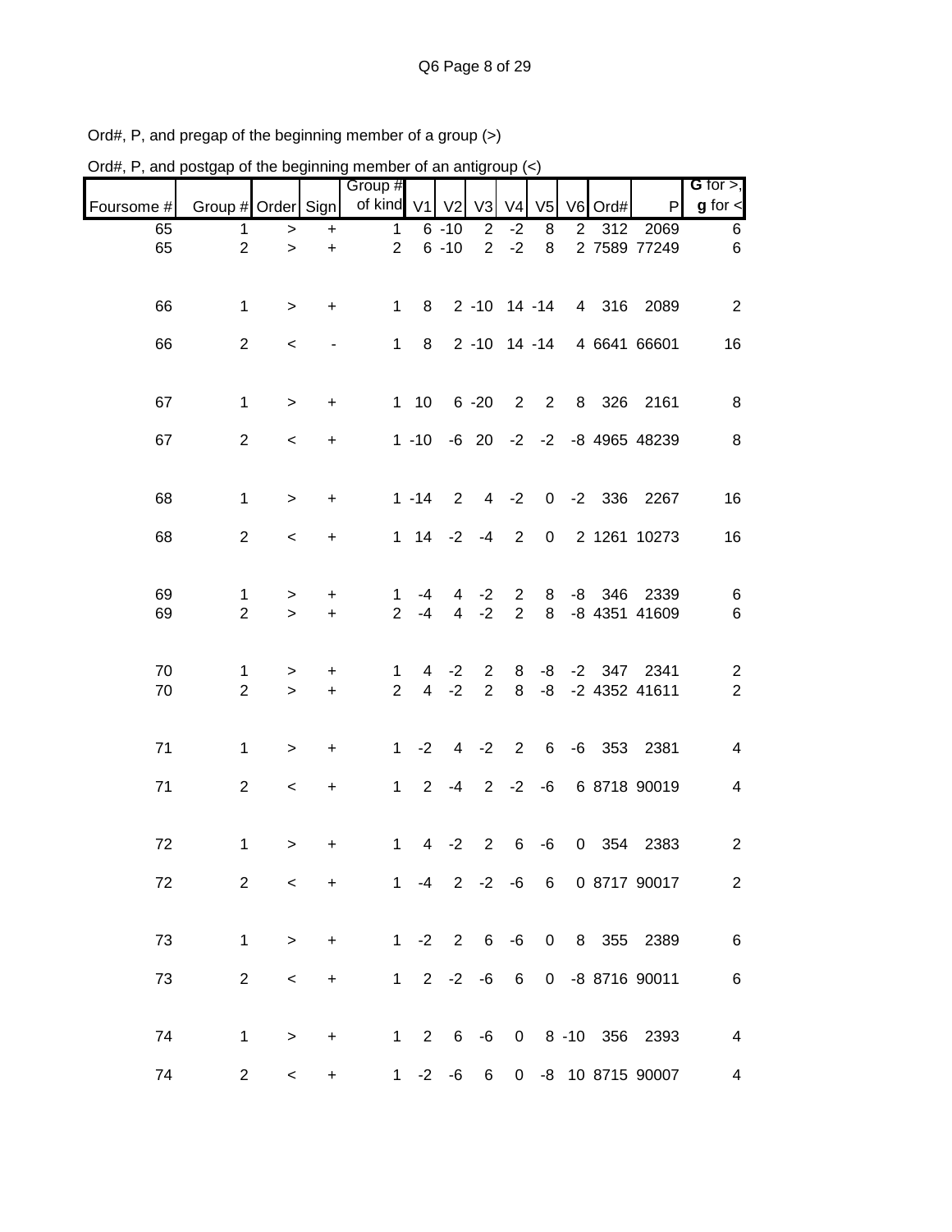| Ord#, P, and postgap of the beginning member of an antigroup (<) |                     |             |                        |                      |                     |                     |                                  |                                  |                |                |       |                              |                                  |
|------------------------------------------------------------------|---------------------|-------------|------------------------|----------------------|---------------------|---------------------|----------------------------------|----------------------------------|----------------|----------------|-------|------------------------------|----------------------------------|
|                                                                  |                     |             |                        | Group #              |                     |                     |                                  |                                  |                |                |       |                              | G for $>$ ,                      |
| Foursome #                                                       | Group # Order Sign  |             |                        | of kind V1 V2        |                     |                     | V3                               | V <sub>4</sub>                   | V <sub>5</sub> | V <sub>6</sub> | Ord#  | P                            | $g$ for $\lt$                    |
| 65                                                               | 1                   | $\, > \,$   | $\ddot{}$              | $\mathbf{1}$         |                     | $6 - 10$            | $\overline{2}$                   | $-2$                             | 8              | $\overline{2}$ | 312   | 2069                         | 6                                |
| 65                                                               | $\overline{2}$      | $\,$        | $\ddot{}$              | $\overline{2}$       |                     | $6 - 10$            | $\overline{2}$                   | $-2$                             | 8              |                |       | 2 7589 77249                 | 6                                |
| 66                                                               | 1                   | $\, > \,$   | +                      | $\mathbf{1}$         | 8                   |                     | $2 - 10$ 14 $-14$                |                                  |                |                | 4 316 | 2089                         | 2                                |
| 66                                                               | $\overline{c}$      | $\,<\,$     |                        | $\mathbf{1}$         | 8                   |                     | 2 -10 14 -14                     |                                  |                |                |       | 4 6641 66601                 | 16                               |
| 67                                                               | $\mathbf 1$         | $\,>$       | +                      | $\mathbf 1$          | 10                  |                     | $6 - 20$                         | $\overline{2}$                   | $\overline{2}$ | 8              | 326   | 2161                         | 8                                |
| 67                                                               | $\overline{2}$      | $\,<\,$     | +                      |                      | $1 - 10$            |                     |                                  |                                  |                |                |       | -6 20 -2 -2 -8 4965 48239    | 8                                |
| 68                                                               | $\mathbf 1$         | $\,$        | $\ddot{}$              |                      | $1 - 14$            | $\overline{2}$      | $\overline{4}$                   | $-2$                             |                |                |       | 0 -2 336 2267                | 16                               |
| 68                                                               | $\overline{2}$      | $\,<\,$     | +                      | $\mathbf{1}$         | 14                  | $-2$                | $-4$                             | $\overline{2}$                   | $\pmb{0}$      |                |       | 2 1261 10273                 | 16                               |
| 69<br>69                                                         | 1<br>$\overline{2}$ | ><br>$\geq$ | $\ddot{}$<br>$\ddot{}$ | 1<br>$\overline{2}$  | -4<br>$-4$          | 4<br>$\overline{4}$ | $-2$<br>$-2$                     | $\overline{2}$<br>$\overline{2}$ | 8<br>8         | -8             | 346   | 2339<br>-8 4351 41609        | 6<br>6                           |
| 70<br>70                                                         | 1<br>$\overline{2}$ | ><br>$\geq$ | +<br>$\ddot{}$         | 1.<br>$\overline{2}$ | 4<br>$\overline{4}$ | $-2$<br>$-2$        | $\overline{2}$<br>$\overline{2}$ | 8<br>8                           | -8<br>-8       |                |       | -2 347 2341<br>-2 4352 41611 | $\overline{c}$<br>$\overline{2}$ |
| 71                                                               | $\mathbf 1$         | $\,$        | $\ddot{}$              | $\mathbf{1}$         | $-2$                | 4                   | $-2$                             | 2                                | 6              |                |       | -6 353 2381                  | 4                                |
| 71                                                               | $\overline{c}$      | $\,<\,$     | +                      | $\mathbf 1$          | $\overline{2}$      | -4                  | $\overline{2}$                   | $-2$                             | -6             |                |       | 6 8718 90019                 | 4                                |
| 72                                                               | 1                   | $\,>$       | +                      | 1                    | 4                   | $-2$                | $\overline{2}$                   | 6                                | -6             |                | 0 354 | 2383                         | $\overline{c}$                   |
| 72                                                               | 2                   | $\prec$     | $+$                    |                      |                     |                     |                                  |                                  |                |                |       | 1 -4 2 -2 -6 6 0 8717 90017  | $\overline{2}$                   |
| 73                                                               | $\mathbf{1}$        | $\geq$      | $+$                    |                      |                     | $1 - 2$ 2 6 $-6$    |                                  |                                  |                |                |       | 0 8 355 2389                 | $6\phantom{1}6$                  |
| 73                                                               | $\overline{2}$      | $\,<\,$     | $\ddot{}$              |                      |                     | $1 2 -2 -6 6$       |                                  |                                  |                |                |       | 0 -8 8716 90011              | $\,6$                            |
| 74                                                               | $\mathbf{1}$        | $\geq$      | $+$                    |                      |                     |                     |                                  |                                  |                |                |       | 1 2 6 -6 0 8 -10 356 2393    | 4                                |
| 74                                                               | $2^{\circ}$         | $\lt$       | $\ddot{}$              |                      |                     |                     |                                  |                                  |                |                |       | 1 -2 -6 6 0 -8 10 8715 90007 | 4                                |

Ord#, P, and pregap of the beginning member of a group (>)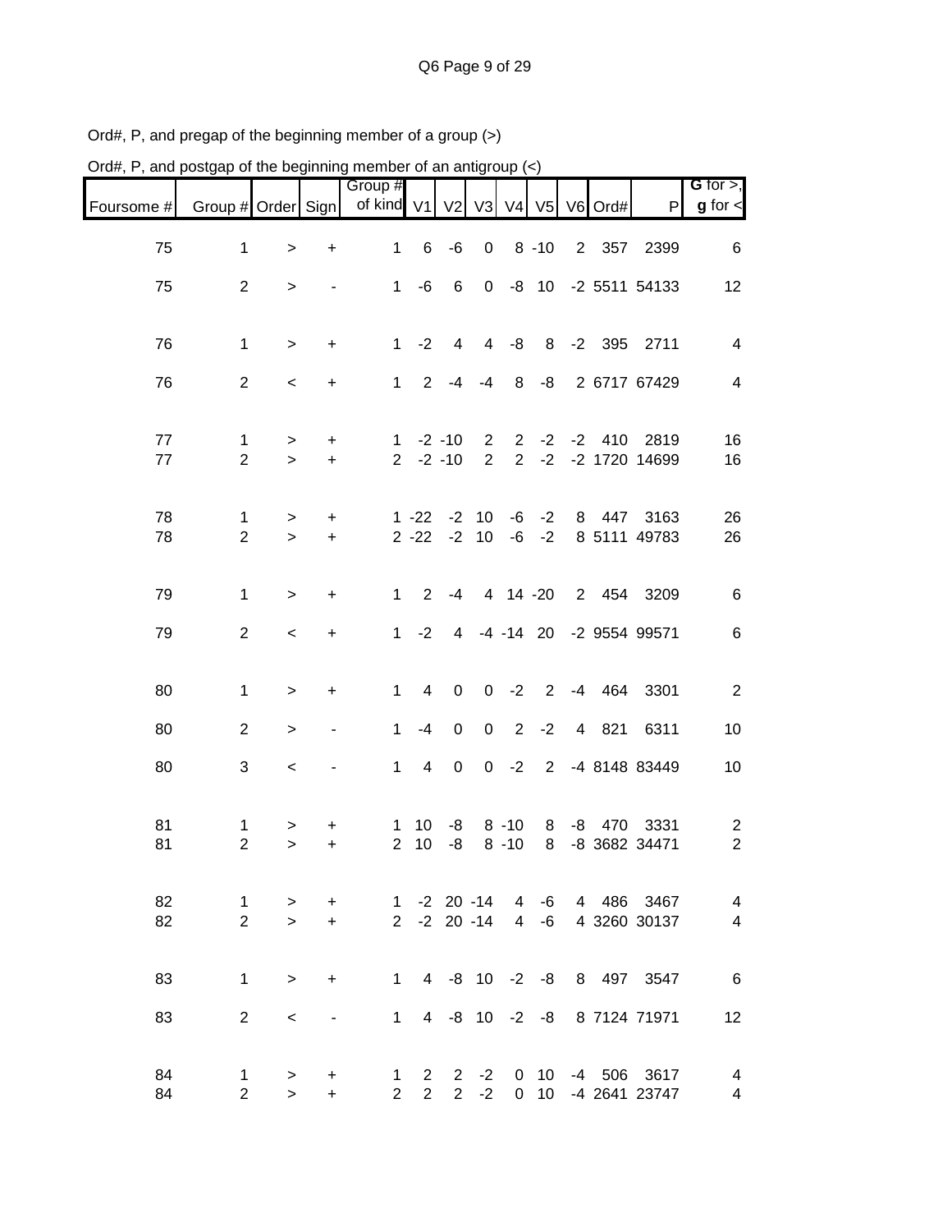| Ord#, P, and postgap of the beginning member of an antigroup (<) |                                |                     |                  |                                   |                      |                        |                                  |                     |                |                |          |                                                                  |                                           |
|------------------------------------------------------------------|--------------------------------|---------------------|------------------|-----------------------------------|----------------------|------------------------|----------------------------------|---------------------|----------------|----------------|----------|------------------------------------------------------------------|-------------------------------------------|
| Foursome #                                                       | Group # Order Sign             |                     |                  | Group #<br>of kind V1 V2 V3 V4 V5 |                      |                        |                                  |                     |                |                | V6 Ord#  | $\mathsf{P}$                                                     | $G$ for $>$ ,<br>$g$ for $\lt$            |
|                                                                  |                                |                     |                  |                                   |                      |                        |                                  |                     |                |                |          |                                                                  |                                           |
| 75                                                               | 1                              | $\geq$              | $\ddot{}$        | $\mathbf{1}$                      | 6                    | $-6$                   | $\boldsymbol{0}$                 |                     | $8 - 10$       | $\overline{2}$ | 357      | 2399                                                             | 6                                         |
| 75                                                               | $\overline{2}$                 | $\, > \,$           |                  | $\mathbf{1}$                      | $-6$                 | $\,6$                  | $\mathbf 0$                      | -8                  | 10             |                |          | -2 5511 54133                                                    | 12 <sub>2</sub>                           |
| 76                                                               | 1                              | $\,>$               | $\ddot{}$        | $\mathbf{1}$                      | $-2$                 | $\overline{4}$         | $\overline{4}$                   | $-8$                | 8              |                |          | -2 395 2711                                                      | 4                                         |
| 76                                                               | $\overline{2}$                 | $\,<\,$             | +                | 1                                 | 2                    | -4                     | $-4$                             | 8                   | -8             |                |          | 2 6717 67429                                                     | 4                                         |
| 77<br>77                                                         | 1<br>$\overline{2}$            | ><br>$\geq$         | +<br>$+$         | 1<br>$2^{\circ}$                  |                      | $-2 - 10$<br>$-2 - 10$ | $\overline{2}$<br>$\overline{2}$ | 2<br>$\overline{2}$ | $-2$<br>$-2$   | $-2$           | 410      | 2819<br>-2 1720 14699                                            | 16<br>16                                  |
| 78<br>78                                                         | 1<br>$\overline{2}$            | $\, > \,$<br>$\geq$ | +<br>$\ddot{}$   |                                   | $1 - 22$<br>$2 - 22$ | $-2$<br>$-2$           | 10<br>10                         | -6<br>-6            | $-2$<br>$-2$   | 8              | 447      | 3163<br>8 5111 49783                                             | 26<br>26                                  |
| 79                                                               | $\mathbf 1$                    | $\geq$              | +                | $\mathbf 1$                       | $\overline{2}$       | $-4$                   |                                  | 4 14 -20            |                |                |          | 2 454 3209                                                       | 6                                         |
| 79                                                               | $\overline{2}$                 | $\,<$               | $\ddot{}$        | 1                                 | $-2$                 |                        |                                  |                     | 4 -4 -14 20    |                |          | -2 9554 99571                                                    | 6                                         |
| 80                                                               | $\mathbf 1$                    | $\, > \,$           | +                | 1                                 | 4                    | $\mathbf 0$            | $\mathbf 0$                      | $-2$                | $\overline{2}$ |                | $-4$ 464 | 3301                                                             | $\overline{2}$                            |
| 80                                                               | 2                              | $\, > \,$           |                  | $\mathbf{1}$                      | $-4$                 | $\mathsf 0$            | $\mathbf 0$                      | 2                   | $-2$           | $\overline{4}$ | 821      | 6311                                                             | 10                                        |
| 80                                                               | 3                              | $\,<\,$             |                  | 1                                 | 4                    | $\mathsf 0$            | $\mathbf 0$                      | $-2$                | $2^{\circ}$    |                |          | -4 8148 83449                                                    | 10                                        |
| 81<br>81                                                         | 1<br>2                         | $\, > \,$           | +                | 1                                 | 10 <sup>°</sup>      | -8                     |                                  | $8 - 10$            | 8              | -8             | 470      | 3331<br>2 10 -8 8 -10 8 -8 3682 34471                            | $\overline{c}$<br>$\overline{2}$          |
| 82<br>82                                                         | $\mathbf{1}$<br>$\overline{2}$ | $\, >$<br>$\geq$    | $\ddot{}$<br>$+$ |                                   |                      |                        |                                  |                     |                |                |          | 1 -2 20 -14  4 -6  4  486  3467<br>2 -2 20 -14 4 -6 4 3260 30137 | $\overline{\mathbf{4}}$<br>$\overline{4}$ |
| 83                                                               | $\mathbf 1$                    | $\, >$              | $+$              |                                   |                      |                        |                                  |                     |                |                |          | 1 4 -8 10 -2 -8 8 497 3547                                       | $6\overline{6}$                           |
| 83                                                               | 2                              | $\,<$               | $\blacksquare$   |                                   |                      |                        |                                  |                     |                |                |          | 1 4 -8 10 -2 -8 8 7124 71971                                     | 12                                        |
| 84<br>84                                                         | 1<br>$\overline{c}$            | $\, >$<br>$\geq$    | $\pm$<br>$+$     |                                   | $2 \quad 2$          |                        |                                  |                     |                |                |          | 1 2 2 -2 0 10 -4 506 3617<br>2 -2 0 10 -4 2641 23747             | $\overline{4}$<br>$\overline{\mathbf{4}}$ |

Ord#, P, and pregap of the beginning member of a group (>)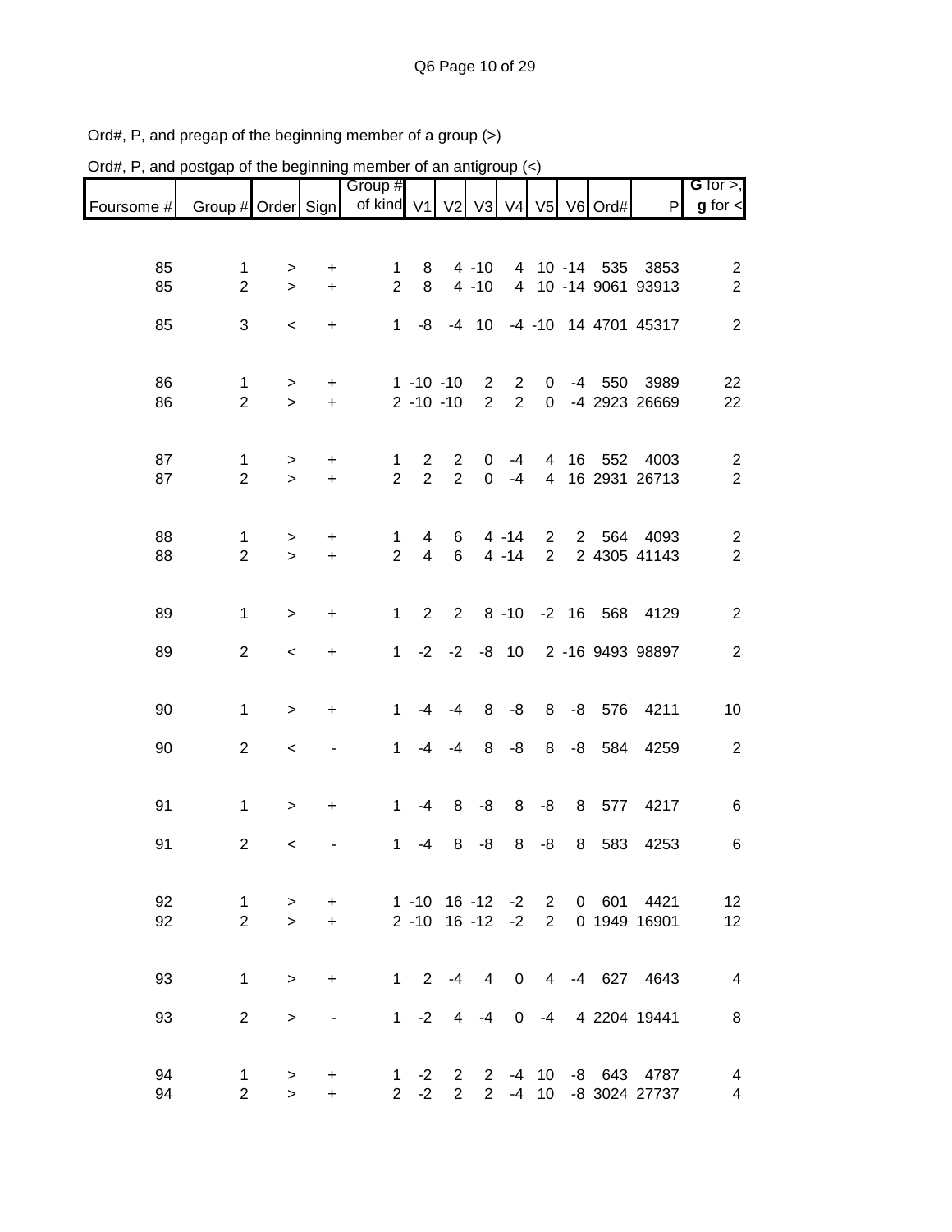| Ord#, P, and postgap of the beginning member of an antigroup $(\le)$ |                                |                       |                |                       |                                  |                                  |                                  |                                  |                                  |                |               |                                              |                                    |
|----------------------------------------------------------------------|--------------------------------|-----------------------|----------------|-----------------------|----------------------------------|----------------------------------|----------------------------------|----------------------------------|----------------------------------|----------------|---------------|----------------------------------------------|------------------------------------|
| Foursome #                                                           | Group # Order Sign             |                       |                | Group #<br>of kind V1 |                                  |                                  | V2 V3                            |                                  |                                  |                | V4 V5 V6 Ord# | P                                            | G for $>$ ,<br>$g$ for $\lt$       |
|                                                                      |                                |                       |                |                       |                                  |                                  |                                  |                                  |                                  |                |               |                                              |                                    |
| 85<br>85                                                             | 1<br>$\overline{2}$            | ><br>$\geq$           | +<br>$\ddot{}$ | 1<br>$\overline{2}$   | 8<br>8                           |                                  | $4 - 10$<br>$4 - 10$             |                                  |                                  |                | 4 10 -14 535  | 3853<br>4 10 -14 9061 93913                  | $\overline{c}$<br>$\overline{2}$   |
| 85                                                                   | $\sqrt{3}$                     | $\,<$                 | $\ddot{}$      | $\mathbf{1}$          | -8                               |                                  | $-4$ 10                          |                                  |                                  |                |               | -4 -10 14 4701 45317                         | $\overline{2}$                     |
| 86<br>86                                                             | $\mathbf 1$<br>$\overline{2}$  | $\,>$<br>$\mathbf{L}$ | +<br>$\ddot{}$ |                       | $1 - 10 - 10$<br>$2 - 10 - 10$   |                                  | $\overline{c}$<br>$\overline{2}$ | $\overline{2}$<br>$\overline{2}$ | 0<br>$\mathbf 0$                 | -4             | 550           | 3989<br>-4 2923 26669                        | 22<br>22                           |
| 87<br>87                                                             | $\mathbf{1}$<br>$\overline{2}$ | $\, > \,$<br>$\geq$   | +<br>$\ddot{}$ | 1<br>$\overline{2}$   | $\overline{2}$<br>$\overline{2}$ | $\overline{c}$<br>$\overline{2}$ | 0<br>$\mathbf 0$                 | -4<br>$-4$                       | 4<br>$\overline{4}$              | 16             | 552           | 4003<br>16 2931 26713                        | $\overline{c}$<br>$\overline{2}$   |
| 88<br>88                                                             | 1<br>$\overline{2}$            | $\, > \,$<br>$\geq$   | +<br>$\ddot{}$ | 1<br>$\overline{2}$   | 4<br>$\overline{4}$              | 6<br>6                           |                                  | $4 - 14$<br>$4 - 14$             | $\overline{2}$<br>$\overline{2}$ | $\overline{2}$ | 564           | 4093<br>2 4305 41143                         | $\overline{c}$<br>$\boldsymbol{2}$ |
| 89                                                                   | $\mathbf 1$                    | $\, > \,$             | +              | 1                     | $\overline{2}$                   | $\overline{2}$                   |                                  | $8 - 10$                         |                                  | $-2$ 16        | 568           | 4129                                         | $\overline{c}$                     |
| 89                                                                   | $\overline{2}$                 | $\,<\,$               | $\ddot{}$      | 1                     |                                  | $-2 -2$                          |                                  | $-8$ 10                          |                                  |                |               | 2 -16 9493 98897                             | $\overline{2}$                     |
| 90                                                                   | $\mathbf 1$                    | $\geq$                | +              | $\mathbf 1$           | $-4$                             | -4                               | 8                                | -8                               | 8                                | -8             | 576           | 4211                                         | 10                                 |
| 90                                                                   | $\overline{2}$                 | $\,<\,$               |                | $\mathbf{1}$          | $-4$                             | -4                               | 8                                | $-8$                             | 8                                | $-8$           | 584           | 4259                                         | $\overline{c}$                     |
| 91                                                                   | $\mathbf 1$                    | >                     | $\ddot{}$      | 1                     | $-4$                             | 8                                | -8                               | 8                                | -8                               | 8              | 577           | 4217                                         | 6                                  |
| 91                                                                   | $\overline{c}$                 | $\,<$                 |                | 1                     | $-4$                             | 8                                | -8                               | 8                                | -8                               | 8              | 583           | 4253                                         | 6                                  |
| 92<br>92                                                             | $\mathbf{1}$<br>$\overline{2}$ | ><br>$\geq$           | $+$<br>$+$     | 1 -10 16 -12 -2 2     | $2 - 10$ 16 $-12$ $-2$ 2         |                                  |                                  |                                  |                                  |                |               | 0 601 4421<br>0 1949 16901                   | 12<br>12                           |
| 93                                                                   | $\mathbf{1}$                   | $\,>$                 | $+$            |                       | $1 \t2 \t-4$                     |                                  |                                  |                                  |                                  |                |               | 4 0 4 -4 627 4643                            | $\overline{4}$                     |
| 93                                                                   | 2                              | $\, >$                | $\blacksquare$ |                       | $1 -2$                           | $\overline{4}$                   | $-4$                             | $\mathbf 0$                      |                                  |                |               | -4 4 2204 19441                              | 8                                  |
| 94<br>94                                                             | $\mathbf 1$<br>$\mathbf{2}$    | $\,>$<br>$\geq$       | +<br>$+$       |                       | $1 -2$<br>$2 -2$                 | $\mathbf{2}$<br>$\overline{2}$   |                                  |                                  |                                  |                |               | 2 -4 10 -8 643 4787<br>2 -4 10 -8 3024 27737 | 4<br>4                             |

Ord#, P, and pregap of the beginning member of a group (>)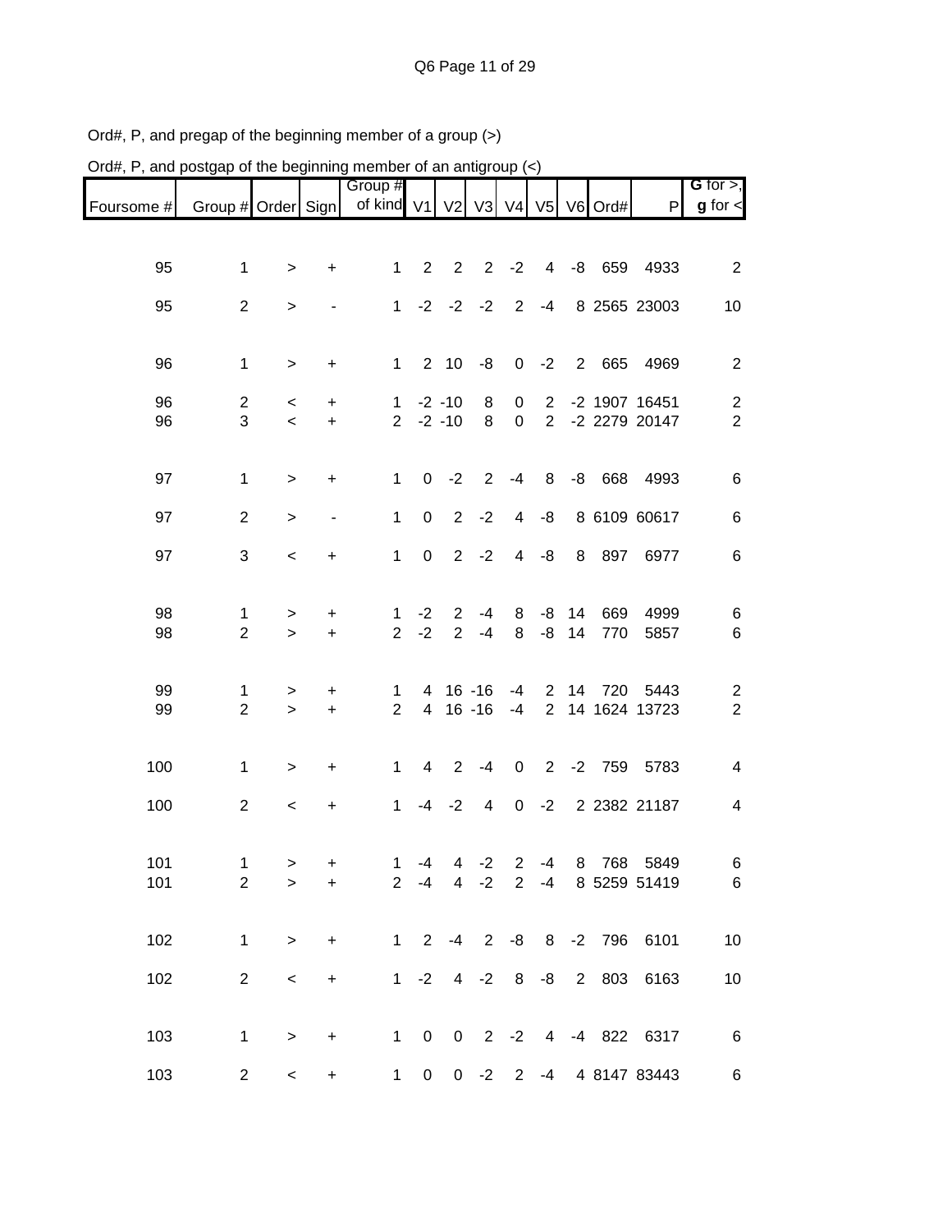| Ord#, P, and postgap of the beginning member of an antigroup $(\le)$ |                     |                   |                          |                                |                         |                     |                        |                         |                               |                |         |                            |                                           |
|----------------------------------------------------------------------|---------------------|-------------------|--------------------------|--------------------------------|-------------------------|---------------------|------------------------|-------------------------|-------------------------------|----------------|---------|----------------------------|-------------------------------------------|
| Foursome #                                                           | Group # Order Sign  |                   |                          | Group #<br>of kind $V1$        |                         | V <sub>2</sub>      | V3                     | V <sub>4</sub>          | V <sub>5</sub>                |                | V6 Ord# | $\mathsf{P}$               | G for $>$ ,<br>$g$ for $\lt$              |
|                                                                      |                     |                   |                          |                                |                         |                     |                        |                         |                               |                |         |                            |                                           |
| 95                                                                   | $\mathbf 1$         | >                 | $\ddot{}$                | 1                              | $\overline{2}$          | $\overline{2}$      | $\overline{2}$         | $-2$                    | $\overline{4}$                | -8             | 659     | 4933                       | $\overline{2}$                            |
| 95                                                                   | $\overline{2}$      | >                 |                          | $\mathbf{1}$                   | $-2$                    | $-2$                | $-2$                   | $\overline{2}$          | $-4$                          |                |         | 8 2565 23003               | 10                                        |
|                                                                      |                     |                   |                          |                                |                         |                     |                        |                         |                               |                |         |                            |                                           |
| 96                                                                   | $\mathbf 1$         | $\,$              | $\ddot{}$                | 1                              |                         | $2 10$              | -8                     | $\pmb{0}$               | $-2$                          | $\overline{2}$ | 665     | 4969                       | $\overline{c}$                            |
| 96                                                                   | $\overline{2}$      | $\,<\,$           | +                        | $\mathbf{1}$                   |                         | $-2 - 10$           | 8                      | 0                       | $\overline{2}$                |                |         | -2 1907 16451              | $\overline{\mathbf{c}}$                   |
| 96                                                                   | 3                   | $\,<$             | $\ddot{}$                | $\overline{2}$                 |                         | $-2 - 10$           | 8                      | $\pmb{0}$               | $\overline{2}$                |                |         | -2 2279 20147              | $\overline{2}$                            |
| 97                                                                   | $\mathbf 1$         | >                 | +                        | 1                              | 0                       | $-2$                | $\overline{2}$         | $-4$                    | 8                             | -8             | 668     | 4993                       | 6                                         |
| 97                                                                   | $\overline{2}$      |                   |                          | $\mathbf{1}$                   | $\pmb{0}$               | $\overline{2}$      | $-2$                   | $\overline{\mathbf{4}}$ | -8                            |                |         | 8 6109 60617               |                                           |
|                                                                      |                     | >                 | $\overline{\phantom{0}}$ |                                |                         |                     |                        |                         |                               |                |         |                            | 6                                         |
| 97                                                                   | $\sqrt{3}$          | $\,<\,$           | +                        | $\mathbf{1}$                   | $\pmb{0}$               | $\overline{2}$      | $-2$                   | $\overline{4}$          | -8                            | 8              | 897     | 6977                       | 6                                         |
| 98                                                                   | 1                   | >                 | +                        | 1                              | $-2$                    | 2                   | $-4$                   | 8                       | -8                            | 14             | 669     | 4999                       | 6                                         |
| 98                                                                   | $\overline{2}$      | $\geq$            | $\ddot{}$                | $\overline{2}$                 | $-2$                    | $\overline{2}$      | $-4$                   | 8                       | $-8$                          | 14             | 770     | 5857                       | 6                                         |
|                                                                      |                     |                   |                          |                                |                         |                     |                        |                         |                               |                |         |                            |                                           |
| 99<br>99                                                             | 1<br>$\overline{2}$ | ><br>$\geq$       | +<br>$\color{red}{+}$    | 1<br>$\overline{2}$            | 4<br>$\overline{4}$     |                     | $16 - 16$<br>$16 - 16$ | -4<br>$-4$              | $2^{\circ}$<br>$\overline{2}$ | 14             | 720     | 5443<br>14 1624 13723      | $\overline{\mathbf{c}}$<br>$\overline{c}$ |
|                                                                      |                     |                   |                          |                                |                         |                     |                        |                         |                               |                |         |                            |                                           |
| 100                                                                  | $\mathbf 1$         | $\, > \,$         | $\ddot{}$                | $\mathbf{1}$                   | $\overline{\mathbf{4}}$ | $\overline{2}$      | $-4$                   | $\mathbf 0$             | $\overline{2}$                | $-2$           | 759     | 5783                       | 4                                         |
| 100                                                                  | $\overline{2}$      | $\,<\,$           | +                        | 1                              | -4                      | $-2$                | 4                      | $\boldsymbol{0}$        | $-2$                          |                |         | 2 2382 21187               | 4                                         |
|                                                                      |                     |                   |                          |                                |                         |                     |                        |                         |                               |                |         |                            |                                           |
| 101<br>101                                                           | 1<br>$\overline{2}$ | ><br>$\mathbf{L}$ | +<br>$\ddot{}$           | $\mathbf{1}$<br>$\overline{2}$ | $-4$<br>$-4$            | 4<br>$\overline{4}$ | $-2$<br>$-2$           | $\overline{2}$<br>2     | $-4$<br>$-4$                  |                |         | 8 768 5849<br>8 5259 51419 | 6<br>$\,6$                                |
|                                                                      |                     |                   |                          |                                |                         |                     |                        |                         |                               |                |         |                            |                                           |
| 102                                                                  | $\mathbf{1}$        | $\,$              | $\ddot{}$                | $\mathbf{1}$                   | $\overline{2}$          | $-4$                | $2^{\circ}$            | -8                      |                               |                |         | 8 -2 796 6101              | 10                                        |
| 102                                                                  | $\overline{2}$      | $\,<$             | $+$                      |                                | $1 -2$                  |                     | $4 -2$                 | 8                       | -8                            |                | 2 803   | 6163                       | 10                                        |
|                                                                      |                     |                   |                          |                                |                         |                     |                        |                         |                               |                |         |                            |                                           |
| 103                                                                  | $\mathbf{1}$        | $\,$              | $\ddot{}$                | $\mathbf{1}$                   | $\overline{\mathbf{0}}$ |                     | $0 \t2 \t-2$           |                         |                               |                |         | 4 -4 822 6317              | 6                                         |
| 103                                                                  | $\overline{2}$      | $\,<$             | $\ddot{}$                | $\mathbf{1}$                   | $\overline{0}$          |                     | $0 -2$                 | $\overline{2}$          | -4                            |                |         | 4 8147 83443               | 6                                         |

Ord#, P, and pregap of the beginning member of a group (>)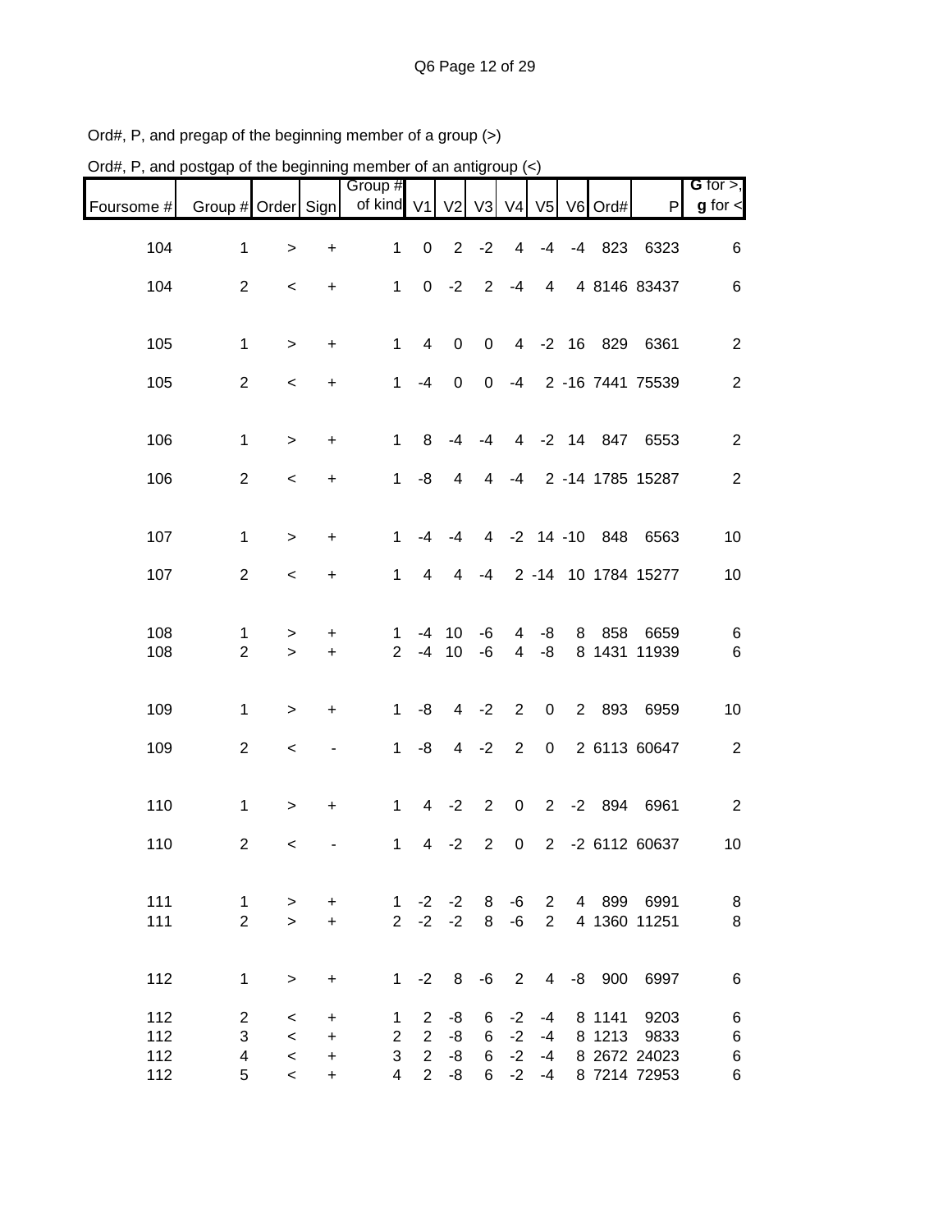| Ord#, P, and postgap of the beginning member of an antigroup $(\le)$ |                                |                                    |                                                 |                                                       |                                                    |                             |                                         |                                |                              |                |                     |                                              |                                  |
|----------------------------------------------------------------------|--------------------------------|------------------------------------|-------------------------------------------------|-------------------------------------------------------|----------------------------------------------------|-----------------------------|-----------------------------------------|--------------------------------|------------------------------|----------------|---------------------|----------------------------------------------|----------------------------------|
| Foursome #                                                           | Group # Order Sign             |                                    |                                                 | Group #<br>of kind V1                                 |                                                    |                             |                                         |                                |                              |                | V2 V3 V4 V5 V6 Ord# | $\mathsf{P}$                                 | G for $>$ ,<br>$g$ for $\lt$     |
| 104                                                                  | $\mathbf{1}$                   | $\geq$                             | $\ddot{}$                                       | 1                                                     | $\mathbf 0$                                        | $\overline{2}$              | $-2$                                    | 4                              | $-4$                         | $-4$           | 823                 | 6323                                         | 6                                |
| 104                                                                  | $\overline{2}$                 | $\,<$                              | +                                               | $\mathbf{1}$                                          | 0                                                  | $-2$                        | $\overline{2}$                          | $-4$                           | 4                            |                |                     | 4 8146 83437                                 | 6                                |
| 105                                                                  | 1                              | $\, > \,$                          | $\ddot{}$                                       | $\mathbf{1}$                                          | 4                                                  | $\pmb{0}$                   | $\mathbf 0$                             | $\overline{4}$                 | $-2$                         | 16             |                     | 829 6361                                     | $\overline{c}$                   |
| 105                                                                  | $\overline{2}$                 | $\,<$                              | $\ddot{}$                                       | 1                                                     | $-4$                                               | 0                           | 0                                       | -4                             |                              |                |                     | 2 -16 7441 75539                             | $\overline{c}$                   |
| 106                                                                  | 1                              | $\, > \,$                          | +                                               | 1                                                     | 8                                                  | $-4$                        | $-4$                                    | 4                              |                              |                | -2 14 847           | 6553                                         | $\overline{c}$                   |
| 106                                                                  | $\overline{c}$                 | $\,<\,$                            | +                                               | 1                                                     | -8                                                 | 4                           | 4                                       | $-4$                           |                              |                |                     | 2 -14 1785 15287                             | $\overline{2}$                   |
| 107                                                                  | 1                              | $\geq$                             | $\ddot{}$                                       | 1                                                     | $-4$                                               | $-4$                        |                                         |                                |                              | 4 -2 14 -10    | 848                 | 6563                                         | 10                               |
| 107                                                                  | $\overline{2}$                 | $\,<\,$                            | +                                               | $\mathbf{1}$                                          | 4                                                  | 4                           | $-4$                                    |                                |                              |                |                     | 2 -14 10 1784 15277                          | 10                               |
| 108<br>108                                                           | 1<br>$\overline{2}$            | ><br>$\geq$                        | +<br>$\ddot{}$                                  | 1<br>$\overline{2}$                                   | -4<br>$-4$                                         | 10<br>10                    | -6<br>-6                                | 4<br>$\overline{\mathcal{A}}$  | -8<br>-8                     | 8              | 858                 | 6659<br>8 1431 11939                         | 6<br>6                           |
| 109                                                                  | 1                              | >                                  | +                                               | $\mathbf{1}$                                          | -8                                                 | $\overline{4}$              | $-2$                                    | $\overline{2}$                 | $\pmb{0}$                    | $\overline{2}$ | 893                 | 6959                                         | 10                               |
| 109                                                                  | $\overline{c}$                 | $\,<\,$                            | -                                               | $\mathbf{1}$                                          | -8                                                 | $\overline{4}$              | $-2$                                    | $\overline{2}$                 | $\mathbf 0$                  |                |                     | 2 6113 60647                                 | $\overline{c}$                   |
| 110                                                                  | 1                              | $\, >$                             | $\ddot{}$                                       | 1                                                     |                                                    | $4 -2$                      | $\overline{2}$                          | $\mathbf 0$                    | $2^{\circ}$                  | $-2$           | 894                 | 6961                                         | 2                                |
| 110                                                                  | 2                              | $\epsilon$                         |                                                 |                                                       |                                                    | $1 \t 4 \t -2$              |                                         |                                |                              |                |                     | 2 0 2 -2 6112 60637                          | 10 <sup>°</sup>                  |
| 111<br>111                                                           | $\mathbf{1}$<br>$\overline{2}$ | $\,$<br>$\mathbf{r}$               | $\ddot{}$<br>$\ddot{}$                          |                                                       |                                                    | $2 -2 -2 8 -6$              |                                         |                                | $2^{\circ}$                  |                |                     | 1 -2 -2 8 -6 2 4 899 6991<br>4 1360 11251    | 8<br>$\,8\,$                     |
| 112                                                                  | $\mathbf{1}$                   | $\,$                               | $\begin{array}{c} + \end{array}$                |                                                       |                                                    |                             |                                         |                                |                              |                |                     | 1 -2 8 -6 2 4 -8 900 6997                    | $\,6\,$                          |
| 112<br>112<br>112<br>112                                             | $\overline{2}$<br>3<br>4<br>5  | $\,<$<br>$\prec$<br>$\,<$<br>$\,<$ | +<br>$\ddot{}$<br>$\boldsymbol{+}$<br>$\ddot{}$ | $\mathbf{1}$<br>$\overline{2}$<br>3<br>$\overline{4}$ | $\overline{2}$<br>$\overline{2}$<br>2 <sup>1</sup> | -8<br>-8<br>$-8$<br>$2 - 8$ | 6<br>$6\phantom{.}6$<br>$6\overline{6}$ | $-2$<br>$-2$<br>$-2$<br>$6 -2$ | $-4$<br>$-4$<br>$-4$<br>$-4$ |                | 8 1141<br>8 1213    | 9203<br>9833<br>8 2672 24023<br>8 7214 72953 | $\,6$<br>$\,6$<br>$\,6$<br>$\,6$ |

Ord#, P, and pregap of the beginning member of a group (>)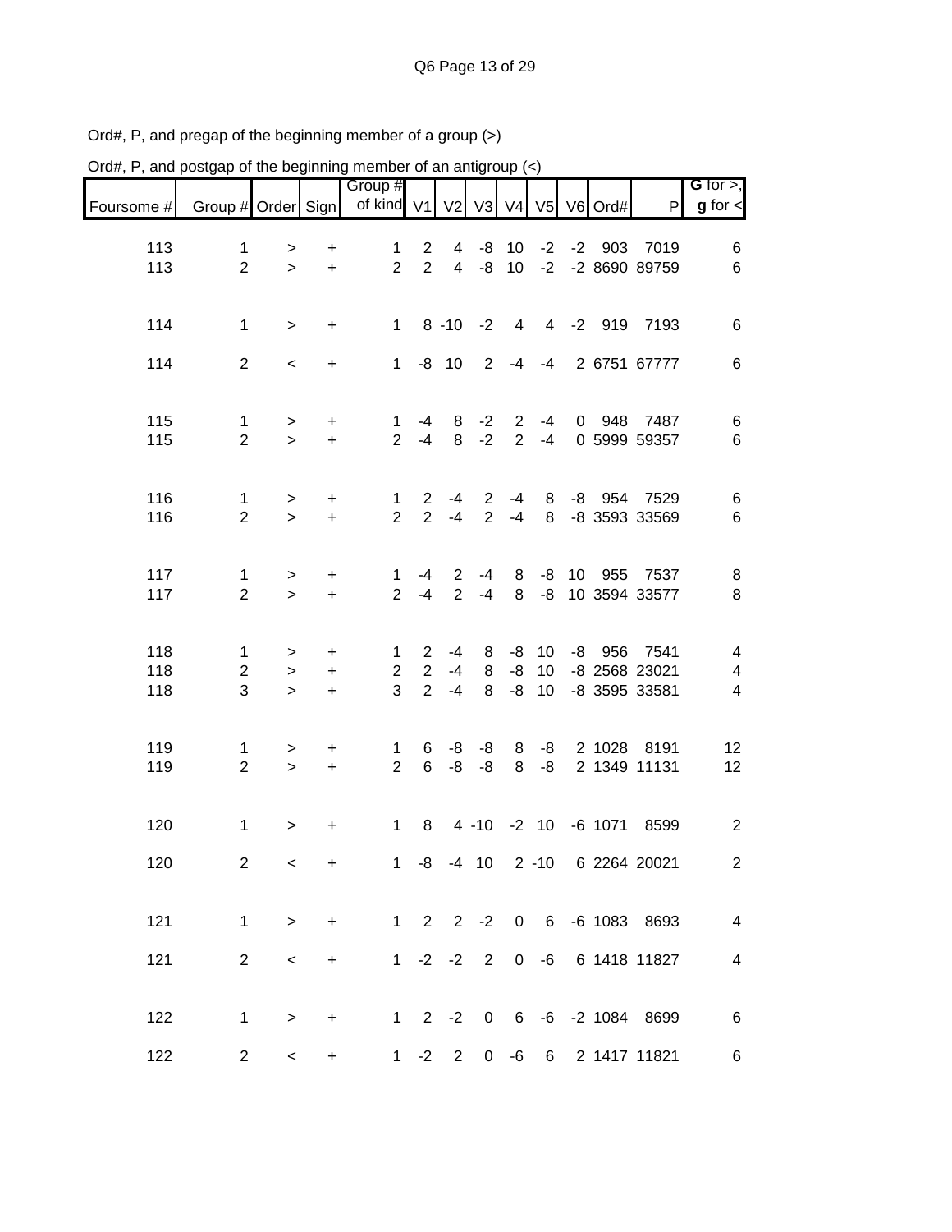| Ord#, P, and postgap of the beginning member of an antigroup (<) |                               |                          |                             |                          |                                                    |                      |                                  |                                  |                |      |           |                                        |                               |
|------------------------------------------------------------------|-------------------------------|--------------------------|-----------------------------|--------------------------|----------------------------------------------------|----------------------|----------------------------------|----------------------------------|----------------|------|-----------|----------------------------------------|-------------------------------|
| Foursome #                                                       | Group # Order Sign            |                          |                             | Group #<br>of kind V1    |                                                    | V <sub>2</sub>       | V3 V4                            |                                  | V <sub>5</sub> |      | V6 Ord#   | $\mathsf{P}$                           | G for $>$ ,<br>$g$ for $\leq$ |
| 113<br>113                                                       | $\mathbf 1$<br>$\overline{2}$ | $\geq$<br>$\geq$         | +<br>$\ddot{}$              | 1<br>$\overline{2}$      | $\overline{2}$<br>$\overline{2}$                   | 4<br>$\overline{4}$  | -8<br>-8                         | 10<br>10                         | $-2$<br>$-2$   | $-2$ | 903       | 7019<br>-2 8690 89759                  | 6<br>6                        |
| 114                                                              | 1                             | $\, >$                   | $\ddot{}$                   | $\mathbf{1}$             |                                                    | $8 - 10$             | $-2$                             | $\overline{4}$                   | $\overline{4}$ |      | $-2$ 919  | 7193                                   | 6                             |
| 114                                                              | $\overline{2}$                | $\,<\,$                  | +                           | 1                        | -8                                                 | 10                   | 2                                | -4                               | -4             |      |           | 2 6751 67777                           | 6                             |
| 115<br>115                                                       | 1<br>$\overline{2}$           | ><br>$\geq$              | +<br>$\ddot{}$              | 1<br>$\overline{2}$      | -4<br>$-4$                                         | 8<br>8               | $-2$<br>$-2$                     | $\overline{2}$<br>$\overline{2}$ | $-4$<br>$-4$   | 0    | 948       | 7487<br>0 5999 59357                   | 6<br>6                        |
| 116<br>116                                                       | 1<br>$\overline{2}$           | ><br>$\geq$              | +<br>$\ddot{}$              | 1<br>$\overline{2}$      | $\overline{2}$<br>$\overline{2}$                   | -4<br>$-4$           | $\overline{2}$<br>$\overline{2}$ | -4<br>$-4$                       | 8<br>8         | -8   | 954       | 7529<br>-8 3593 33569                  | 6<br>6                        |
| 117<br>117                                                       | 1<br>$\overline{2}$           | ><br>$\mathbf{L}$        | $\ddot{}$<br>$\ddot{}$      | 1<br>$\overline{2}$      | -4<br>$-4$                                         | 2<br>$\overline{2}$  | $-4$<br>$-4$                     | 8<br>8                           | -8<br>-8       | 10   | 955       | 7537<br>10 3594 33577                  | 8<br>8                        |
| 118<br>118<br>118                                                | 1<br>$\overline{2}$<br>3      | ><br>$\, >$<br>$\geq$    | +<br>$\ddot{}$<br>$\ddot{}$ | 1<br>$\overline{2}$<br>3 | $\overline{2}$<br>$\overline{2}$<br>$\overline{2}$ | $-4$<br>$-4$<br>$-4$ | 8<br>8<br>8                      | -8<br>$-8$<br>-8                 | 10<br>10<br>10 | -8   | 956       | 7541<br>-8 2568 23021<br>-8 3595 33581 | 4<br>4<br>4                   |
| 119<br>119                                                       | 1<br>$\overline{2}$           | ><br>$\geq$              | +<br>$+$                    | 1<br>$\overline{2}$      | 6<br>6                                             | -8<br>-8             | -8<br>-8                         | 8<br>8                           | -8<br>-8       |      | 2 1028    | 8191<br>2 1349 11131                   | 12<br>12                      |
| 120                                                              | 1                             | $\, > \,$                | +                           | 1                        | 8                                                  |                      | $4 - 10$                         | $-2$ 10                          |                |      | $-6$ 1071 | 8599                                   | 2                             |
| 120                                                              | $\overline{2}$                | $\,<$                    | $+$                         |                          |                                                    |                      |                                  |                                  |                |      |           | 1 -8 -4 10 2 -10 6 2264 20021          | $\overline{2}$                |
| 121                                                              | $\mathbf 1$                   | $\,$                     | $\ddot{}$                   |                          |                                                    |                      |                                  |                                  |                |      |           | 1 2 2 -2 0 6 -6 1083 8693              | $\overline{4}$                |
| 121                                                              | $\overline{2}$                | $\,<$                    | $\ddot{}$                   |                          |                                                    |                      |                                  |                                  |                |      |           | 1 -2 -2 2 0 -6 6 1418 11827            | $\overline{4}$                |
| 122                                                              | $\mathbf 1$                   | $\, >$                   | $+$                         |                          |                                                    |                      |                                  |                                  |                |      |           | 1 2 -2 0 6 -6 -2 1084 8699             | $\,6$                         |
| 122                                                              | $\overline{2}$                | $\overline{\phantom{0}}$ | $\ddot{}$                   |                          | $1 -2$                                             | $2^{\circ}$          |                                  | $0 - 6$                          |                |      |           | 6 2 1417 11821                         | 6                             |

Ord#, P, and pregap of the beginning member of a group (>)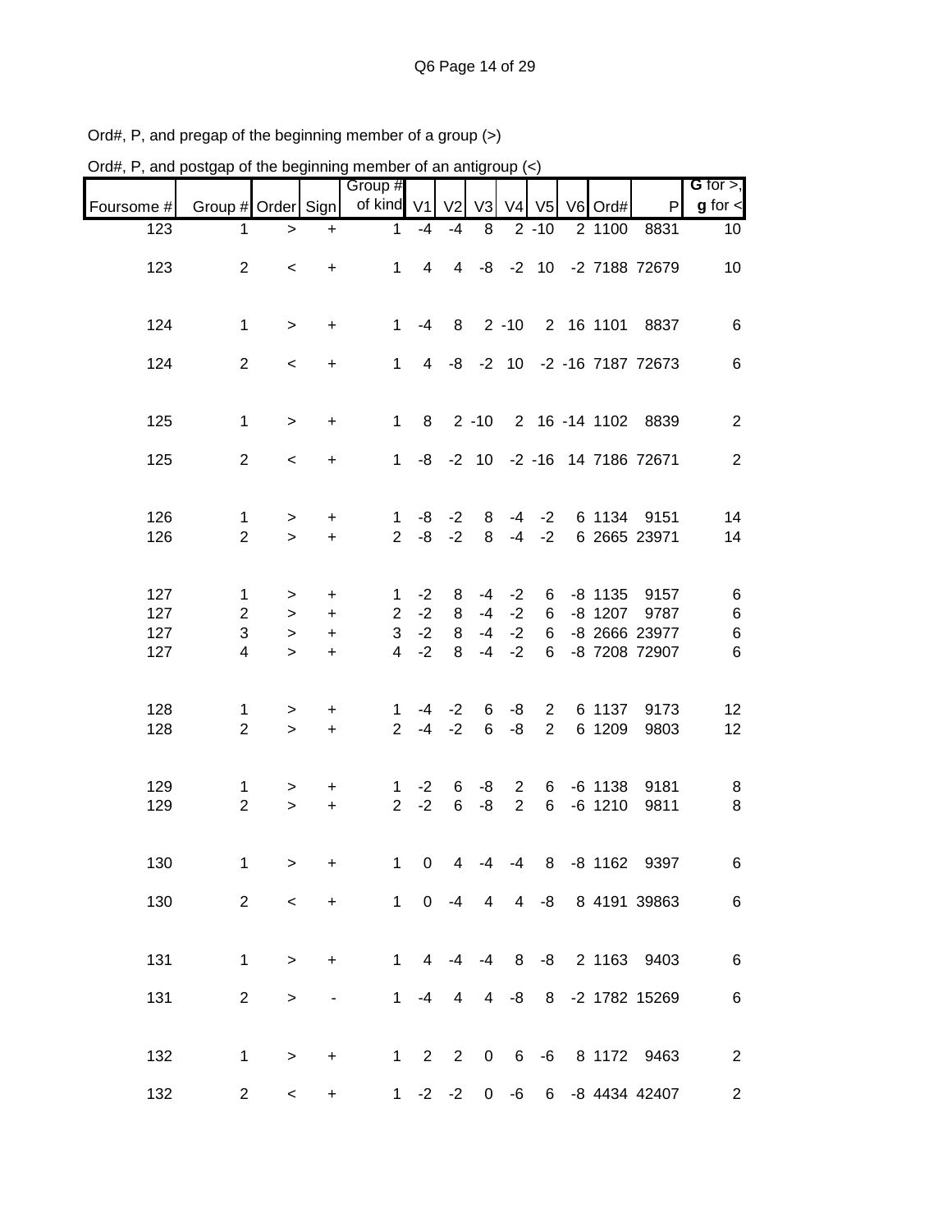| Ord#, P, and postgap of the beginning member of an antigroup $(\le)$ |                     |                     |                              |                     |                |                |                 |                                  |                                  |                        |                                |                |
|----------------------------------------------------------------------|---------------------|---------------------|------------------------------|---------------------|----------------|----------------|-----------------|----------------------------------|----------------------------------|------------------------|--------------------------------|----------------|
|                                                                      |                     |                     |                              | Group #             |                |                |                 |                                  |                                  |                        |                                | G for $>$ ,    |
| Foursome #<br>123                                                    | Group # Order Sign  |                     |                              | of kind $V1$        |                | V <sub>2</sub> | V3              |                                  | V4 V5<br>$2 - 10$                | V6 Ord#<br>2 1100      | P<br>8831                      | $g$ for $\lt$  |
|                                                                      | 1                   | $\, > \,$           | $\ddot{}$                    | 1                   | $-4$           | $-4$           | 8               |                                  |                                  |                        |                                | 10             |
| 123                                                                  | $\overline{2}$      | $\,<$               | $\ddot{}$                    | $\mathbf{1}$        | $\overline{4}$ | $\overline{4}$ |                 | $-8$ $-2$ 10                     |                                  |                        | -2 7188 72679                  | 10             |
| 124                                                                  | $\mathbf 1$         | $\geq$              | $\ddot{}$                    | $\mathbf{1}$        | -4             | 8              |                 | $2 - 10$                         |                                  | 2 16 1101              | 8837                           | 6              |
| 124                                                                  | $\overline{2}$      | $\,<$               | $\ddot{}$                    | $\mathbf{1}$        |                |                |                 |                                  |                                  |                        | 4 -8 -2 10 -2 -16 7187 72673   | 6              |
| 125                                                                  | $\mathbf{1}$        | $\geq$              | $\ddot{}$                    | $\mathbf{1}$        | 8              |                | $2 - 10$        |                                  |                                  |                        | 2 16 -14 1102 8839             | $\overline{2}$ |
| 125                                                                  | $\overline{2}$      | $\prec$             | $\ddot{}$                    | $\mathbf{1}$        |                |                |                 |                                  |                                  |                        | -8 -2 10 -2 -16 14 7186 72671  | 2              |
| 126<br>126                                                           | 1<br>$\overline{2}$ | $\,$<br>$\geq$      | $\ddot{}$<br>$\ddot{}$       | 1<br>$\overline{2}$ | -8<br>-8       | $-2$<br>$-2$   | 8<br>8          | -4<br>$-4$                       | $-2$<br>$-2$                     | 6 1134                 | 9151<br>6 2665 23971           | 14<br>14       |
| 127                                                                  | 1                   | >                   | +                            | 1                   | $-2$           | 8              | -4              | $-2$                             | 6                                | $-8$ 1135              | 9157                           | 6              |
| 127                                                                  | $\overline{2}$      | $\, >$              | $\ddot{}$                    | $\overline{2}$      | $-2$           | 8              | $-4$            | $-2$                             | 6                                | $-8$ 1207              | 9787                           | 6              |
| 127<br>127                                                           | 3<br>4              | $\, > \,$<br>$\geq$ | +<br>$\ddot{}$               | 3<br>$\overline{4}$ | $-2$<br>$-2$   | 8<br>8         | $-4$<br>$-4$    | $-2$<br>$-2$                     | 6<br>6                           |                        | -8 2666 23977<br>-8 7208 72907 | $\,6$<br>6     |
| 128<br>128                                                           | 1<br>$\overline{2}$ | $\, > \,$<br>$\geq$ | +<br>$\ddot{}$               | 1<br>$\overline{2}$ | $-4$<br>$-4$   | $-2$<br>$-2$   | 6<br>6          | -8<br>-8                         | $\overline{2}$<br>$\overline{2}$ | 6 1137<br>6 1209       | 9173<br>9803                   | 12<br>12       |
| 129<br>129                                                           | 1<br>$\overline{2}$ | ><br>$\geq$         | $\ddot{}$<br>$\ddot{}$       | 1<br>$\overline{2}$ | $-2$<br>$-2$   | 6<br>6         | -8<br>-8        | $\overline{2}$<br>$\overline{2}$ | 6<br>6                           | $-6$ 1138<br>$-6$ 1210 | 9181<br>9811                   | 8<br>8         |
| 130                                                                  | 1                   | $\geq$              | $\ddot{}$                    | $\mathbf{1}$        | $\pmb{0}$      | $\overline{4}$ |                 | $-4$ $-4$                        | 8                                |                        | -8 1162 9397                   | 6              |
| 130                                                                  | $\overline{2}$      | $\,<$               | $\ddot{}$                    |                     | $1 \quad$      | $0 -4$         | $4\overline{ }$ | $\overline{4}$                   | -8                               |                        | 8 4191 39863                   | $\,6$          |
| 131                                                                  | 1                   | $\geq$              | $\ddot{}$                    |                     |                |                |                 |                                  |                                  |                        | 1 4 -4 -4 8 -8 2 1163 9403     | $\,6\,$        |
| 131                                                                  | $\overline{2}$      | $\, >$              | $\qquad \qquad \blacksquare$ |                     | $1 - 4$        | $\overline{4}$ |                 | $4 - 8$                          |                                  |                        | 8 -2 1782 15269                | $\,6$          |
| 132                                                                  | 1                   | $\,$                | $\ddot{}$                    |                     | $1\quad 2$     | $2^{\circ}$    |                 |                                  |                                  |                        | 0 6 -6 8 1172 9463             | $\sqrt{2}$     |
| 132                                                                  | $\overline{c}$      | $\,<\,$             | $\ddot{}$                    |                     |                |                |                 |                                  |                                  |                        | 1 -2 -2 0 -6 6 -8 4434 42407   | $\mathbf{2}$   |

Ord#, P, and pregap of the beginning member of a group (>)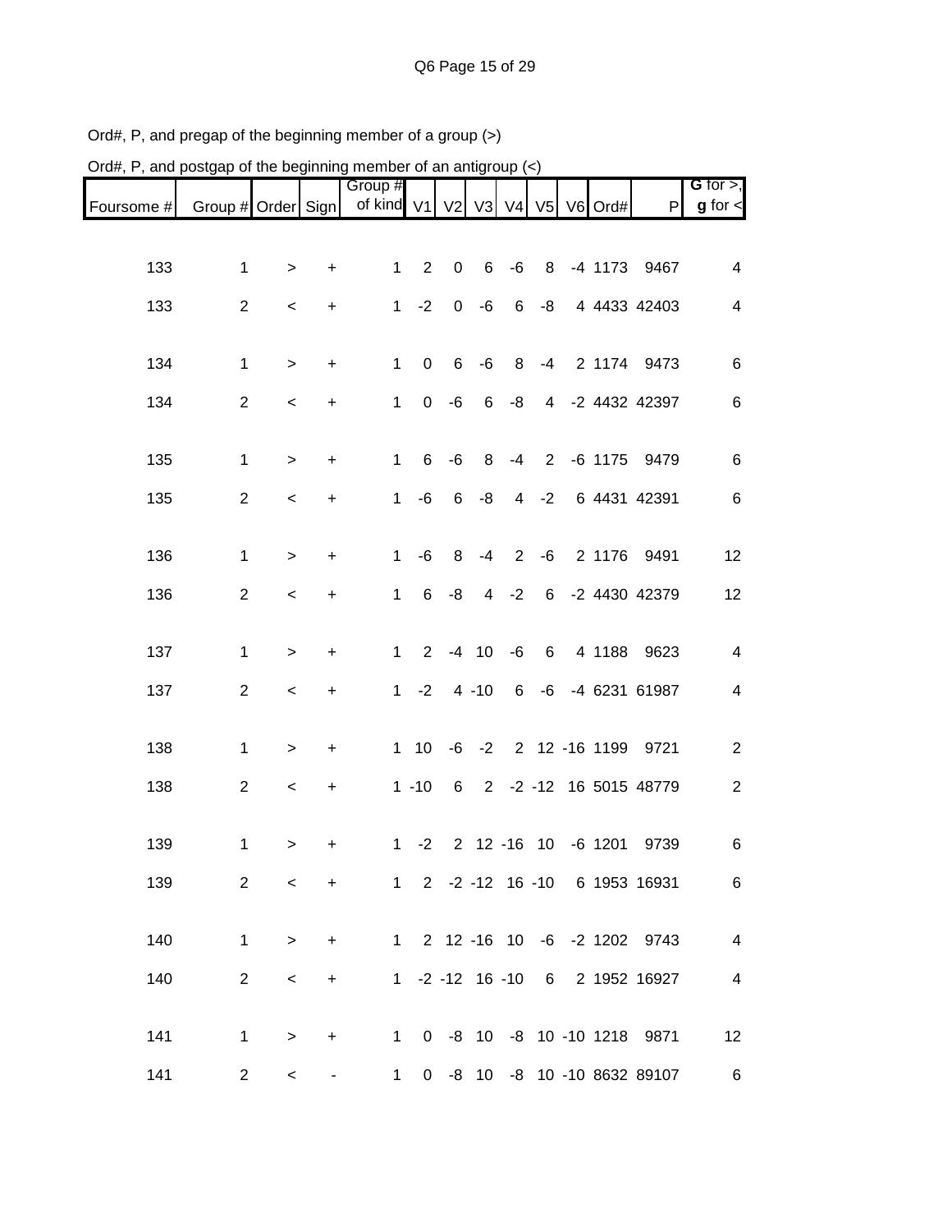| Ord#, P, and postgap of the beginning member of an antigroup $\left\langle \epsilon \right\rangle$ |                    |                          |           |                       |                |              |                |                         |                |                          |                                |                              |
|----------------------------------------------------------------------------------------------------|--------------------|--------------------------|-----------|-----------------------|----------------|--------------|----------------|-------------------------|----------------|--------------------------|--------------------------------|------------------------------|
| Foursome #                                                                                         | Group # Order Sign |                          |           | Group #<br>of kind V1 |                |              |                |                         |                | V2 V3 V4 V5 V6 Ord#      | $\mathsf{P}$                   | G for $>$ ,<br>$g$ for $\lt$ |
|                                                                                                    |                    |                          |           |                       |                |              |                |                         |                |                          |                                |                              |
| 133                                                                                                | 1                  | $\geq$                   | +         | $\mathbf{1}$          | $\overline{2}$ | $\pmb{0}$    | $\,6$          | $-6$                    | 8              | $-4$ 1173                | 9467                           | 4                            |
| 133                                                                                                | $\overline{2}$     | $\,<$                    | $\ddot{}$ | $\mathbf{1}$          | $-2$           | $\mathbf 0$  | $-6$           | 6                       | -8             |                          | 4 4433 42403                   | $\overline{4}$               |
| 134                                                                                                | 1                  | $\, > \,$                | +         | 1                     | $\pmb{0}$      | 6            | $-6$           | 8                       | $-4$           | 2 1174                   | 9473                           | 6                            |
| 134                                                                                                | $\overline{2}$     | $\,<$                    | $\ddot{}$ | 1                     | 0              | -6           | 6              | -8                      | $\overline{4}$ |                          | -2 4432 42397                  | 6                            |
| 135                                                                                                | 1                  | $\, > \,$                | +         | 1                     | 6              | $-6$         | 8              | $-4$                    | $2^{\circ}$    | $-6$ 1175                | 9479                           | 6                            |
| 135                                                                                                | $\overline{2}$     | $\,<\,$                  | +         | 1                     | -6             | 6            | -8             | $\overline{\mathbf{4}}$ | $-2$           |                          | 6 4431 42391                   | 6                            |
| 136                                                                                                | 1                  | $\geq$                   | +         | 1                     | -6             | 8            | $-4$           | 2                       | -6             | 2 1176                   | 9491                           | 12                           |
| 136                                                                                                | $\overline{c}$     | $\,<\,$                  | +         | $\mathbf{1}$          | 6              | -8           | $\overline{4}$ | $-2$                    | 6              |                          | -2 4430 42379                  | 12                           |
| 137                                                                                                | 1                  | >                        | $\ddot{}$ | $\mathbf{1}$          |                | $2 -4 10 -6$ |                |                         | 6              | 4 1188                   | 9623                           | $\overline{\mathcal{A}}$     |
| 137                                                                                                | $\overline{2}$     | $\,<$                    | +         | $\mathbf 1$           | $-2$           |              | $4 - 10$       | 6                       | -6             |                          | -4 6231 61987                  | 4                            |
| 138                                                                                                | 1                  | $\, > \,$                | +         |                       | $1 \quad 10$   |              | $-6 -2$        |                         |                | 2 12 -16 1199            | 9721                           | $\overline{c}$               |
| 138                                                                                                | $\overline{c}$     | $\,<$                    | +         |                       | $1 - 10$       | 6            |                |                         |                |                          | 2 -2 -12 16 5015 48779         | $\overline{2}$               |
| 139                                                                                                | 1.                 | $\geq$                   | $\ddot{}$ |                       |                |              |                |                         |                | 1 -2 2 12 -16 10 -6 1201 | 9739                           | 6                            |
| 139                                                                                                | $\overline{2}$     | $\,<$                    | $+$       |                       |                |              |                |                         |                |                          | 1 2 -2 -12 16 -10 6 1953 16931 | $\,6$                        |
| 140                                                                                                | $\mathbf{1}$       | $\, >$                   | $\ddot{}$ |                       |                |              |                |                         |                |                          | 1 2 12 -16 10 -6 -2 1202 9743  | $\overline{4}$               |
| 140                                                                                                | $\overline{2}$     | $\,<$                    | $+$       |                       |                |              |                |                         |                |                          | 1 -2 -12 16 -10 6 2 1952 16927 | $\overline{\mathbf{4}}$      |
| 141                                                                                                | $\mathbf 1$        | $\, >$                   | $+$       |                       |                |              |                |                         |                |                          | 1 0 -8 10 -8 10 -10 1218 9871  | 12                           |
| 141                                                                                                | $\overline{a}$     | $\overline{\phantom{0}}$ | ۰         |                       |                |              |                |                         |                |                          | 1 0 -8 10 -8 10 -10 8632 89107 | $6\overline{6}$              |

Ord#, P, and pregap of the beginning member of a group (>)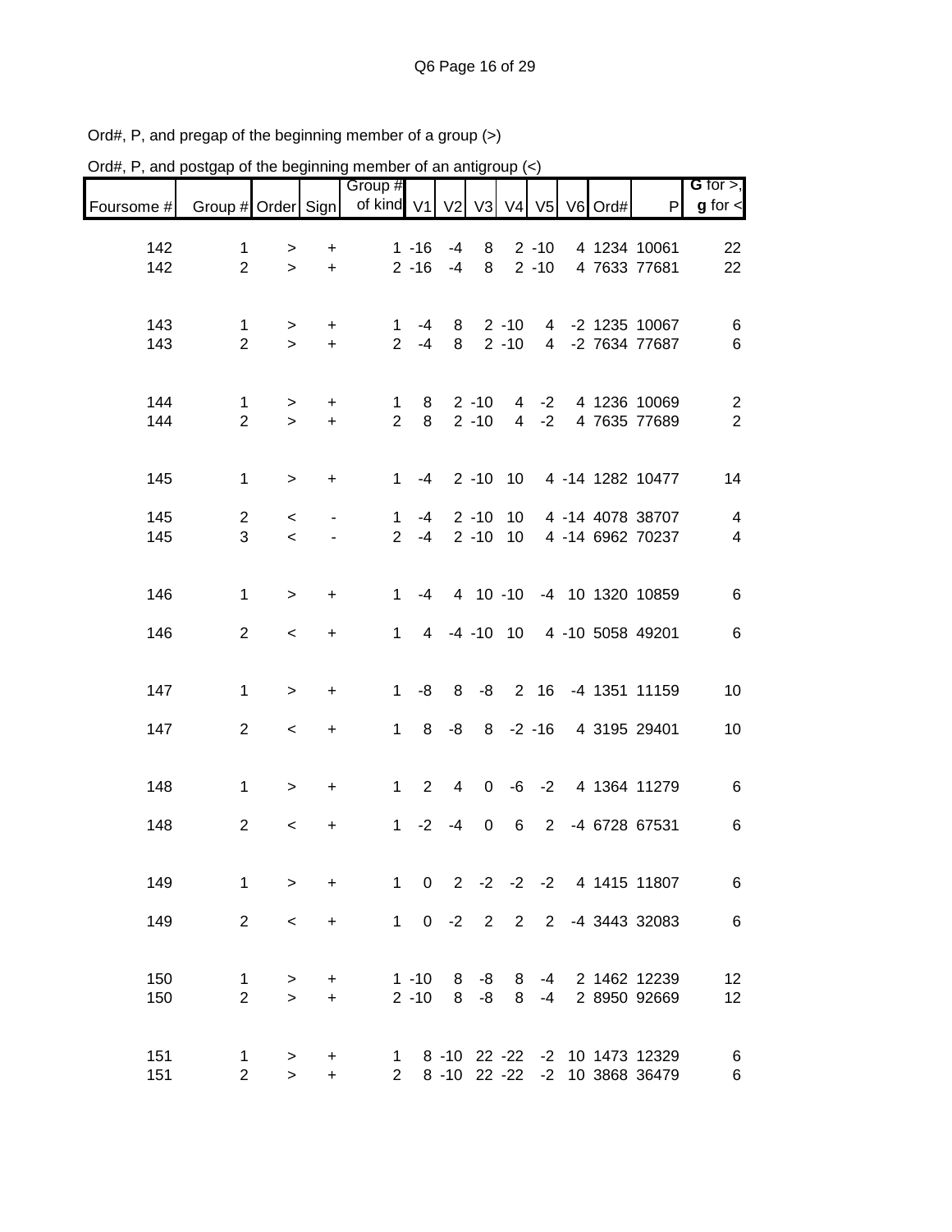| Ord#, P, and postgap of the beginning member of an antigroup $\left\langle \epsilon \right\rangle$ |                    |           |           |                |                |                |             |                 |                |                  |                                 |                         |
|----------------------------------------------------------------------------------------------------|--------------------|-----------|-----------|----------------|----------------|----------------|-------------|-----------------|----------------|------------------|---------------------------------|-------------------------|
|                                                                                                    |                    |           |           | Group #        |                |                |             |                 |                |                  |                                 | $G$ for $>$ ,           |
| Foursome #                                                                                         | Group # Order Sign |           |           | of kind V1     |                | V <sub>2</sub> |             |                 |                | V3 V4 V5 V6 Ord# | P                               | $g$ for $\lt$           |
| 142                                                                                                | $\mathbf 1$        | $\, > \,$ | +         |                | $1 - 16$       | $-4$           | 8           |                 | $2 - 10$       |                  | 4 1234 10061                    | 22                      |
| 142                                                                                                | $\overline{2}$     | $\geq$    | $\ddot{}$ |                | $2 - 16$       | $-4$           | 8           |                 | $2 - 10$       |                  | 4 7633 77681                    | 22                      |
|                                                                                                    |                    |           |           |                |                |                |             |                 |                |                  |                                 |                         |
| 143                                                                                                | 1                  | >         | +         | 1              | -4             | 8              |             | $2 - 10$        | $\overline{4}$ |                  | -2 1235 10067                   | $\,6$                   |
| 143                                                                                                | $\overline{2}$     | $\geq$    | $+$       | $\overline{2}$ | $-4$           | 8              |             | $2 - 10$        | $\overline{4}$ |                  | -2 7634 77687                   | $\,6$                   |
|                                                                                                    |                    |           |           |                |                |                |             |                 |                |                  |                                 |                         |
| 144                                                                                                | $\mathbf 1$        | $\, >$    | +         | $\mathbf 1$    | 8              |                | $2 - 10$    | 4               | $-2$           |                  | 4 1236 10069                    | $\overline{c}$          |
| 144                                                                                                | $\overline{2}$     | $\geq$    | $\ddot{}$ | $\overline{2}$ | 8              |                | $2 - 10$    | $\overline{4}$  | $-2$           |                  | 4 7635 77689                    | $\overline{2}$          |
|                                                                                                    |                    |           |           |                |                |                |             |                 |                |                  |                                 |                         |
| 145                                                                                                | $\mathbf{1}$       | $\geq$    | $\ddot{}$ | $\mathbf{1}$   | $-4$           |                | $2 - 10$ 10 |                 |                |                  | 4 -14 1282 10477                | 14                      |
|                                                                                                    |                    |           |           |                |                |                |             |                 |                |                  |                                 |                         |
| 145                                                                                                | $\overline{2}$     | $\,<$     |           | $\mathbf{1}$   | $-4$           |                | $2 - 10$    | 10 <sup>°</sup> |                |                  | 4 -14 4078 38707                | $\overline{\mathbf{4}}$ |
| 145                                                                                                | 3                  | $\prec$   |           | $\overline{2}$ | $-4$           |                | $2 - 10$    | 10              |                |                  | 4 -14 6962 70237                | $\overline{\mathbf{4}}$ |
|                                                                                                    |                    |           |           |                |                |                |             |                 |                |                  |                                 |                         |
| 146                                                                                                | $\mathbf{1}$       | $\geq$    | $\ddot{}$ | $\mathbf{1}$   | $-4$           |                | 4 10 -10    |                 |                |                  | -4 10 1320 10859                | 6                       |
|                                                                                                    |                    |           |           |                |                |                |             |                 |                |                  |                                 |                         |
| 146                                                                                                | $\overline{2}$     | $\,<$     | $\ddot{}$ | 1              |                | 4 -4 -10 10    |             |                 |                |                  | 4 -10 5058 49201                | $\,6\,$                 |
|                                                                                                    |                    |           |           |                |                |                |             |                 |                |                  |                                 |                         |
| 147                                                                                                | $\mathbf 1$        | $\geq$    | $\ddot{}$ | $\mathbf{1}$   | -8             | 8              | -8          |                 | 2 16           |                  | -4 1351 11159                   | 10                      |
| 147                                                                                                | $\overline{2}$     | $\,<$     | +         | 1              | 8              | -8             | 8           |                 | $-2 - 16$      |                  | 4 3195 29401                    | 10                      |
|                                                                                                    |                    |           |           |                |                |                |             |                 |                |                  |                                 |                         |
|                                                                                                    |                    |           |           |                |                |                |             |                 |                |                  |                                 |                         |
| 148                                                                                                | $\mathbf 1$        | >         | $\ddot{}$ | $\mathbf{1}$   | $\overline{2}$ | $\overline{4}$ | $\mathbf 0$ | -6              | $-2$           |                  | 4 1364 11279                    | $\,6$                   |
| 148                                                                                                | $\overline{2}$     | $\,<\,$   | +         | 1              | $-2$           | $-4$           | 0           | 6               | $2^{\circ}$    |                  | -4 6728 67531                   | $\,6$                   |
|                                                                                                    |                    |           |           |                |                |                |             |                 |                |                  |                                 |                         |
| 149                                                                                                | $\mathbf{1}$       | $\geq$    | $\ddot{}$ |                |                |                |             |                 |                |                  | 1 0 2 -2 -2 -2 4 1415 11807     | $\,6$                   |
|                                                                                                    |                    |           |           |                |                |                |             |                 |                |                  |                                 |                         |
| 149                                                                                                | 2                  | $\,<\,$   | $\ddot{}$ |                | $1 \t 0 \t -2$ |                | 2 2         |                 |                |                  | 2 -4 3443 32083                 | $\,6$                   |
|                                                                                                    |                    |           |           |                |                |                |             |                 |                |                  |                                 |                         |
| 150                                                                                                | $\mathbf{1}$       | >         | $\pm$     |                | $1 - 10$       |                | $8 - 8 8$   |                 | -4             |                  | 2 1462 12239                    | 12                      |
| 150                                                                                                | $\overline{2}$     | $\geq$    | $+$       |                | $2 - 10$       |                | $8 - 8$     | 8               | -4             |                  | 2 8950 92669                    | 12                      |
|                                                                                                    |                    |           |           |                |                |                |             |                 |                |                  |                                 |                         |
| 151                                                                                                | 1                  | $\, >$    | +         |                |                |                |             |                 |                |                  | 1 8 -10 22 -22 -2 10 1473 12329 | 6                       |
| 151                                                                                                | $\overline{2}$     | $\, >$    | $\ddot{}$ |                |                |                |             |                 |                |                  | 2 8 -10 22 -22 -2 10 3868 36479 | 6                       |

Ord#, P, and pregap of the beginning member of a group (>)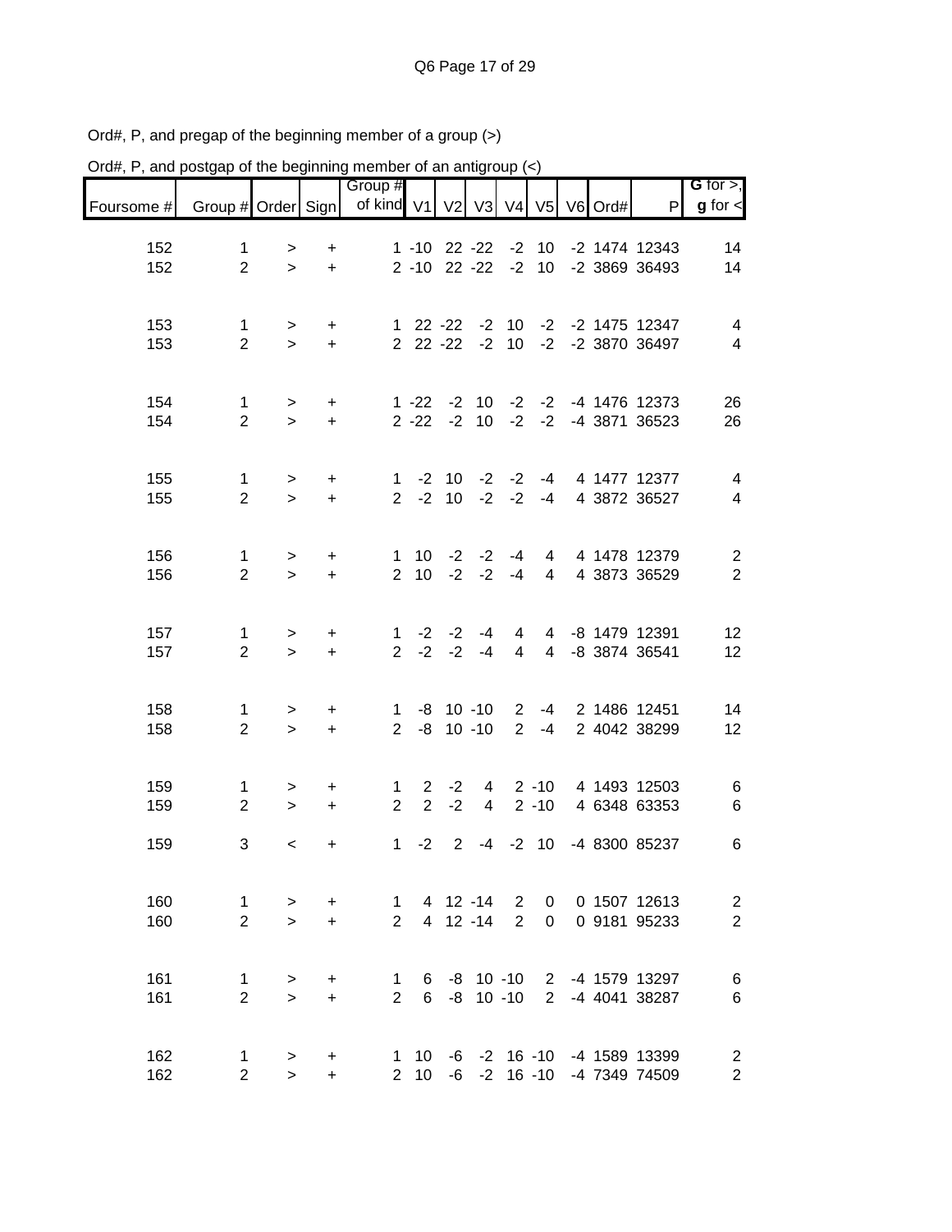| Ord#, P, and postgap of the beginning member of an antigroup $\left\langle \epsilon \right\rangle$ |                                |                      |                  |                |                   |                |                   |                |                 |                  |                                                                    |                                  |
|----------------------------------------------------------------------------------------------------|--------------------------------|----------------------|------------------|----------------|-------------------|----------------|-------------------|----------------|-----------------|------------------|--------------------------------------------------------------------|----------------------------------|
|                                                                                                    |                                |                      |                  | Group #        |                   |                |                   |                |                 |                  |                                                                    | G for $>$ ,                      |
| Foursome #                                                                                         | Group # Order Sign             |                      |                  | of kind V1     |                   | V <sub>2</sub> |                   |                |                 | V3 V4 V5 V6 Ord# | P                                                                  | $g$ for $\lt$                    |
|                                                                                                    |                                |                      |                  |                |                   |                |                   |                |                 |                  |                                                                    |                                  |
| 152                                                                                                | 1                              | >                    | $\ddot{}$        |                | $1 - 10$ 22 $-22$ |                |                   | $-2$           | 10              |                  | -2 1474 12343                                                      | 14                               |
| 152                                                                                                | $\overline{2}$                 | $\geq$               | $+$              |                | $2 - 10$ 22 $-22$ |                |                   | $-2$           | 10 <sup>°</sup> |                  | -2 3869 36493                                                      | 14                               |
|                                                                                                    |                                |                      |                  |                |                   |                |                   |                |                 |                  |                                                                    |                                  |
| 153                                                                                                | $\mathbf 1$                    | $\, > \,$            | $\pm$            |                | $122 -22$         |                |                   | $-2$ 10        |                 |                  | -2 -2 1475 12347                                                   | 4                                |
| 153                                                                                                | $\overline{2}$                 | $\geq$               | $+$              |                | 2 22 -22 -2 10    |                |                   |                |                 |                  | -2 -2 3870 36497                                                   | 4                                |
|                                                                                                    |                                |                      |                  |                |                   |                |                   |                |                 |                  |                                                                    |                                  |
|                                                                                                    |                                |                      |                  |                |                   |                |                   |                |                 |                  |                                                                    |                                  |
| 154                                                                                                | $\mathbf 1$                    | $\, >$               | $\ddot{}$        |                | $1 - 22 - 2$      |                |                   | $10 -2$        | $-2$            |                  | -4 1476 12373                                                      | 26                               |
| 154                                                                                                | $\overline{2}$                 | $\mathbf{L}$         | $+$              |                | $2 - 22 - 2$      |                |                   | $10 -2$        |                 |                  | -2 -4 3871 36523                                                   | 26                               |
|                                                                                                    |                                |                      |                  |                |                   |                |                   |                |                 |                  |                                                                    |                                  |
|                                                                                                    |                                |                      |                  | $\mathbf{1}$   |                   |                | $-2$ 10 $-2$ $-2$ |                | -4              |                  | 4 1477 12377                                                       |                                  |
| 155<br>155                                                                                         | $\mathbf{1}$<br>$\overline{2}$ | $\,$<br>$\mathbf{L}$ | $\ddot{}$<br>$+$ | $2^{\circ}$    |                   |                | $-2$ 10 $-2$ $-2$ |                | -4              |                  | 4 3872 36527                                                       | 4<br>$\overline{4}$              |
|                                                                                                    |                                |                      |                  |                |                   |                |                   |                |                 |                  |                                                                    |                                  |
|                                                                                                    |                                |                      |                  |                |                   |                |                   |                |                 |                  |                                                                    |                                  |
| 156                                                                                                | $\mathbf 1$                    | $\, >$               | $\ddot{}$        | $\mathbf{1}$   |                   |                | $10 -2 -2 -4$     |                | $\overline{4}$  |                  | 4 1478 12379                                                       | $\overline{c}$                   |
| 156                                                                                                | $\overline{2}$                 | $\geq$               | $+$              | $\overline{2}$ | 10                | $-2$           | $-2$              | $-4$           | $\overline{4}$  |                  | 4 3873 36529                                                       | $\overline{2}$                   |
|                                                                                                    |                                |                      |                  |                |                   |                |                   |                |                 |                  |                                                                    |                                  |
|                                                                                                    |                                |                      |                  |                |                   |                |                   |                |                 |                  |                                                                    |                                  |
| 157                                                                                                | $\mathbf 1$                    | >                    | $\pm$            | $\mathbf 1$    | $-2$              | $-2$           | -4                | 4              | $\overline{4}$  |                  | -8 1479 12391                                                      | 12                               |
| 157                                                                                                | $\overline{2}$                 | $\geq$               | $+$              | $\overline{2}$ | $-2$              | $-2$           | $-4$              | $\overline{4}$ | $\overline{4}$  |                  | -8 3874 36541                                                      | 12                               |
|                                                                                                    |                                |                      |                  |                |                   |                |                   |                |                 |                  |                                                                    |                                  |
| 158                                                                                                | 1                              | $\, > \,$            | $\ddot{}$        | $\mathbf 1$    |                   |                | $-8$ 10 $-10$     | $\overline{2}$ | -4              |                  | 2 1486 12451                                                       | 14                               |
| 158                                                                                                | $\overline{2}$                 | $\geq$               | $\ddot{}$        | $\overline{2}$ | $-8$              |                | $10 - 10$         | 2              | $-4$            |                  | 2 4042 38299                                                       | 12                               |
|                                                                                                    |                                |                      |                  |                |                   |                |                   |                |                 |                  |                                                                    |                                  |
|                                                                                                    |                                |                      |                  |                |                   |                |                   |                |                 |                  |                                                                    |                                  |
| 159                                                                                                | $\mathbf{1}$                   | $\, > \,$            | +                | $\mathbf 1$    | $2^{\circ}$       | $-2$           | $4\overline{ }$   |                | $2 - 10$        |                  | 4 1493 12503                                                       | 6                                |
| 159                                                                                                | $\overline{2}$                 | $\geq$               | $\ddot{}$        | $\overline{2}$ | $\overline{2}$    | $-2$           | 4                 |                | $2 - 10$        |                  | 4 6348 63353                                                       | $\,6$                            |
|                                                                                                    |                                |                      |                  |                |                   |                |                   |                |                 |                  |                                                                    |                                  |
| 159                                                                                                | 3                              | $\,<\,$              | +                | $\mathbf 1$    | $-2$              | $\overline{2}$ |                   |                | $-4$ $-2$ 10    |                  | -4 8300 85237                                                      | 6                                |
|                                                                                                    |                                |                      |                  |                |                   |                |                   |                |                 |                  |                                                                    |                                  |
| 160                                                                                                | $\mathbf{1}$                   | $\, > \,$            | $\ddot{}$        | $\mathbf 1$    |                   |                | 4 12 -14 2        |                | $\mathbf{0}$    |                  | 0 1507 12613                                                       | $\overline{c}$                   |
| 160                                                                                                | $\overline{2}$                 | $\geq$               | $\ddot{+}$       | 2              |                   |                | 4 12 -14          | 2              | $\mathbf 0$     |                  | 0 9181 95233                                                       | $\overline{2}$                   |
|                                                                                                    |                                |                      |                  |                |                   |                |                   |                |                 |                  |                                                                    |                                  |
|                                                                                                    |                                |                      |                  |                |                   |                |                   |                |                 |                  |                                                                    |                                  |
| 161                                                                                                | $\mathbf{1}$                   | $\, > \,$            | +                | 1              |                   |                |                   |                |                 |                  | 6 -8 10 -10 2 -4 1579 13297                                        | $\,6$                            |
| 161                                                                                                | $\overline{2}$                 | $\geq$               | $+$              | $2^{\circ}$    |                   |                | 6 -8 10 -10       |                |                 |                  | 2 -4 4041 38287                                                    | 6                                |
|                                                                                                    |                                |                      |                  |                |                   |                |                   |                |                 |                  |                                                                    |                                  |
| 162                                                                                                |                                |                      |                  |                |                   |                |                   |                |                 |                  |                                                                    |                                  |
| 162                                                                                                | 1<br>$\overline{2}$            | $\, >$<br>$\geq$     | +<br>$\ddot{}$   |                |                   |                |                   |                |                 |                  | 1 10 -6 -2 16 -10 -4 1589 13399<br>2 10 -6 -2 16 -10 -4 7349 74509 | $\overline{c}$<br>$\overline{c}$ |
|                                                                                                    |                                |                      |                  |                |                   |                |                   |                |                 |                  |                                                                    |                                  |

Ord#, P, and pregap of the beginning member of a group (>)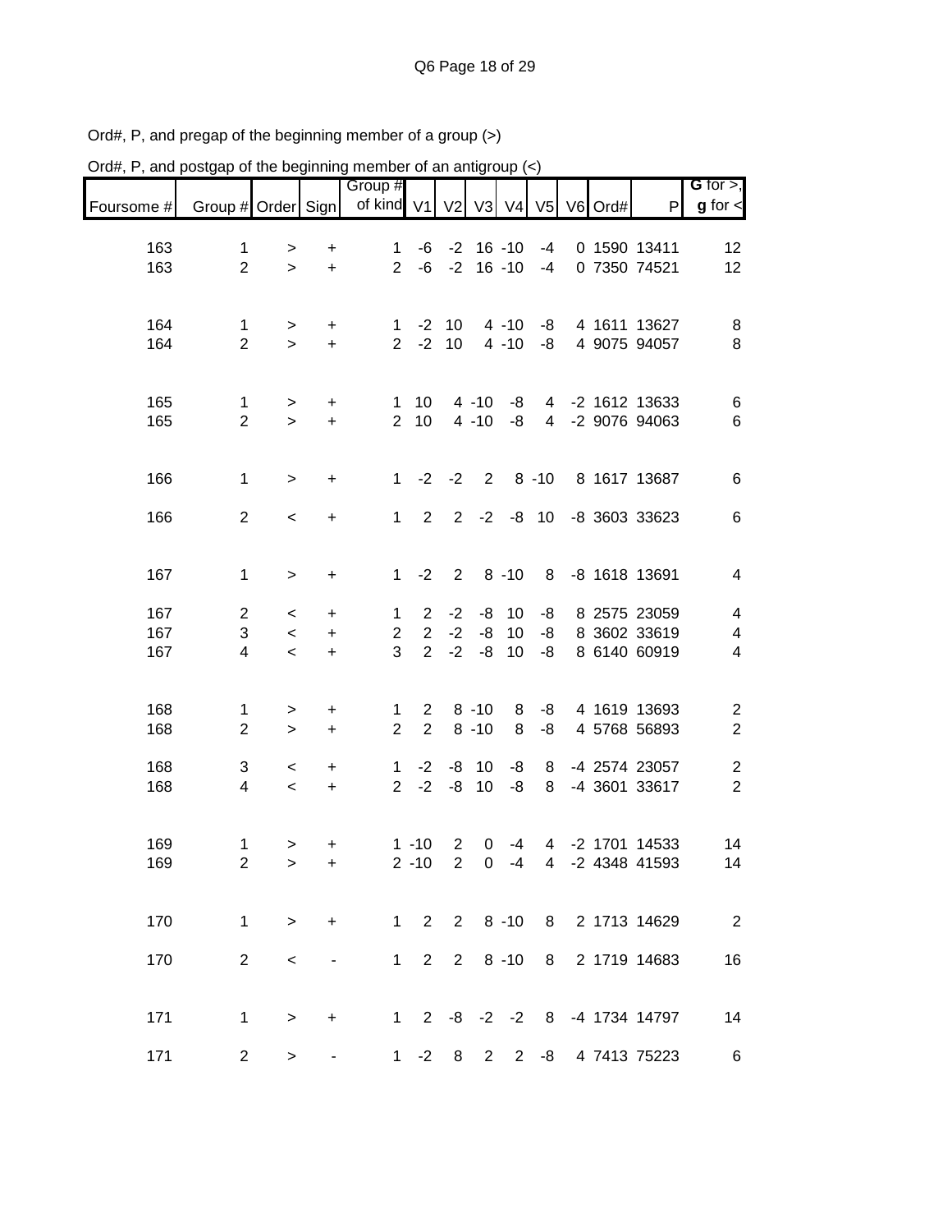| Ord#, P, and postgap of the beginning member of an antigroup (<) |                    |           |                                  |                       |                                  |                |                |             |                |                  |                              |                          |
|------------------------------------------------------------------|--------------------|-----------|----------------------------------|-----------------------|----------------------------------|----------------|----------------|-------------|----------------|------------------|------------------------------|--------------------------|
|                                                                  |                    |           |                                  | Group #<br>of kind V1 |                                  |                |                |             |                |                  |                              | G for $>$ ,              |
| Foursome #                                                       | Group # Order Sign |           |                                  |                       |                                  | V <sub>2</sub> |                |             |                | V3 V4 V5 V6 Ord# | $\mathsf{P}$                 | $g$ for $\lt$            |
| 163                                                              | $\mathbf 1$        | $\, > \,$ | +                                | $\mathbf 1$           | -6                               | $-2$           |                | $16 - 10$   | -4             |                  | 0 1590 13411                 | 12                       |
| 163                                                              | $\overline{2}$     | $\geq$    | $\ddot{}$                        | $\overline{2}$        | $-6$                             | $-2$           |                | $16 - 10$   | -4             |                  | 0 7350 74521                 | 12                       |
|                                                                  |                    |           |                                  |                       |                                  |                |                |             |                |                  |                              |                          |
| 164                                                              | 1                  | $\, > \,$ | $\ddot{}$                        | 1                     | $-2$                             | 10             |                | $4 - 10$    | -8             |                  | 4 1611 13627                 | 8                        |
| 164                                                              | $\overline{2}$     | $\geq$    | $\ddot{}$                        | 2 <sup>1</sup>        | $-2$                             | 10             |                | $4 - 10$    | -8             |                  | 4 9075 94057                 | $\, 8$                   |
|                                                                  |                    |           |                                  |                       |                                  |                |                |             |                |                  |                              |                          |
| 165                                                              | $\mathbf 1$        | $\, >$    | +                                | $\mathbf 1$           | 10                               |                | $4 - 10$       | -8          | $\overline{4}$ |                  | -2 1612 13633                | $\,6$                    |
| 165                                                              | $\overline{2}$     | $\geq$    | $\ddot{}$                        | $\overline{2}$        | 10                               |                | $4 - 10$       | -8          | $\overline{4}$ |                  | -2 9076 94063                | $\,6$                    |
|                                                                  |                    |           |                                  |                       |                                  |                |                |             |                |                  |                              |                          |
| 166                                                              | $\mathbf 1$        | $\geq$    | $\ddot{}$                        | $\mathbf{1}$          | $-2$                             | $-2$           | $\overline{2}$ |             | $8 - 10$       |                  | 8 1617 13687                 | $\,6\,$                  |
|                                                                  |                    |           |                                  |                       |                                  |                |                |             |                |                  |                              |                          |
| 166                                                              | $\overline{2}$     | $\prec$   | $\ddot{}$                        | 1                     | 2                                | $\overline{2}$ | $-2$           |             | $-8$ 10        |                  | -8 3603 33623                | $\,6$                    |
|                                                                  |                    |           |                                  |                       |                                  |                |                |             |                |                  |                              |                          |
| 167                                                              | $\mathbf 1$        | $\geq$    | +                                | 1                     | $-2$                             | $\overline{2}$ |                | $8 - 10$    | 8              |                  | -8 1618 13691                | 4                        |
|                                                                  |                    |           |                                  |                       |                                  |                |                |             |                |                  |                              |                          |
| 167                                                              | $\overline{2}$     | $\,<$     | +                                | 1                     | $\overline{2}$                   | $-2$           | -8             | 10          | -8             |                  | 8 2575 23059                 | $\overline{\mathcal{A}}$ |
| 167<br>167                                                       | $\sqrt{3}$         | $\,<$     | $\begin{array}{c} + \end{array}$ | $\overline{2}$<br>3   | $\overline{2}$<br>2 <sup>1</sup> | $-2$<br>$-2$   | -8<br>-8       | 10<br>10    | -8<br>-8       |                  | 8 3602 33619<br>8 6140 60919 | $\overline{\mathcal{A}}$ |
|                                                                  | 4                  | $\prec$   | $\ddot{}$                        |                       |                                  |                |                |             |                |                  |                              | $\overline{\mathbf{4}}$  |
|                                                                  |                    |           |                                  |                       |                                  |                |                |             |                |                  |                              |                          |
| 168                                                              | 1                  | $\,>$     | +                                | 1<br>$\overline{2}$   | $\mathbf{2}$<br>$\overline{2}$   |                | $8 - 10$       | 8           | -8             |                  | 4 1619 13693                 | $\overline{\mathbf{c}}$  |
| 168                                                              | $\overline{2}$     | $\,>$     | $\ddot{}$                        |                       |                                  |                | $8 - 10$       | 8           | -8             |                  | 4 5768 56893                 | $\boldsymbol{2}$         |
| 168                                                              | 3                  | $\,<$     | +                                | $\mathbf 1$           | $-2$                             | -8             | 10             | -8          | 8              |                  | -4 2574 23057                | $\overline{\mathbf{c}}$  |
| 168                                                              | 4                  | $\,<$     | $\ddot{}$                        | $\overline{2}$        | $-2$                             | $-8$           | 10             | -8          | 8              |                  | -4 3601 33617                | $\overline{c}$           |
|                                                                  |                    |           |                                  |                       |                                  |                |                |             |                |                  |                              |                          |
| 169                                                              | $\mathbf 1$        | $\geq$    | +                                |                       | $1 - 10$                         | $\overline{2}$ | 0              | $-4$        | $\overline{4}$ |                  | -2 1701 14533                | 14                       |
| 169                                                              | $\overline{2}$     | >         | $\ddot{}$                        |                       | $2 - 10$ 2                       |                |                |             |                |                  | 0 -4 4 -2 4348 41593         | 14                       |
|                                                                  |                    |           |                                  |                       |                                  |                |                |             |                |                  |                              |                          |
| 170                                                              | $\mathbf{1}$       | $\, >$    | $+$                              |                       |                                  |                |                |             |                |                  | 1 2 2 8 -10 8 2 1713 14629   | $\overline{\phantom{a}}$ |
|                                                                  |                    |           |                                  |                       |                                  |                |                |             |                |                  |                              |                          |
| 170                                                              | $\overline{2}$     | $\,<$     |                                  |                       | $1\quad 2$                       | $2^{\circ}$    |                | $8 - 10$    | 8              |                  | 2 1719 14683                 | 16                       |
|                                                                  |                    |           |                                  |                       |                                  |                |                |             |                |                  |                              |                          |
| 171                                                              | $\mathbf 1$        | $\geq$    | $\ddot{}$                        |                       |                                  |                |                |             |                |                  | 1 2 -8 -2 -2 8 -4 1734 14797 | 14                       |
|                                                                  |                    |           |                                  |                       |                                  |                |                |             |                |                  |                              |                          |
| 171                                                              | $\overline{2}$     | $\geq$    |                                  |                       | $1 -2$                           | 8              |                | $2 \quad 2$ | -8             |                  | 4 7413 75223                 | 6                        |

Ord#, P, and pregap of the beginning member of a group (>)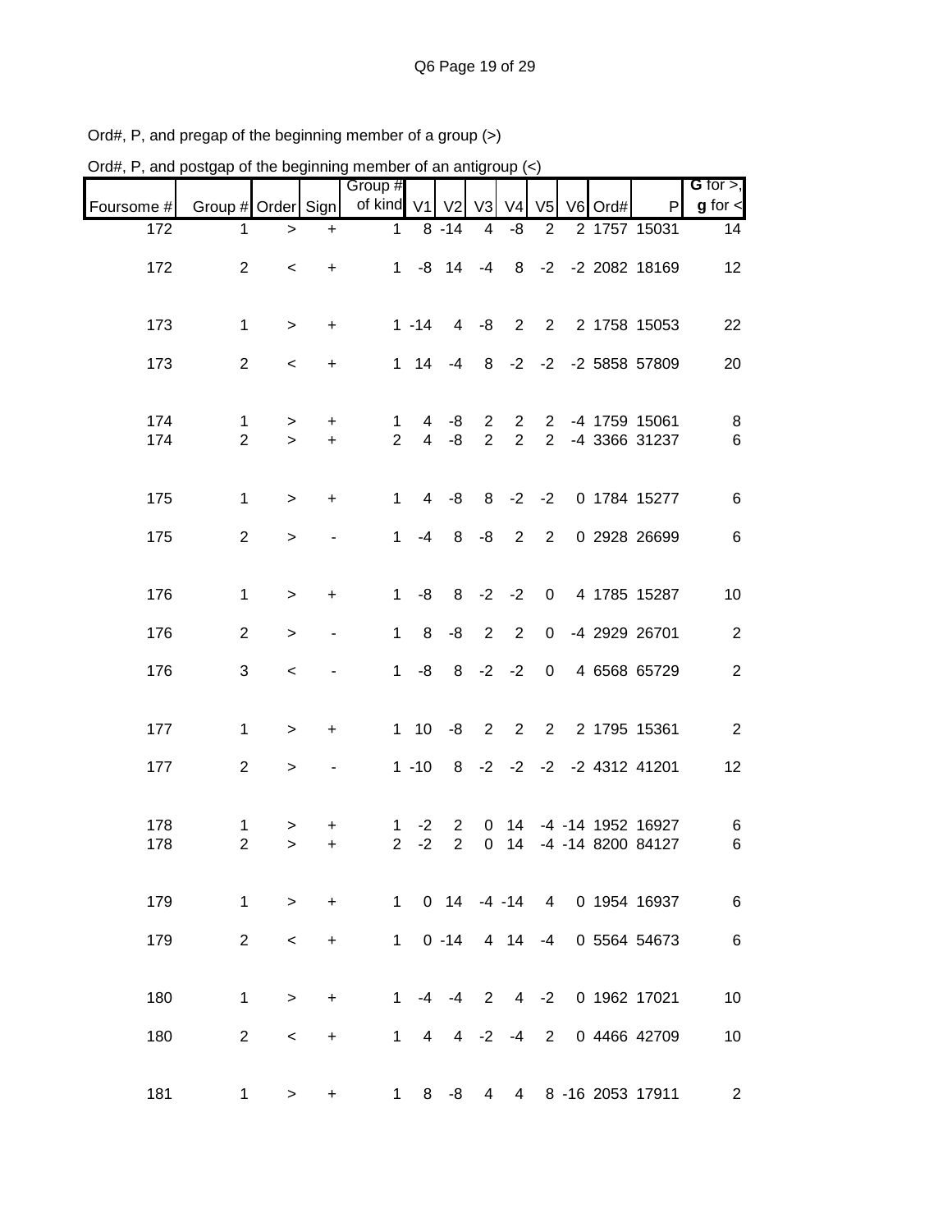| Ord#, P, and postgap of the beginning member of an antigroup $(\le)$ |                     |             |                                  |                     |                     |                           |                                  |                                  |                                  |         |                                             |                  |
|----------------------------------------------------------------------|---------------------|-------------|----------------------------------|---------------------|---------------------|---------------------------|----------------------------------|----------------------------------|----------------------------------|---------|---------------------------------------------|------------------|
|                                                                      |                     |             |                                  | Group #             |                     |                           |                                  |                                  |                                  |         |                                             | G for $>$ ,      |
| Foursome #                                                           | Group # Order Sign  |             |                                  | of kind V1          |                     | V <sub>2</sub>            | V <sub>3</sub>                   | V <sub>4</sub>                   | V <sub>5</sub>                   | V6 Ord# | P                                           | $g$ for $\leq$   |
| 172                                                                  | 1                   | $\geq$      | $\ddot{}$                        | $\mathbf{1}$        |                     | $8 - 14$                  | 4                                | -8                               | $\overline{2}$                   |         | 2 1757 15031                                | 14               |
| 172                                                                  | $\overline{2}$      | $\,<\,$     | $\ddot{}$                        | $\mathbf{1}$        |                     | $-8$ 14                   | $-4$                             | 8                                |                                  |         | -2 -2 2082 18169                            | 12               |
| 173                                                                  | 1                   | $\geq$      | $\ddot{}$                        |                     | $1 - 14$            | $\overline{4}$            | -8                               | $\overline{2}$                   | 2                                |         | 2 1758 15053                                | 22               |
| 173                                                                  | $\overline{2}$      | $\,<\,$     | $\ddot{}$                        | $\mathbf{1}$        | 14                  | $-4$                      | 8                                |                                  |                                  |         | -2 -2 -2 5858 57809                         | 20               |
| 174<br>174                                                           | 1<br>$\overline{2}$ | ><br>$\geq$ | +<br>$+$                         | 1<br>$\overline{2}$ | 4<br>$\overline{4}$ | -8<br>-8                  | $\overline{2}$<br>$\overline{2}$ | $\overline{2}$<br>$\overline{2}$ | $\overline{2}$<br>$\overline{2}$ |         | -4 1759 15061<br>-4 3366 31237              | 8<br>6           |
| 175                                                                  | $\mathbf 1$         | $\, >$      | +                                | 1                   | 4                   | -8                        | 8                                | $-2$                             | $-2$                             |         | 0 1784 15277                                | 6                |
| 175                                                                  | $\overline{2}$      | $\, >$      |                                  | 1                   | $-4$                | 8                         | -8                               | $\overline{2}$                   | 2                                |         | 0 2928 26699                                | 6                |
| 176                                                                  | $\mathbf 1$         | $\, > \,$   | +                                | $\mathbf{1}$        | -8                  | 8                         | $-2$ $-2$                        |                                  | $\mathbf{0}$                     |         | 4 1785 15287                                | 10               |
| 176                                                                  | $\overline{2}$      | $\, > \,$   | ٠                                | $\mathbf{1}$        | 8                   | -8                        | 2                                | 2                                | $\overline{0}$                   |         | -4 2929 26701                               | $\boldsymbol{2}$ |
| 176                                                                  | 3                   | $\,<$       |                                  | $\mathbf{1}$        | -8                  | 8                         | $-2 -2$                          |                                  | $\overline{0}$                   |         | 4 6568 65729                                | $\sqrt{2}$       |
| 177                                                                  | 1                   | $\, >$      | $\ddot{}$                        | $\mathbf{1}$        | 10                  | -8                        | $\overline{2}$                   | 2                                | 2                                |         | 2 1795 15361                                | $\overline{2}$   |
| 177                                                                  | $\overline{2}$      | $\, > \,$   |                                  |                     | $1 - 10$            | 8                         |                                  |                                  |                                  |         | $-2$ $-2$ $-2$ $-2$ 4312 41201              | 12               |
| 178<br>178                                                           | 1<br>$\overline{2}$ | $\, > \,$   | +                                | 1                   | $-2$                | 2<br>$2 -2 2$             | 0                                | 14                               |                                  |         | -4 -14 1952 16927<br>0 14 -4 -14 8200 84127 | 6<br>6           |
| 179                                                                  | $\mathbf{1}$        | $\,$        | $\ddot{}$                        |                     |                     |                           |                                  |                                  |                                  |         | 1 0 14 -4 -14 4 0 1954 16937                | $\,6\,$          |
| 179                                                                  | $\overline{2}$      | $\,<$       | $\begin{array}{c} + \end{array}$ |                     |                     | $1 \t0 -14$ 4 14 -4       |                                  |                                  |                                  |         | 0 5564 54673                                | $\,6\,$          |
| 180                                                                  | $\mathbf{1}$        | $\,$        | $\bf +$                          |                     |                     |                           |                                  |                                  |                                  |         | 1 -4 -4 2 4 -2 0 1962 17021                 | $10$             |
| 180                                                                  | $\overline{2}$      | $\,<$       | $\begin{array}{c} + \end{array}$ |                     |                     | $1 \t4 \t4 \t-2 \t-4 \t2$ |                                  |                                  |                                  |         | 0 4466 42709                                | $10$             |
| 181                                                                  | $\mathbf 1$         | $\, > \,$   | +                                | 1                   | 8                   | -8                        | 4                                |                                  |                                  |         | 4 8 -16 2053 17911                          | $\overline{a}$   |

Ord#, P, and pregap of the beginning member of a group (>)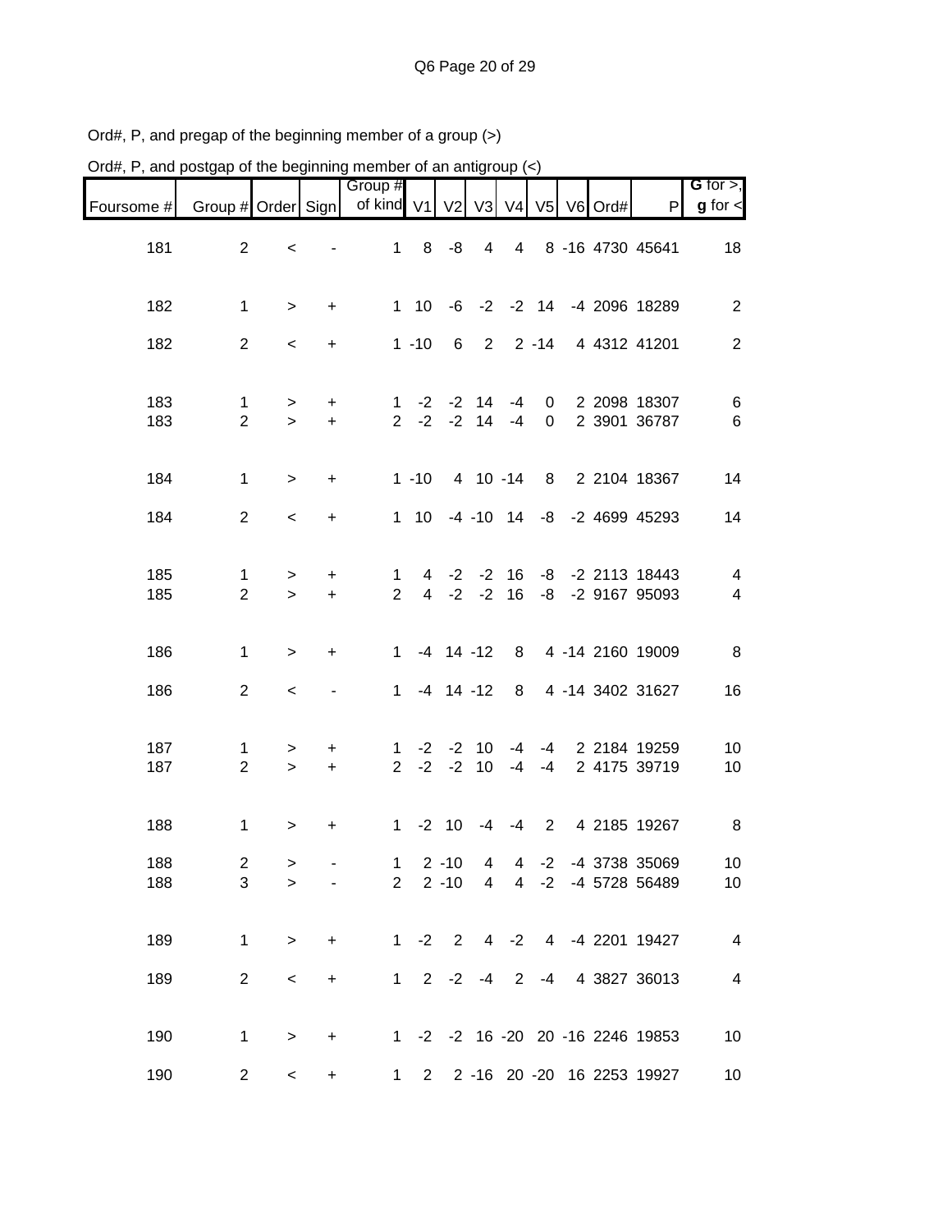| Ord#, P, and postgap of the beginning member of an antigroup $\left\langle \epsilon \right\rangle$ |                     |             |           |                        |                |                       |                     |                     |              |         |                                  |                          |
|----------------------------------------------------------------------------------------------------|---------------------|-------------|-----------|------------------------|----------------|-----------------------|---------------------|---------------------|--------------|---------|----------------------------------|--------------------------|
|                                                                                                    |                     |             |           | Group #                |                |                       |                     |                     |              |         |                                  | $G$ for $>$ ,            |
| Foursome #                                                                                         | Group # Order Sign  |             |           | of kind V1 V2 V3 V4 V5 |                |                       |                     |                     |              | V6 Ord# | $\mathsf{P}$                     | $g$ for $\lt$            |
| 181                                                                                                | $\overline{2}$      | $\,<$       |           | $\mathbf{1}$           | 8              | -8                    | $\overline{4}$      | $\overline{4}$      |              |         | 8 -16 4730 45641                 | 18                       |
| 182                                                                                                | $\mathbf{1}$        | $\, >$      | $\ddot{}$ |                        |                |                       |                     |                     |              |         | 1 10 -6 -2 -2 14 -4 2096 18289   | $\overline{2}$           |
| 182                                                                                                | $\overline{2}$      | $\,<$       | $\ddot{}$ |                        | $1 - 10$       | 6                     | $2^{\circ}$         |                     | $2 - 14$     |         | 4 4312 41201                     | $\overline{2}$           |
| 183                                                                                                | $\mathbf{1}$        | $\geq$      | $\ddot{}$ | $\mathbf{1}$           | $-2$           | $-2$                  | 14                  | $-4$                | 0            |         | 2 2098 18307                     | 6                        |
| 183                                                                                                | $\overline{2}$      | $\geq$      | $\ddot{}$ | $2^{\circ}$            |                | $-2$ $-2$ 14 $-4$     |                     |                     | 0            |         | 2 3901 36787                     | 6                        |
| 184                                                                                                | $\mathbf{1}$        | $\geq$      | $\ddot{}$ |                        | $1 - 10$       |                       | 4 10 -14            |                     | 8            |         | 2 2104 18367                     | 14                       |
| 184                                                                                                | $\overline{2}$      | $\prec$     | $\ddot{}$ |                        |                | 1 10 -4 -10 14        |                     |                     |              |         | -8 -2 4699 45293                 | 14                       |
| 185                                                                                                | 1                   | >           | $\ddot{}$ | 1                      | 4              | $-2$                  | $-2$                | 16                  | -8           |         | -2 2113 18443                    | $\overline{\mathcal{A}}$ |
| 185                                                                                                | $\overline{2}$      | $\geq$      | $+$       | $\overline{2}$         | $\overline{4}$ | $-2$                  | $-2$                | 16                  | -8           |         | -2 9167 95093                    | $\overline{4}$           |
| 186                                                                                                | $\mathbf{1}$        | $\, >$      | $\ddot{}$ | $\mathbf 1$            |                | $-4$ 14 $-12$         |                     | 8                   |              |         | 4 -14 2160 19009                 | 8                        |
| 186                                                                                                | $\overline{2}$      | $\,<\,$     |           | $\mathbf 1$            |                | $-4$ 14 $-12$         |                     | 8                   |              |         | 4 -14 3402 31627                 | 16                       |
| 187                                                                                                | 1                   | >           | +         | 1                      | -2             | $-2$                  | 10                  | -4                  | -4           |         | 2 2184 19259                     | 10                       |
| 187                                                                                                | $\overline{2}$      | $\geq$      | $\ddot{}$ | $\overline{2}$         | $-2$           | $-2$                  | 10                  | $-4$                | -4           |         | 2 4175 39719                     | 10                       |
| 188                                                                                                | $\mathbf 1$         | >           | +         | $\mathbf{1}$           | $-2$           | 10                    | -4                  | $-4$                | $2^{\circ}$  |         | 4 2185 19267                     | 8                        |
| 188<br>188                                                                                         | $\overline{2}$<br>3 | ><br>$\geq$ |           | 1<br>$2^{\circ}$       |                | $2 - 10$<br>$2 - 10$  | 4<br>$\overline{4}$ | 4<br>$\overline{4}$ | $-2$<br>$-2$ |         | -4 3738 35069<br>-4 5728 56489   | 10<br>10                 |
|                                                                                                    |                     |             |           |                        |                |                       |                     |                     |              |         |                                  |                          |
| 189                                                                                                | $\mathbf 1$         | $\, >$      | $\ddot{}$ |                        |                | $1 -2 2$              |                     | $4 -2$              |              |         | 4 -4 2201 19427                  | $\overline{\mathbf{4}}$  |
| 189                                                                                                | $\overline{c}$      | $\,<\,$     | $\ddot{}$ |                        |                | $1 \t2 \t-2 \t-4 \t2$ |                     |                     | $-4$         |         | 4 3827 36013                     | $\overline{\mathbf{4}}$  |
| 190                                                                                                | 1                   | $\, >$      | +         |                        |                |                       |                     |                     |              |         | 1 -2 -2 16 -20 20 -16 2246 19853 | 10                       |
| 190                                                                                                | $\overline{2}$      | $\,<$       | +         | $\mathbf 1$            | $2^{\circ}$    |                       |                     |                     |              |         | 2 -16 20 -20 16 2253 19927       | 10                       |

Ord#, P, and pregap of the beginning member of a group (>)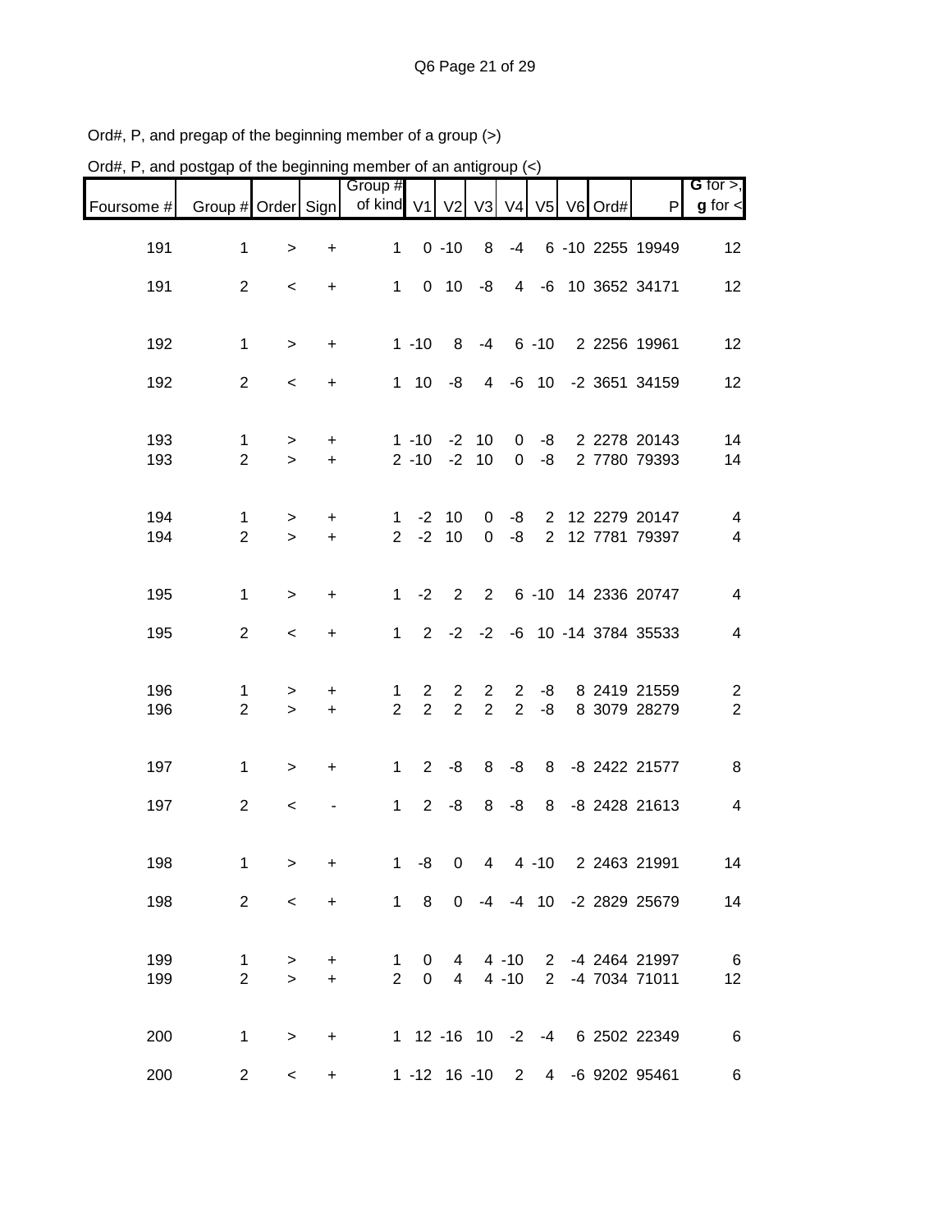| Ord#, P, and postgap of the beginning member of an antigroup (<) |                                |                               |                        |                               |                                  |                                  |                                  |                      |                                  |         |                                  |                              |
|------------------------------------------------------------------|--------------------------------|-------------------------------|------------------------|-------------------------------|----------------------------------|----------------------------------|----------------------------------|----------------------|----------------------------------|---------|----------------------------------|------------------------------|
| Foursome #                                                       | Group # Order Sign             |                               |                        | Group #<br>of kind V1         |                                  | $V2$ $V3$                        |                                  | V <sub>4</sub>       | V <sub>5</sub>                   | V6 Ord# | $\mathsf{P}$                     | G for $>$ ,<br>$g$ for $\lt$ |
| 191                                                              | $\mathbf 1$                    | $\geq$                        | $\ddot{}$              | $\mathbf{1}$                  |                                  | $0 - 10$                         | 8                                | $-4$                 |                                  |         | 6 -10 2255 19949                 | 12                           |
| 191                                                              | 2                              | $\,<\,$                       | $\ddot{}$              | $\mathbf{1}$                  | $\mathbf 0$                      | 10                               | -8                               | 4                    |                                  |         | -6 10 3652 34171                 | 12                           |
| 192                                                              | 1                              | $\geq$                        | $\ddot{}$              |                               | $1 - 10$                         | 8                                | $-4$                             |                      | $6 - 10$                         |         | 2 2256 19961                     | 12                           |
| 192                                                              | $\overline{2}$                 | $\,<\,$                       | $\ddot{}$              | $\mathbf{1}$                  | 10                               | -8                               | 4                                |                      | $-6$ 10                          |         | -2 3651 34159                    | 12                           |
| 193<br>193                                                       | 1<br>$\overline{2}$            | ><br>$\geq$                   | $\ddot{}$<br>$\ddot{}$ |                               | $1 - 10$<br>$2 - 10$             | $-2$<br>$-2$                     | 10<br>10                         | 0<br>$\mathbf 0$     | -8<br>-8                         |         | 2 2278 20143<br>2 7780 79393     | 14<br>14                     |
| 194<br>194                                                       | 1<br>$\overline{2}$            | $\, > \,$<br>$\geq$           | $\ddot{}$<br>$\ddot{}$ | 1<br>2                        | $-2$<br>$-2$                     | 10<br>10                         | 0<br>$\mathbf 0$                 | -8<br>-8             | $\overline{2}$<br>$\overline{2}$ |         | 12 2279 20147<br>12 7781 79397   | 4<br>$\overline{\mathbf{4}}$ |
| 195                                                              | $\mathbf 1$                    | $\,>$                         | $\ddot{}$              | $\mathbf{1}$                  | $-2$                             | 2                                | $\overline{2}$                   |                      |                                  |         | 6 -10 14 2336 20747              | $\overline{\mathcal{A}}$     |
| 195                                                              | $\overline{2}$                 | $\,<\,$                       | $\ddot{}$              | $\mathbf{1}$                  | $\overline{2}$                   | $-2$                             | $-2$                             |                      |                                  |         | -6 10 -14 3784 35533             | $\overline{4}$               |
| 196<br>196                                                       | 1<br>$\overline{2}$            | ><br>$\geq$                   | +<br>$\ddot{}$         | 1<br>$\overline{2}$           | $\overline{2}$<br>$\overline{2}$ | $\overline{2}$<br>$\overline{2}$ | $\overline{2}$<br>$\overline{2}$ | 2<br>2               | -8<br>-8                         |         | 8 2419 21559<br>8 3079 28279     | $\overline{c}$<br>$\sqrt{2}$ |
| 197                                                              | 1                              | $\, > \,$                     | +                      | $\mathbf 1$                   | $2^{\circ}$                      | -8                               | 8                                | -8                   | 8                                |         | -8 2422 21577                    | 8                            |
| 197                                                              | $\overline{2}$                 | $\,<\,$                       |                        | 1                             | $\overline{2}$                   | -8                               | 8                                | -8                   | 8                                |         | -8 2428 21613                    | $\overline{\mathbf{4}}$      |
| 198                                                              | $\mathbf{1}$                   | $\, > \,$                     | +                      | 1                             | -8                               | $\mathbf 0$                      |                                  |                      |                                  |         | 4 4 -10 2 2463 21991             | 14                           |
| 198                                                              | $\overline{2}$                 | $\,<\,$                       | $\ddot{}$              | $\mathbf 1$                   | 8                                | $\mathbf 0$                      |                                  |                      |                                  |         | -4 -4 10 -2 2829 25679           | 14                           |
| 199<br>199                                                       | $\mathbf{1}$<br>$\overline{2}$ | ><br>$\overline{\phantom{0}}$ | +<br>$\ddot{}$         | $\mathbf 1$<br>$\overline{2}$ | $\mathbf 0$<br>$\overline{0}$    | 4<br>$\overline{4}$              |                                  | $4 - 10$<br>$4 - 10$ | $2^{\circ}$                      |         | 2 -4 2464 21997<br>-4 7034 71011 | 6<br>12                      |
| 200                                                              | 1                              | $\, >$                        | $+$                    |                               |                                  |                                  |                                  |                      |                                  |         | 1 12 -16 10 -2 -4 6 2502 22349   | $\,6$                        |
| 200                                                              | $\overline{c}$                 | $\,<$                         | $\ddot{}$              |                               |                                  |                                  |                                  |                      |                                  |         | 1 -12 16 -10 2 4 -6 9202 95461   | $\,6$                        |

Ord#, P, and pregap of the beginning member of a group (>)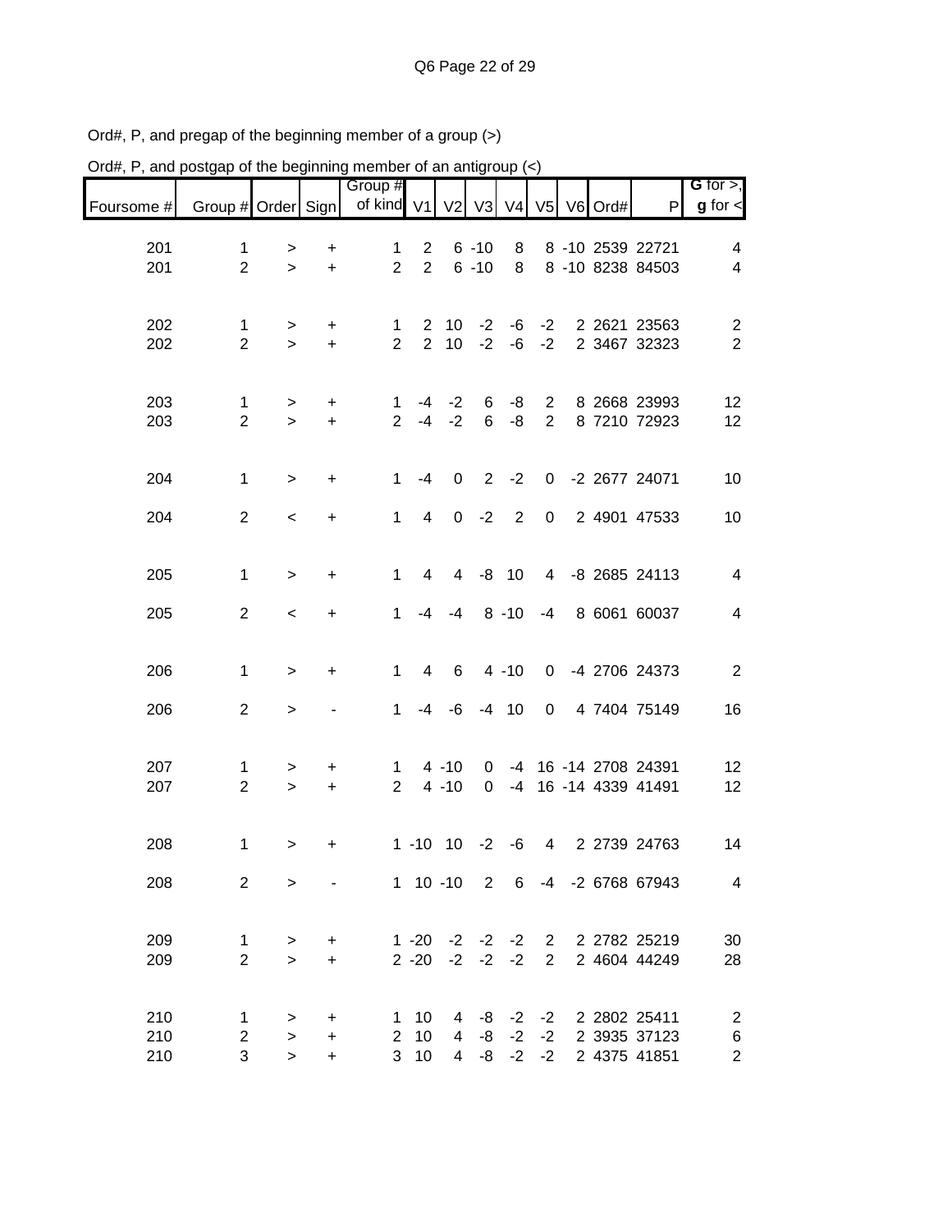| Ord#, P, and postgap of the beginning member of an antigroup (<) |                               |                           |                             |                       |                                       |                       |                                  |          |                                  |                  |                                              |                                                        |
|------------------------------------------------------------------|-------------------------------|---------------------------|-----------------------------|-----------------------|---------------------------------------|-----------------------|----------------------------------|----------|----------------------------------|------------------|----------------------------------------------|--------------------------------------------------------|
| Foursome #                                                       | Group # Order Sign            |                           |                             | Group #<br>of kind V1 |                                       | V <sub>2</sub>        |                                  |          |                                  | V3 V4 V5 V6 Ord# | P                                            | G for $>$ ,<br>$g$ for $\lt$                           |
| 201<br>201                                                       | 1<br>$\overline{2}$           | ><br>$\geq$               | +<br>$\ddot{}$              | 1<br>$\overline{2}$   | $\overline{2}$<br>$\overline{2}$      |                       | $6 - 10$<br>$6 - 10$             | 8<br>8   |                                  |                  | 8 -10 2539 22721<br>8 -10 8238 84503         | 4<br>4                                                 |
| 202<br>202                                                       | 1<br>$\overline{2}$           | $\, > \,$<br>$\geq$       | +<br>$+$                    | 1<br>$\overline{2}$   | $\overline{2}$<br>$\overline{2}$      | 10<br>10 <sup>1</sup> | $-2$<br>$-2$                     | -6<br>-6 | $-2$<br>$-2$                     |                  | 2 2621 23563<br>2 3467 32323                 | $\overline{c}$<br>$\overline{2}$                       |
| 203<br>203                                                       | $\mathbf 1$<br>$\overline{2}$ | $\, > \,$<br>$\mathbf{L}$ | +<br>$\ddot{}$              | 1<br>$\overline{2}$   | -4<br>$-4$                            | $-2$<br>$-2$          | 6<br>6                           | -8<br>-8 | $\overline{2}$<br>$\overline{2}$ |                  | 8 2668 23993<br>8 7210 72923                 | 12<br>12                                               |
| 204                                                              | $\mathbf 1$                   | $\geq$                    | $\ddot{}$                   | $\mathbf{1}$          | $-4$                                  | $\pmb{0}$             | $\overline{2}$                   | $-2$     | $\mathbf{0}$                     |                  | -2 2677 24071                                | 10                                                     |
| 204                                                              | $\overline{2}$                | $\prec$                   | $\ddot{}$                   | $\mathbf{1}$          | 4                                     | $\mathbf 0$           | $-2$                             | 2        | $\mathbf 0$                      |                  | 2 4901 47533                                 | 10                                                     |
| 205                                                              | 1                             | $\, > \,$                 | $\ddot{}$                   | $\mathbf 1$           | 4                                     | 4                     | -8                               | 10       | $\overline{4}$                   |                  | -8 2685 24113                                | $\overline{4}$                                         |
| 205                                                              | $\overline{2}$                | $\,<$                     | $\ddot{}$                   | $\mathbf 1$           | $-4$                                  | $-4$                  |                                  | $8 - 10$ | $-4$                             |                  | 8 6061 60037                                 | $\overline{4}$                                         |
| 206                                                              | $\mathbf 1$                   | $\, > \,$                 | $\ddot{}$                   | 1                     | 4                                     | 6                     |                                  | $4 - 10$ | $\mathbf 0$                      |                  | -4 2706 24373                                | $\overline{c}$                                         |
| 206                                                              | $\overline{2}$                | $\,>$                     |                             | $\mathbf 1$           |                                       | $-4 - 6$              |                                  | $-4$ 10  | $\mathbf 0$                      |                  | 4 7404 75149                                 | 16                                                     |
| 207<br>207                                                       | 1<br>$\overline{2}$           | ><br>$\geq$               | +<br>$\ddot{}$              | 1<br>$\overline{2}$   |                                       | $4 - 10$<br>$4 - 10$  | 0<br>0                           | $-4$     |                                  |                  | -4 16 -14 2708 24391<br>16 -14 4339 41491    | 12<br>12                                               |
| 208                                                              | $\mathbf 1$                   | $\geq$                    | +                           |                       |                                       | $1 - 10$ $10 - 2 - 6$ |                                  |          | $\overline{4}$                   |                  | 2 2739 24763                                 | 14                                                     |
| 208                                                              | 2                             | $\geq$                    |                             |                       |                                       |                       |                                  |          |                                  |                  | 1 10 -10 2 6 -4 -2 6768 67943                | 4                                                      |
| 209<br>209                                                       | $\mathbf 1$<br>$\overline{2}$ | ><br>$\geq$               | $\ddot{}$<br>$\ddot{}$      |                       | $2 - 20$                              | $1 - 20 -2 -2 -2$ 2   | $-2 -2$                          | $-2$     | $2^{\circ}$                      |                  | 2 2782 25219<br>2 4604 44249                 | 30<br>28                                               |
| 210<br>210<br>210                                                | 1<br>$\overline{2}$<br>3      | ><br>$\geq$<br>$\, >$     | +<br>$\ddot{}$<br>$\ddot{}$ | $\mathbf{1}$          | 10<br>$2 \quad 10$<br>3 <sub>10</sub> | 4                     | $4 - 8 - 2$<br>-8<br>$4 - 8 - 2$ | $-2$     | $-2$<br>$-2$<br>$-2$             |                  | 2 2802 25411<br>2 3935 37123<br>2 4375 41851 | $\overline{c}$<br>$\boldsymbol{6}$<br>$\boldsymbol{2}$ |

Ord#, P, and pregap of the beginning member of a group (>)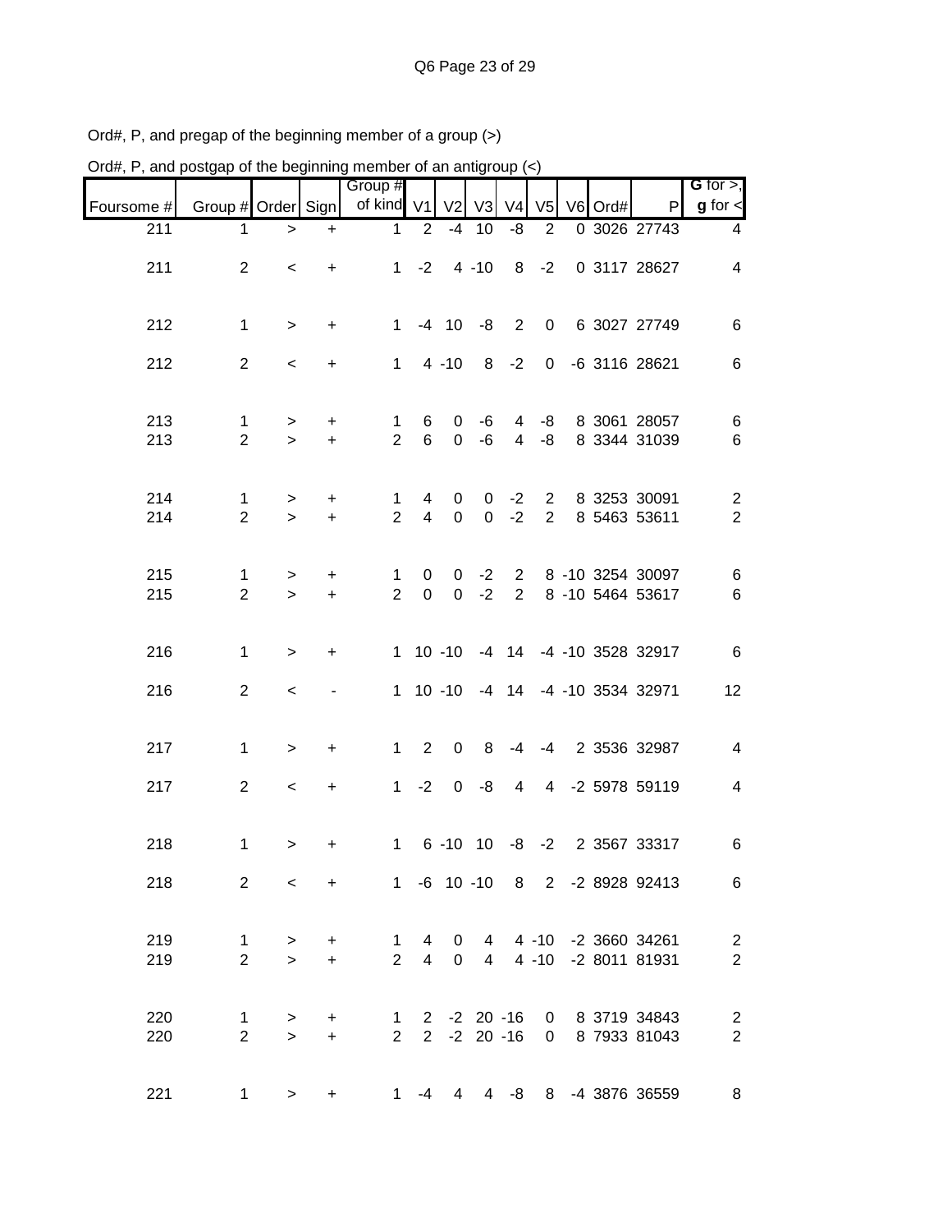| Ord#, P, and postgap of the beginning member of an antigroup $(\le)$ |                                |                     |                                   |                                  |                              |                       |                                   |                                  |                                  |    |      |                                                              |                                    |
|----------------------------------------------------------------------|--------------------------------|---------------------|-----------------------------------|----------------------------------|------------------------------|-----------------------|-----------------------------------|----------------------------------|----------------------------------|----|------|--------------------------------------------------------------|------------------------------------|
|                                                                      |                                |                     |                                   | Group <sup>#</sup><br>of kind V1 |                              |                       | $V2$ $V3$                         | V <sub>4</sub>                   | V <sub>5</sub>                   | V6 |      | P                                                            | G for $>$ ,<br>$g$ for $\lt$       |
| Foursome #<br>211                                                    | Group # Order Sign<br>1        | $\, >$              | $\ddot{}$                         | 1                                | $\overline{2}$               | $-4$                  | 10                                | -8                               | $\overline{2}$                   |    | Ord# | 0 3026 27743                                                 | 4                                  |
| 211                                                                  | $\overline{2}$                 | $\prec$             | $\ddot{}$                         | $\mathbf{1}$                     | $-2$                         |                       | $4 - 10$                          | 8                                | $-2$                             |    |      | 0 3117 28627                                                 | $\overline{4}$                     |
| 212                                                                  | $\mathbf 1$                    | $\geq$              | $\ddot{}$                         | $\mathbf{1}$                     |                              | $-4$ 10               | -8                                | $\overline{2}$                   | $\mathbf 0$                      |    |      | 6 3027 27749                                                 | 6                                  |
| 212                                                                  | $\overline{2}$                 | $\,<\,$             | $\ddot{}$                         | $\mathbf{1}$                     |                              | $4 - 10$              | 8                                 | $-2$                             | $\mathbf 0$                      |    |      | -6 3116 28621                                                | 6                                  |
| 213<br>213                                                           | 1<br>$\overline{2}$            | ><br>$\geq$         | +<br>$\ddot{}$                    | 1<br>$\overline{2}$              | 6<br>6                       | 0<br>0                | -6<br>-6                          | 4<br>4                           | -8<br>-8                         |    |      | 8 3061 28057<br>8 3344 31039                                 | 6<br>6                             |
| 214<br>214                                                           | 1<br>$\overline{2}$            | $\, > \,$<br>$\geq$ | +<br>$\ddot{}$                    | 1<br>$\overline{2}$              | 4<br>$\overline{\mathbf{4}}$ | 0<br>$\boldsymbol{0}$ | 0<br>0                            | $-2$<br>$-2$                     | $\overline{2}$<br>$\overline{2}$ |    |      | 8 3253 30091<br>8 5463 53611                                 | $\overline{c}$<br>$\boldsymbol{2}$ |
| 215<br>215                                                           | 1<br>$\overline{2}$            | $\, > \,$<br>$\geq$ | $\ddot{}$<br>$\ddot{}$            | 1<br>$\overline{2}$              | 0<br>$\boldsymbol{0}$        | 0<br>0                | $-2$<br>$-2$                      | $\overline{2}$<br>$\overline{2}$ |                                  |    |      | 8 -10 3254 30097<br>8 -10 5464 53617                         | $\,6$<br>6                         |
| 216                                                                  | 1                              | $\, > \,$           | +                                 | $\mathbf{1}$                     |                              | $10 - 10$             |                                   |                                  |                                  |    |      | -4 14 -4 -10 3528 32917                                      | $\,6$                              |
| 216                                                                  | $\overline{2}$                 | $\,<\,$             |                                   |                                  |                              | $1 10 - 10$           |                                   |                                  |                                  |    |      | -4 14 -4 -10 3534 32971                                      | 12                                 |
| 217                                                                  | 1                              | $\, > \,$           | +                                 | $\mathbf{1}$                     | $\overline{2}$               | $\pmb{0}$             | 8                                 | -4                               | -4                               |    |      | 2 3536 32987                                                 | 4                                  |
| 217                                                                  | $\overline{2}$                 | $\,<\,$             | +                                 | $\mathbf{1}$                     | $-2$                         | 0                     | -8                                | 4                                | $\overline{4}$                   |    |      | -2 5978 59119                                                | 4                                  |
| 218                                                                  | $\mathbf 1$                    |                     |                                   |                                  |                              |                       | $1 \t 6 \t -10 \t 10 \t -8 \t -2$ |                                  |                                  |    |      | 2 3567 33317                                                 | 6                                  |
| 218                                                                  | $\overline{2}$                 | $\,<$               | $+$                               |                                  |                              |                       |                                   |                                  |                                  |    |      | 1 -6 10 -10 8 2 -2 8928 92413                                | 6                                  |
| 219<br>219                                                           | $\mathbf{1}$<br>$\overline{2}$ | $\, >$<br>$\geq$    | $\ddot{}$<br>$\ddot{\phantom{1}}$ |                                  |                              |                       |                                   |                                  |                                  |    |      | 1 4 0 4 4 -10 -2 3660 34261<br>2 4 0 4 4 -10 -2 8011 81931   | $\sqrt{2}$<br>$\boldsymbol{2}$     |
| 220<br>220                                                           | $\mathbf{1}$<br>$\overline{2}$ | $\, >$<br>$\geq$    | +<br>$+$                          |                                  |                              |                       |                                   |                                  |                                  |    |      | 1 2 -2 20 -16 0 8 3719 34843<br>2 2 -2 20 -16 0 8 7933 81043 | $\sqrt{2}$<br>$\sqrt{2}$           |
| 221                                                                  | $\mathbf 1$                    | $\, >$              | $\ddot{}$                         |                                  | $1 - 4$                      |                       |                                   |                                  |                                  |    |      | 4 4 -8 8 -4 3876 36559                                       | $\,8\,$                            |

Ord#, P, and pregap of the beginning member of a group (>)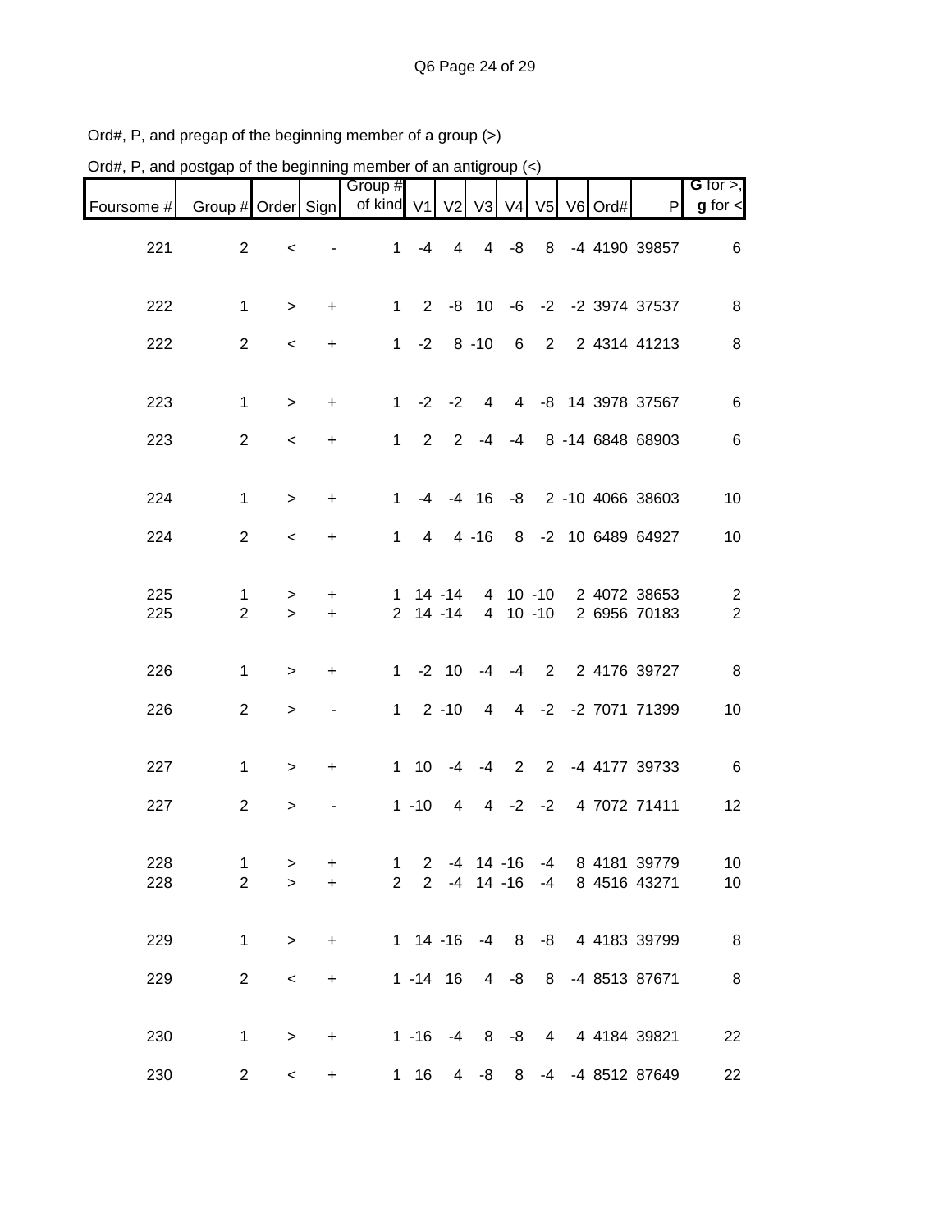| Ord#, P, and postgap of the beginning member of an antigroup (<) |                     |             |                |                                |             |                                    |                     |         |                        |         |                                 |                                  |
|------------------------------------------------------------------|---------------------|-------------|----------------|--------------------------------|-------------|------------------------------------|---------------------|---------|------------------------|---------|---------------------------------|----------------------------------|
| Foursome #                                                       | Group # Order Sign  |             |                | Group #<br>of kind V1 V2 V3 V4 |             |                                    |                     |         | V <sub>5</sub>         | V6 Ord# | P                               | G for $>$ ,<br>$g$ for $\lt$     |
| 221                                                              | $\overline{2}$      | $\,<$       |                | $\mathbf{1}$                   | $-4$        | $\overline{4}$                     | $\overline{4}$      | -8      | 8                      |         | -4 4190 39857                   | 6                                |
| 222                                                              | 1                   | $\, > \,$   | +              | $\mathbf{1}$                   | $2^{\circ}$ | -8                                 | 10                  | -6      |                        |         | -2 -2 3974 37537                | 8                                |
| 222                                                              | $\overline{2}$      | $\,<\,$     | +              | $\mathbf{1}$                   | $-2$        |                                    | $8 - 10$            | 6       | $\overline{2}$         |         | 2 4314 41213                    | 8                                |
| 223                                                              | 1                   | $\, > \,$   | $\ddot{}$      | $\mathbf 1$                    | $-2$        | $-2$                               | 4                   | 4       |                        |         | -8 14 3978 37567                | 6                                |
| 223                                                              | $\mathbf{2}$        | $\,<\,$     | +              | 1                              | 2           | 2                                  | -4                  | $-4$    |                        |         | 8 -14 6848 68903                | 6                                |
| 224                                                              | 1                   | $\geq$      | $\ddot{}$      | 1                              | -4          | $-4$                               | 16                  | -8      |                        |         | 2 -10 4066 38603                | 10                               |
| 224                                                              | $\overline{2}$      | $\,<\,$     | +              | 1                              | 4           |                                    | $4 - 16$            | 8       |                        |         | -2 10 6489 64927                | 10                               |
| 225<br>225                                                       | 1<br>$\overline{2}$ | ><br>$\geq$ | +<br>$\ddot{}$ | 1<br>$\overline{2}$            |             | $14 - 14$<br>$14 - 14$             | 4<br>$\overline{4}$ |         | $10 - 10$<br>$10 - 10$ |         | 2 4072 38653<br>2 6956 70183    | $\overline{c}$<br>$\overline{2}$ |
| 226                                                              | 1                   | >           | +              | $\mathbf{1}$                   |             | $-2$ 10                            | $-4$                | $-4$    | $\overline{2}$         |         | 2 4176 39727                    | 8                                |
| 226                                                              | $\mathbf{2}$        | $\geq$      | $\blacksquare$ | 1                              |             | $2 - 10$                           | $\overline{4}$      |         |                        |         | 4 -2 -2 7071 71399              | 10                               |
| 227                                                              | 1                   | $\, > \,$   | $\ddot{}$      | $\mathbf{1}$                   | 10          | $-4$                               | $-4$                | 2       | $2^{\circ}$            |         | -4 4177 39733                   | 6                                |
| 227                                                              | $\overline{2}$      | $\, > \,$   |                |                                | $1 - 10$    | 4                                  | 4                   | $-2$    | $-2$                   |         | 4 7072 71411                    | 12                               |
| 228<br>228                                                       | 1<br>$\overline{2}$ | ><br>$\geq$ | +<br>$\ddot{}$ | $\mathbf{1}$<br>$\overline{2}$ |             | $2 - 4 14 - 16$<br>$2 - 4 14 - 16$ |                     |         | $-4$                   |         | -4 8 4181 39779<br>8 4516 43271 | 10<br>10                         |
| 229                                                              | $\mathbf 1$         | $\, >$      | $\ddot{}$      |                                |             | $1 14 - 16 - 4 8$                  |                     |         |                        |         | -8 4 4183 39799                 | 8                                |
| 229                                                              | $\overline{2}$      | $\,<$       | $+$            |                                |             | $1 - 14$ 16                        |                     | $4 - 8$ |                        |         | 8 -4 8513 87671                 | 8                                |
| 230                                                              | 1                   | $\, >$      | $\ddot{}$      |                                |             |                                    |                     |         |                        |         | 1 -16 -4 8 -8 4 4 4184 39821    | 22                               |
| 230                                                              | $\overline{c}$      | $\,<$       | $+$            |                                | 1 16        | $\overline{4}$                     | -8                  | 8       |                        |         | -4 -4 8512 87649                | 22                               |

Ord#, P, and pregap of the beginning member of a group (>)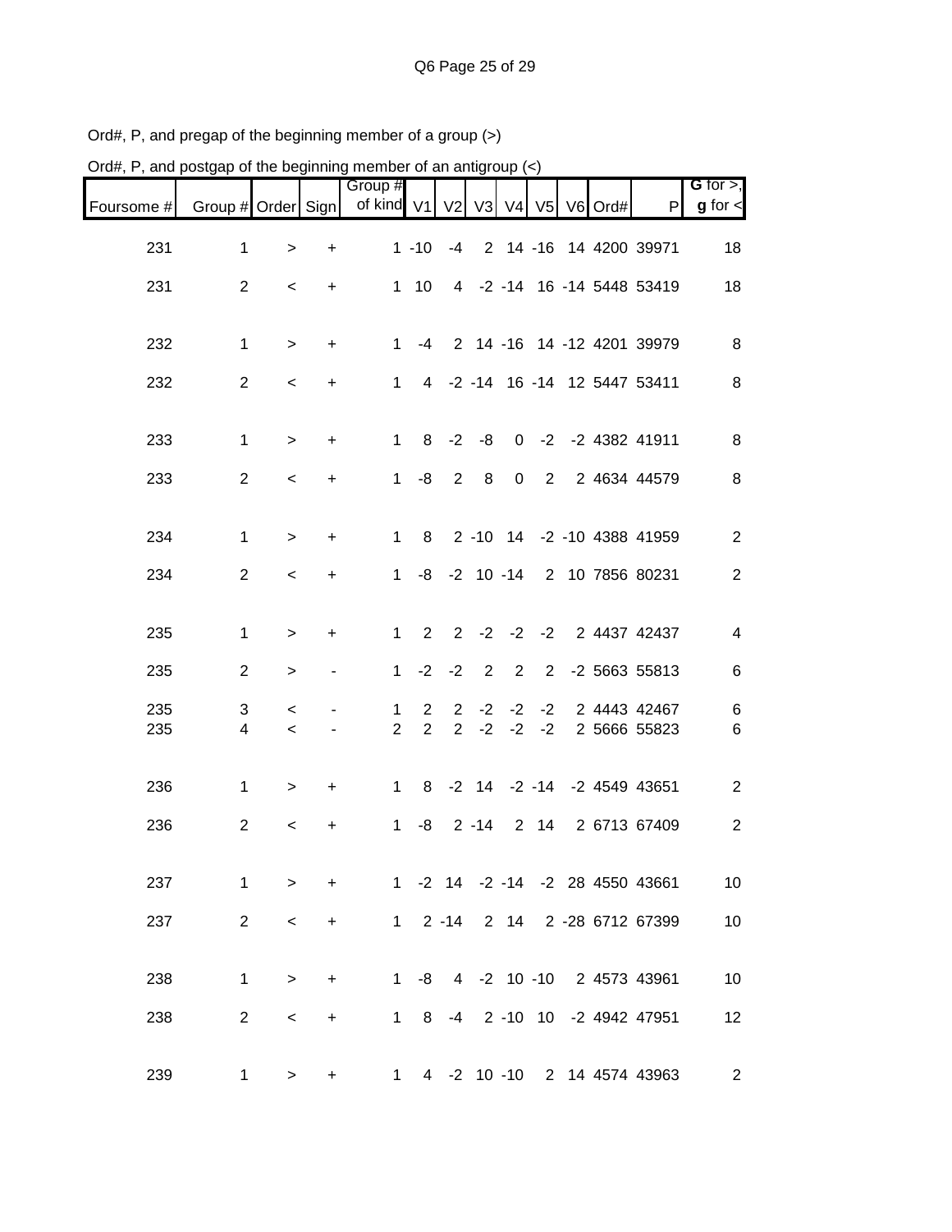| Group #<br>of kind V1<br>$V2$ $V3$<br>Group # Order Sign<br>V <sub>4</sub><br>V <sub>5</sub><br>Ord#<br>$\mathsf{P}$<br>Foursome #<br>V <sub>6</sub><br>231<br>$\mathbf 1$<br>$1 - 10$<br>2 14 -16 14 4200 39971<br>$-4$<br>$\geq$<br>+<br>231<br>$\overline{2}$<br>-2 -14 16 -14 5448 53419<br>10<br>$\overline{4}$<br>$\mathbf 1$<br>$\,<\,$<br>+<br>232<br>2 14 -16 14 -12 4201 39979<br>1<br>$-4$<br>1<br>$\ddot{}$<br>$\geq$<br>232<br>-2 -14 16 -14 12 5447 53411<br>$\overline{c}$<br>1<br>4<br>$\,<$<br>+<br>233<br>$-2$<br>$-2$<br>-2 4382 41911<br>$\mathbf 1$<br>8<br>-8<br>0<br>$\mathbf 1$<br>$\ddot{}$<br>><br>233<br>$\overline{c}$<br>$\overline{2}$<br>8<br>$\pmb{0}$<br>$\overline{2}$<br>2 4634 44579<br>-8<br>$\mathbf 1$<br>$\,<$<br>+<br>234<br>$\mathbf 1$<br>$2 - 10$ 14<br>-2 -10 4388 41959<br>$\mathbf{1}$<br>8<br>$\, > \,$<br>+<br>234<br>$\overline{2}$<br>$-2$ 10 $-14$<br>2 10 7856 80231<br>$\mathbf{1}$<br>-8<br>$\,<$<br>+<br>$-2$<br>2<br>2<br>$-2$<br>$-2$<br>2 4437 42437<br>235<br>$\mathbf 1$<br>1<br>$\ddot{}$<br>$\, > \,$<br>$-2$<br>$\overline{2}$<br>2<br>$\overline{2}$<br>-2 5663 55813<br>235<br>$\overline{2}$<br>$\mathbf 1$<br>$-2$<br>><br>235<br>2 4443 42467<br>3<br>$\overline{2}$<br>$-2$<br>$-2$<br>$\overline{2}$<br>$-2$<br>1.<br>$\,<$<br>$\overline{2}$<br>$\overline{2}$<br>$\overline{2}$<br>$-2$<br>$-2$<br>$-2$<br>235<br>2 5666 55823<br>4<br>$\,<\,$<br>$-2$ 14 $-2$ $-14$<br>-2 4549 43651<br>236<br>8<br>1<br>$\mathbf 1$<br>+<br>$\, > \,$<br>236<br>$\overline{2}$<br>-8<br>$2 - 14$<br>$\overline{2}$<br>14<br>2 6713 67409<br>$\mathbf 1$<br>$\,<\,$<br>+ | Ord#, P, and postgap of the beginning member of an antigroup $(\le)$ |  |  |  |  |  |  |                              |
|------------------------------------------------------------------------------------------------------------------------------------------------------------------------------------------------------------------------------------------------------------------------------------------------------------------------------------------------------------------------------------------------------------------------------------------------------------------------------------------------------------------------------------------------------------------------------------------------------------------------------------------------------------------------------------------------------------------------------------------------------------------------------------------------------------------------------------------------------------------------------------------------------------------------------------------------------------------------------------------------------------------------------------------------------------------------------------------------------------------------------------------------------------------------------------------------------------------------------------------------------------------------------------------------------------------------------------------------------------------------------------------------------------------------------------------------------------------------------------------------------------------------------------------------------------------------------------------------------------------------------------|----------------------------------------------------------------------|--|--|--|--|--|--|------------------------------|
|                                                                                                                                                                                                                                                                                                                                                                                                                                                                                                                                                                                                                                                                                                                                                                                                                                                                                                                                                                                                                                                                                                                                                                                                                                                                                                                                                                                                                                                                                                                                                                                                                                    |                                                                      |  |  |  |  |  |  | G for $>$ ,<br>$g$ for $\lt$ |
|                                                                                                                                                                                                                                                                                                                                                                                                                                                                                                                                                                                                                                                                                                                                                                                                                                                                                                                                                                                                                                                                                                                                                                                                                                                                                                                                                                                                                                                                                                                                                                                                                                    |                                                                      |  |  |  |  |  |  | 18                           |
|                                                                                                                                                                                                                                                                                                                                                                                                                                                                                                                                                                                                                                                                                                                                                                                                                                                                                                                                                                                                                                                                                                                                                                                                                                                                                                                                                                                                                                                                                                                                                                                                                                    |                                                                      |  |  |  |  |  |  | 18                           |
|                                                                                                                                                                                                                                                                                                                                                                                                                                                                                                                                                                                                                                                                                                                                                                                                                                                                                                                                                                                                                                                                                                                                                                                                                                                                                                                                                                                                                                                                                                                                                                                                                                    |                                                                      |  |  |  |  |  |  |                              |
|                                                                                                                                                                                                                                                                                                                                                                                                                                                                                                                                                                                                                                                                                                                                                                                                                                                                                                                                                                                                                                                                                                                                                                                                                                                                                                                                                                                                                                                                                                                                                                                                                                    |                                                                      |  |  |  |  |  |  | 8                            |
|                                                                                                                                                                                                                                                                                                                                                                                                                                                                                                                                                                                                                                                                                                                                                                                                                                                                                                                                                                                                                                                                                                                                                                                                                                                                                                                                                                                                                                                                                                                                                                                                                                    |                                                                      |  |  |  |  |  |  | 8                            |
|                                                                                                                                                                                                                                                                                                                                                                                                                                                                                                                                                                                                                                                                                                                                                                                                                                                                                                                                                                                                                                                                                                                                                                                                                                                                                                                                                                                                                                                                                                                                                                                                                                    |                                                                      |  |  |  |  |  |  | 8                            |
|                                                                                                                                                                                                                                                                                                                                                                                                                                                                                                                                                                                                                                                                                                                                                                                                                                                                                                                                                                                                                                                                                                                                                                                                                                                                                                                                                                                                                                                                                                                                                                                                                                    |                                                                      |  |  |  |  |  |  | 8                            |
|                                                                                                                                                                                                                                                                                                                                                                                                                                                                                                                                                                                                                                                                                                                                                                                                                                                                                                                                                                                                                                                                                                                                                                                                                                                                                                                                                                                                                                                                                                                                                                                                                                    |                                                                      |  |  |  |  |  |  | $\overline{2}$               |
|                                                                                                                                                                                                                                                                                                                                                                                                                                                                                                                                                                                                                                                                                                                                                                                                                                                                                                                                                                                                                                                                                                                                                                                                                                                                                                                                                                                                                                                                                                                                                                                                                                    |                                                                      |  |  |  |  |  |  | $\mathbf{2}$                 |
|                                                                                                                                                                                                                                                                                                                                                                                                                                                                                                                                                                                                                                                                                                                                                                                                                                                                                                                                                                                                                                                                                                                                                                                                                                                                                                                                                                                                                                                                                                                                                                                                                                    |                                                                      |  |  |  |  |  |  |                              |
|                                                                                                                                                                                                                                                                                                                                                                                                                                                                                                                                                                                                                                                                                                                                                                                                                                                                                                                                                                                                                                                                                                                                                                                                                                                                                                                                                                                                                                                                                                                                                                                                                                    |                                                                      |  |  |  |  |  |  | $\overline{\mathcal{A}}$     |
|                                                                                                                                                                                                                                                                                                                                                                                                                                                                                                                                                                                                                                                                                                                                                                                                                                                                                                                                                                                                                                                                                                                                                                                                                                                                                                                                                                                                                                                                                                                                                                                                                                    |                                                                      |  |  |  |  |  |  | 6                            |
|                                                                                                                                                                                                                                                                                                                                                                                                                                                                                                                                                                                                                                                                                                                                                                                                                                                                                                                                                                                                                                                                                                                                                                                                                                                                                                                                                                                                                                                                                                                                                                                                                                    |                                                                      |  |  |  |  |  |  | 6                            |
|                                                                                                                                                                                                                                                                                                                                                                                                                                                                                                                                                                                                                                                                                                                                                                                                                                                                                                                                                                                                                                                                                                                                                                                                                                                                                                                                                                                                                                                                                                                                                                                                                                    |                                                                      |  |  |  |  |  |  | 6                            |
|                                                                                                                                                                                                                                                                                                                                                                                                                                                                                                                                                                                                                                                                                                                                                                                                                                                                                                                                                                                                                                                                                                                                                                                                                                                                                                                                                                                                                                                                                                                                                                                                                                    |                                                                      |  |  |  |  |  |  | $\overline{2}$               |
|                                                                                                                                                                                                                                                                                                                                                                                                                                                                                                                                                                                                                                                                                                                                                                                                                                                                                                                                                                                                                                                                                                                                                                                                                                                                                                                                                                                                                                                                                                                                                                                                                                    |                                                                      |  |  |  |  |  |  | $\overline{2}$               |
| 237<br>1 -2 14 -2 -14 -2 28 4550 43661<br>$\mathbf 1$                                                                                                                                                                                                                                                                                                                                                                                                                                                                                                                                                                                                                                                                                                                                                                                                                                                                                                                                                                                                                                                                                                                                                                                                                                                                                                                                                                                                                                                                                                                                                                              |                                                                      |  |  |  |  |  |  | 10                           |
| $\, >$<br>$+$                                                                                                                                                                                                                                                                                                                                                                                                                                                                                                                                                                                                                                                                                                                                                                                                                                                                                                                                                                                                                                                                                                                                                                                                                                                                                                                                                                                                                                                                                                                                                                                                                      |                                                                      |  |  |  |  |  |  |                              |
| 237<br>$\overline{2}$<br>1 2 -14 2 14 2 -28 6712 67399<br>$\,<\,$<br>$+$                                                                                                                                                                                                                                                                                                                                                                                                                                                                                                                                                                                                                                                                                                                                                                                                                                                                                                                                                                                                                                                                                                                                                                                                                                                                                                                                                                                                                                                                                                                                                           |                                                                      |  |  |  |  |  |  | 10                           |
| 1 -8 4 -2 10 -10 2 4573 43961<br>238<br>$\mathbf{1}$<br>$+$<br>$\, > \,$                                                                                                                                                                                                                                                                                                                                                                                                                                                                                                                                                                                                                                                                                                                                                                                                                                                                                                                                                                                                                                                                                                                                                                                                                                                                                                                                                                                                                                                                                                                                                           |                                                                      |  |  |  |  |  |  | 10                           |
| $\overline{2}$<br>1 8 -4 2 -10 10 -2 4942 47951<br>238<br>$\,<$<br>$+$                                                                                                                                                                                                                                                                                                                                                                                                                                                                                                                                                                                                                                                                                                                                                                                                                                                                                                                                                                                                                                                                                                                                                                                                                                                                                                                                                                                                                                                                                                                                                             |                                                                      |  |  |  |  |  |  | 12                           |
| 239<br>1 4 -2 10 -10 2 14 4574 43963<br>$\mathbf{1}$<br>$\, > \,$<br>$+$                                                                                                                                                                                                                                                                                                                                                                                                                                                                                                                                                                                                                                                                                                                                                                                                                                                                                                                                                                                                                                                                                                                                                                                                                                                                                                                                                                                                                                                                                                                                                           |                                                                      |  |  |  |  |  |  | $\overline{2}$               |

Ord#, P, and pregap of the beginning member of a group (>)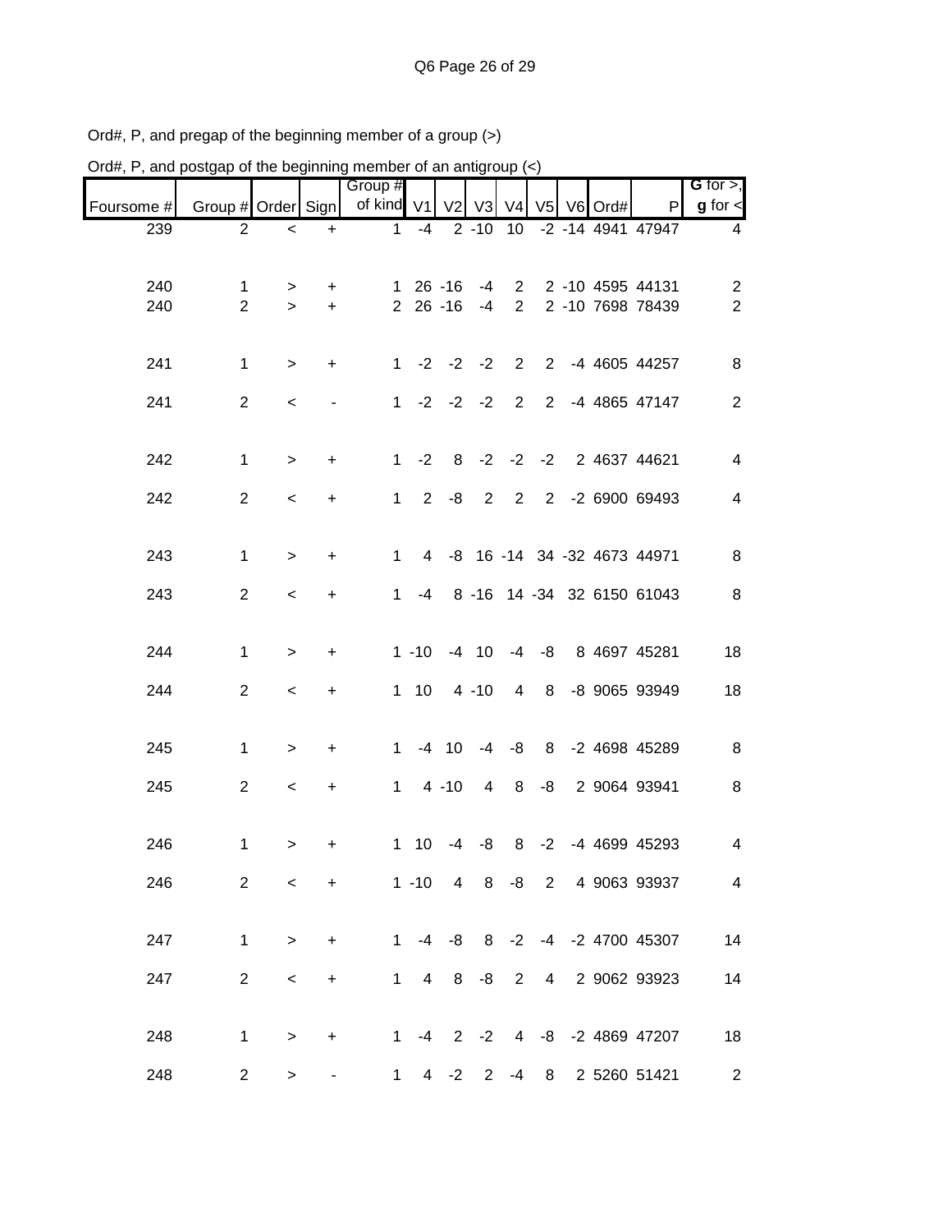|                                  |                                      |  |                 |                     |                |    |                            |                                           |                  |                     |                     | $U$ iu#, r , and postyap or the beginning member or an antigroup $(\leq)$ |
|----------------------------------|--------------------------------------|--|-----------------|---------------------|----------------|----|----------------------------|-------------------------------------------|------------------|---------------------|---------------------|---------------------------------------------------------------------------|
| G for $>$ ,<br>$g$ for $\leq$    | P                                    |  |                 |                     |                |    |                            | Group #<br>of kind V1 V2 V3 V4 V5 V6 Ord# |                  |                     | Group # Order Sign  | Foursome #                                                                |
| 4                                | 2 -10 10 -2 -14 4941 47947           |  |                 |                     |                |    | $1 - 4$                    |                                           | $+$              | $\,<\,$             | $\overline{2}$      | 239                                                                       |
| $\overline{c}$<br>$\overline{2}$ | 2 -10 4595 44131<br>2 -10 7698 78439 |  |                 | $\overline{2}$<br>2 | $-4$<br>$-4$   |    | $126 - 16$<br>$2\ 26\ -16$ |                                           | $\ddot{}$<br>$+$ | $\, > \,$<br>$\geq$ | 1<br>$\overline{2}$ | 240<br>240                                                                |
| 8                                | 2 -4 4605 44257                      |  |                 |                     |                |    | $1 -2 -2 -2 2$             |                                           | $+$              | $\, >$              | $\mathbf 1$         | 241                                                                       |
| $\overline{2}$                   | 2 -4 4865 47147                      |  |                 |                     |                |    | $1 -2 -2 -2 2$             |                                           |                  | $\,<$               | $\overline{2}$      | 241                                                                       |
| $\overline{4}$                   | 2 4637 44621                         |  |                 | $8 - 2 - 2 - 2$     |                |    | $-2$                       | $1 \quad$                                 | $\ddot{}$        | $\, >$              | 1                   | 242                                                                       |
| $\overline{4}$                   | 2 -2 6900 69493                      |  |                 | $\overline{2}$      | $\overline{2}$ | -8 | $2^{\circ}$                | $1 \quad$                                 | +                | $\,<$               | $\overline{2}$      | 242                                                                       |
| $\, 8$                           | 4 -8 16 -14 34 -32 4673 44971        |  |                 |                     |                |    |                            | 1.                                        | $\ddot{}$        | $\geq$              | $\mathbf 1$         | 243                                                                       |
| 8                                | 8 -16 14 -34 32 6150 61043           |  |                 |                     |                |    | $-4$                       | 1.                                        | +                | $\,<\,$             | $\overline{2}$      | 243                                                                       |
| 18                               | 1 -10 -4 10 -4 -8 8 4697 45281       |  |                 |                     |                |    |                            |                                           | $\ddot{}$        | $\, > \,$           | $\mathbf 1$         | 244                                                                       |
| 18                               | 1 10 4 -10 4 8 -8 9065 93949         |  |                 |                     |                |    |                            |                                           | $\ddot{}$        | $\,<\,$             | $\overline{2}$      | 244                                                                       |
| 8                                | 1 -4 10 -4 -8 8 -2 4698 45289        |  |                 |                     |                |    |                            |                                           | $\ddot{}$        | $\, >$              | $\mathbf 1$         | 245                                                                       |
| 8                                | 2 9064 93941                         |  | $-8$            | 4 8                 |                |    | $1 \quad 4 \quad -10$      |                                           | $\ddot{}$        | $\,<\,$             | $\overline{2}$      | 245                                                                       |
| 4                                | 8 -2 -4 4699 45293                   |  |                 |                     |                |    | $1 \t10 \t-4 \t-8$         |                                           | $\ddot{}$        | $\, > \,$           | $\mathbf{1}$        | 246                                                                       |
| $\overline{4}$                   | 1 -10 4 8 -8 2 4 9063 93937          |  |                 |                     |                |    |                            |                                           | $+$              | $\,<\,$             | $\overline{2}$      | 246                                                                       |
| 14                               | 1 -4 -8 8 -2 -4 -2 4700 45307        |  |                 |                     |                |    |                            |                                           | $+$              | $\geq$              | $\mathbf{1}$        | 247                                                                       |
| 14                               | 2 9062 93923                         |  | $4\overline{ }$ | $\overline{2}$      | -8             | 8  | $1 \quad 4$                |                                           | $+$              | $\,<$               | $\overline{2}$      | 247                                                                       |
| 18                               | 1 -4 2 -2 4 -8 -2 4869 47207         |  |                 |                     |                |    |                            |                                           | $+$              | $\, >$              | $\mathbf 1$         | 248                                                                       |
| $\overline{2}$                   | 1 4 -2 2 -4 8 2 5260 51421           |  |                 |                     |                |    |                            |                                           |                  | $\, >$              | $\overline{2}$      | 248                                                                       |

Ord#, P, and pregap of the beginning member of a group (>) Ord#, P, and postgap of the beginning member of an antigroup  $\left\langle \epsilon \right\rangle$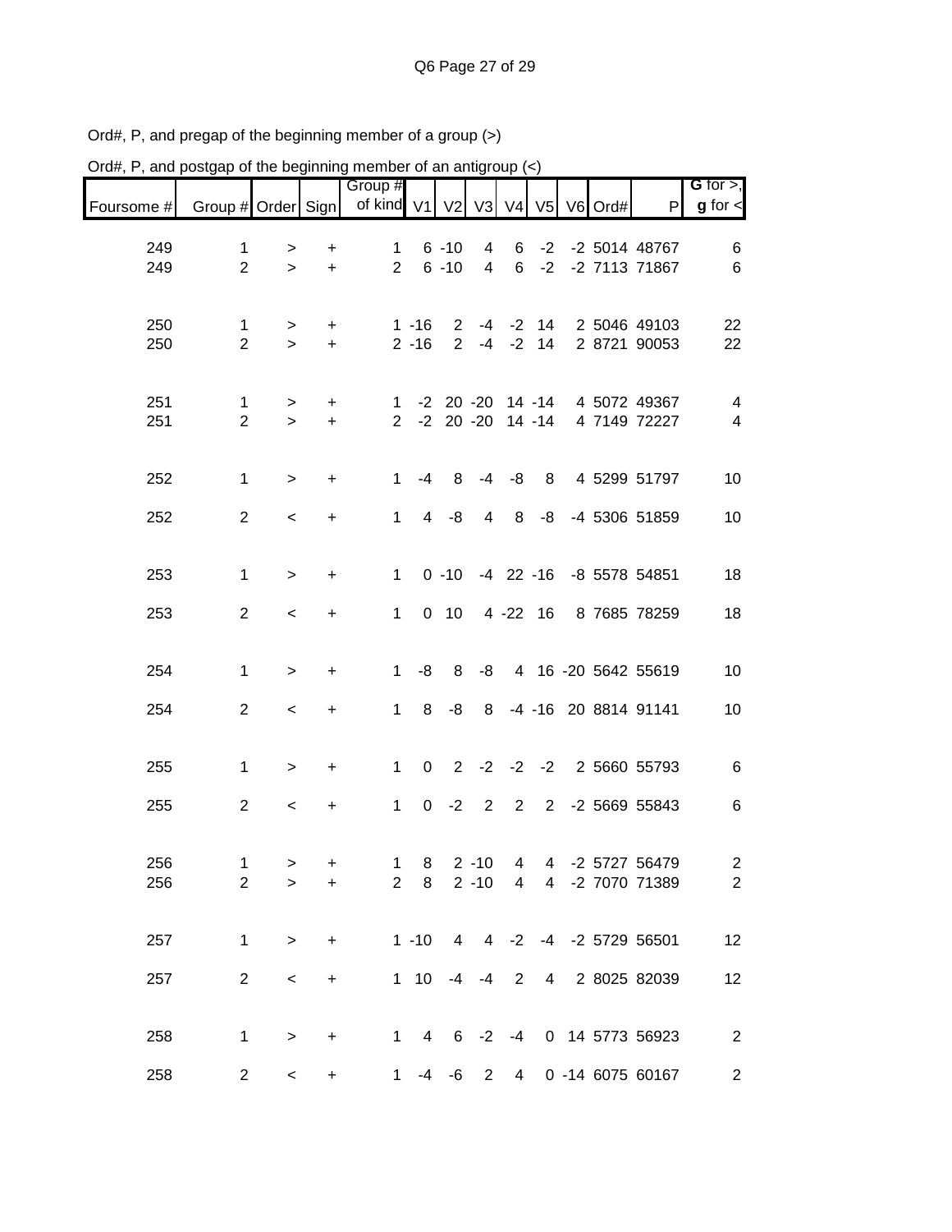| $U$ iu#, r , and postyap or the beginning member or an antigroup $(\leq)$ |                                |                         |                  |                                           |                      |                      |                                      |                      |    |  |                                      |                                                    |
|---------------------------------------------------------------------------|--------------------------------|-------------------------|------------------|-------------------------------------------|----------------------|----------------------|--------------------------------------|----------------------|----|--|--------------------------------------|----------------------------------------------------|
| Foursome #                                                                | Group # Order Sign             |                         |                  | Group #<br>of kind V1 V2 V3 V4 V5 V6 Ord# |                      |                      |                                      |                      |    |  | P                                    | $G$ for $>$ ,<br>$g$ for $\leq$                    |
| 249<br>249                                                                | 1<br>$\overline{2}$            | $\, >$<br>$\geq$        | +<br>$\ddot{}$   | $\mathbf 1$<br>$2^{\circ}$                |                      | $6 - 10$<br>$6 - 10$ | $\overline{4}$<br>$\overline{4}$     | 6<br>$6\overline{6}$ |    |  | -2 -2 5014 48767<br>-2 -2 7113 71867 | 6<br>$\,6$                                         |
| 250<br>250                                                                | $\mathbf{1}$<br>$\overline{2}$ | $\geq$<br>$\geq$        | $+$<br>$+$       |                                           | $1 - 16$<br>$2 - 16$ |                      | $2 - 4 - 2 14$<br>$2 - 4 - 2 14$     |                      |    |  | 2 5046 49103<br>2 8721 90053         | 22<br>22                                           |
| 251<br>251                                                                | $\mathbf{1}$<br>$\overline{2}$ | $\, >$<br>$\geq$        | $\ddot{}$<br>$+$ | 1<br>$\overline{2}$                       |                      |                      | -2 20 -20 14 -14<br>-2 20 -20 14 -14 |                      |    |  | 4 5072 49367<br>4 7149 72227         | $\overline{\mathbf{4}}$<br>$\overline{\mathbf{4}}$ |
| 252                                                                       | $\mathbf{1}$                   | $\geq$                  | $\ddot{}$        | $\mathbf{1}$                              | $-4$                 | 8                    |                                      | $-4 - 8$             | 8  |  | 4 5299 51797                         | 10                                                 |
| 252                                                                       | $\overline{2}$                 | $\,<$                   | +                | $\mathbf{1}$                              | $\overline{4}$       | -8                   | 4                                    | 8                    | -8 |  | -4 5306 51859                        | 10                                                 |
| 253                                                                       | $\mathbf{1}$                   | $\, >$                  | +                | 1                                         |                      | $0 - 10$             |                                      |                      |    |  | -4 22 -16 -8 5578 54851              | 18                                                 |
| 253                                                                       | $\overline{2}$                 | $\,<$                   | +                | $\mathbf 1$                               |                      | $0$ 10               |                                      |                      |    |  | 4 -22 16 8 7685 78259                | 18                                                 |
| 254                                                                       | $\mathbf{1}$                   | $\, > \,$               | +                | $\mathbf{1}$                              | -8                   | 8                    |                                      |                      |    |  | -8 4 16 -20 5642 55619               | 10                                                 |
| 254                                                                       | $\overline{2}$                 | $\,<$                   | $\ddot{}$        | $\mathbf{1}$                              |                      |                      |                                      |                      |    |  | 8 -8 8 -4 -16 20 8814 91141          | 10                                                 |
| 255                                                                       | $\mathbf 1$                    | $\, > \,$               | $\ddot{}$        | $\mathbf{1}$                              |                      |                      |                                      |                      |    |  | 0 2 -2 -2 -2 2 5660 55793            | $\,6\,$                                            |
| 255                                                                       | $\overline{2}$                 | $\,<$                   | +                | $1 \quad$                                 |                      |                      | $0 -2 2 2$                           |                      |    |  | 2 -2 5669 55843                      | 6                                                  |
| 256.<br>256                                                               | 1.<br>$\mathbf{2}$             | $\rightarrow$<br>$\geq$ | $\pm$<br>$+$     |                                           |                      |                      |                                      |                      |    |  | 1 8 2 -10 4 4 -2 5727 56479          | $\overline{2}$<br>2 8 2 -10 4 4 -2 7070 71389 2    |
| 257                                                                       | $\mathbf{1}$                   | $\geq$                  |                  | $+$ $-$                                   |                      |                      |                                      |                      |    |  | 1 -10 4 4 -2 -4 -2 5729 56501        | 12                                                 |
| 257                                                                       | $\overline{2}$                 | $\,<\,$                 | $+$              |                                           |                      |                      |                                      |                      |    |  | 1 10 -4 -4 2 4 2 8025 82039          | 12                                                 |
| 258                                                                       | $\mathbf 1$                    | $\geq$                  |                  | + 1 4 6 -2 -4 0 14 5773 56923             |                      |                      |                                      |                      |    |  |                                      | $\overline{\phantom{a}}$                           |
| 258                                                                       | $\overline{2}$                 |                         | $\leq$           | $+$ $-$                                   |                      |                      |                                      |                      |    |  | 1 -4 -6 2 4 0 -14 6075 60167         | $\overline{2}$                                     |

Ord#, P, and postgap of the beginning member of an antigroup  $\langle \langle \rangle$ 

Ord#, P, and pregap of the beginning member of a group (>)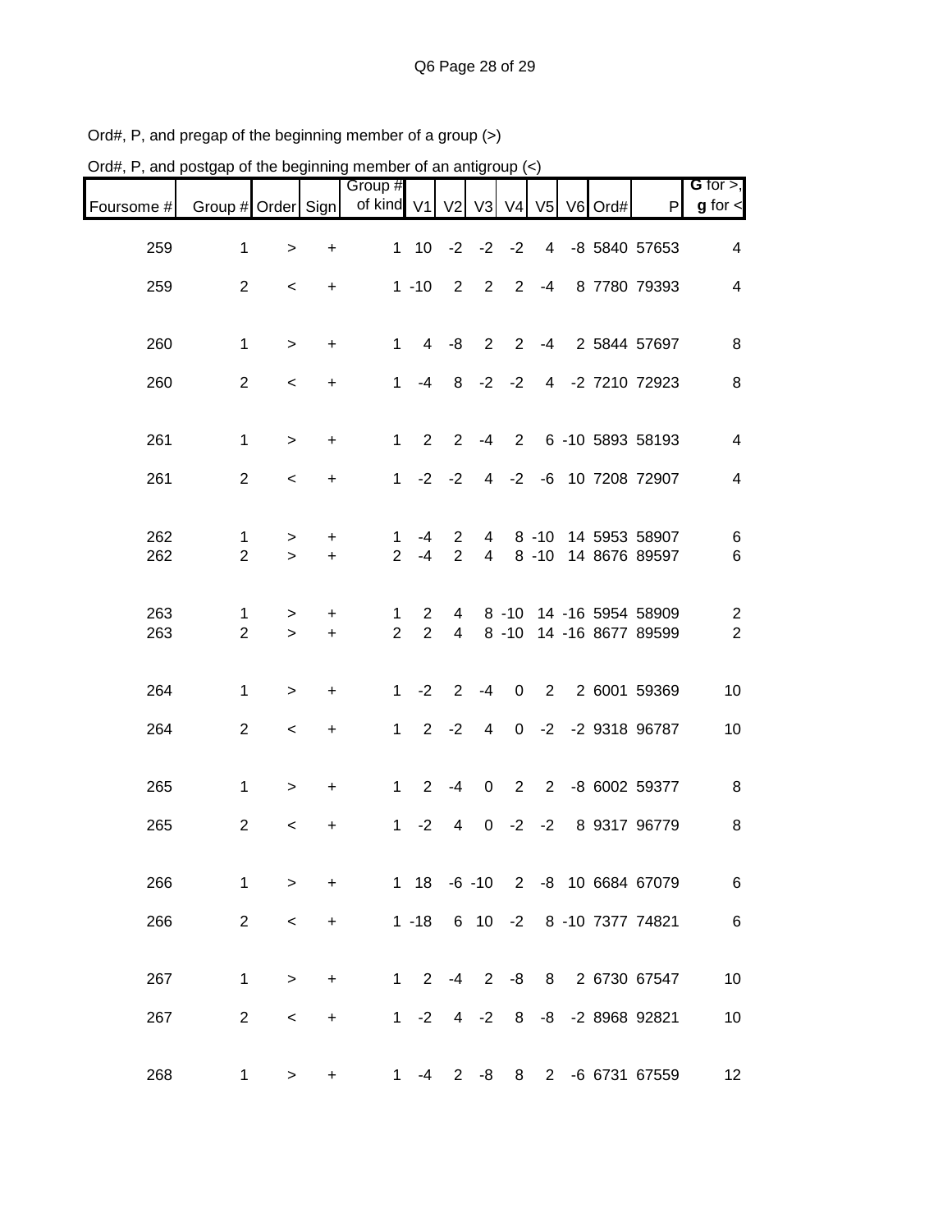| Ord#, P, and postgap of the beginning member of an antigroup (<) |                     |             |                |                       |                                  |                |                  |                |                |         |                                              |                                           |
|------------------------------------------------------------------|---------------------|-------------|----------------|-----------------------|----------------------------------|----------------|------------------|----------------|----------------|---------|----------------------------------------------|-------------------------------------------|
| Foursome #                                                       | Group # Order Sign  |             |                | Group #<br>of kind V1 |                                  | V <sub>2</sub> | V3               | V <sub>4</sub> | V <sub>5</sub> | V6 Ord# | $\mathsf{P}$                                 | G for $>$ ,<br>$g$ for $\lt$              |
| 259                                                              | 1                   | $\geq$      | +              | $\mathbf 1$           | 10                               | $-2$           | $-2$             | $-2$           | 4              |         | -8 5840 57653                                | 4                                         |
| 259                                                              | $\overline{2}$      | $\,<\,$     | $\ddot{}$      |                       | $1 - 10$                         | $\overline{2}$ | 2                | 2              | $-4$           |         | 8 7780 79393                                 | 4                                         |
| 260                                                              | 1                   | $\geq$      | $\ddot{}$      | 1                     | 4                                | -8             | $\overline{2}$   | $\overline{2}$ | $-4$           |         | 2 5844 57697                                 | 8                                         |
| 260                                                              | $\overline{2}$      | $\,<\,$     | $\ddot{}$      | 1                     | $-4$                             | 8              | $-2$             | $-2$           | 4              |         | -2 7210 72923                                | 8                                         |
| 261                                                              | $\mathbf 1$         | $\, > \,$   | $\ddot{}$      | 1                     | $\overline{2}$                   | $\overline{2}$ | $-4$             | 2              |                |         | 6 -10 5893 58193                             | $\overline{4}$                            |
| 261                                                              | $\overline{2}$      | $\,<\,$     | +              | 1                     | $-2$                             | $-2$           | 4                | $-2$           | -6             |         | 10 7208 72907                                | 4                                         |
| 262                                                              | 1                   | >           | +              | 1                     | -4                               | 2              | 4                |                | $8 - 10$       |         | 14 5953 58907                                | 6                                         |
| 262                                                              | $\overline{2}$      | $\geq$      | $\ddot{}$      | 2                     | $-4$                             | $\overline{2}$ | $\overline{4}$   |                | $8 - 10$       |         | 14 8676 89597                                | 6                                         |
| 263<br>263                                                       | 1<br>$\overline{2}$ | ><br>$\geq$ | +<br>$\ddot{}$ | 1<br>$\overline{2}$   | $\overline{2}$<br>$\overline{2}$ | 4<br>4         |                  | $8 - 10$       |                |         | 8 -10 14 -16 5954 58909<br>14 -16 8677 89599 | $\overline{\mathbf{c}}$<br>$\overline{2}$ |
|                                                                  |                     |             |                |                       |                                  |                |                  |                |                |         |                                              |                                           |
| 264                                                              | 1                   | >           | +              | 1                     | $-2$                             | $\overline{2}$ | $-4$             | $\mathbf 0$    | $\overline{2}$ |         | 2 6001 59369                                 | 10                                        |
| 264                                                              | $\overline{2}$      | $\,<\,$     | +              | 1                     | $2^{\circ}$                      | $-2$           | 4                | $\mathbf 0$    | $-2$           |         | -2 9318 96787                                | 10                                        |
| 265                                                              | 1                   | >           | +              | 1                     | $\overline{2}$                   | $-4$           | 0                | 2              | $\overline{2}$ |         | -8 6002 59377                                | 8                                         |
| 265                                                              | $\overline{2}$      | $\,<\,$     | +              | 1                     | $-2$                             | 4              | 0                | $-2$           | $-2$           |         | 8 9317 96779                                 | 8                                         |
| 266                                                              | $\mathbf{1}$        | $\, > \,$   | $\ddot{}$      |                       |                                  |                |                  |                |                |         | 1 18 -6 -10 2 -8 10 6684 67079               | $\,6\,$                                   |
| 266                                                              | $\overline{2}$      | $\,<\,$     | $+$            |                       |                                  |                |                  |                |                |         | 1 -18 6 10 -2 8 -10 7377 74821               | $\,6$                                     |
| 267                                                              | $\mathbf{1}$        | $\, > \,$   | $+$            |                       |                                  |                | $1 \t2 \t-4 \t2$ |                |                |         | -8 8 2 6730 67547                            | 10                                        |
| 267                                                              | $\overline{2}$      | $\prec$     | $+$            |                       | $1 -2$                           |                |                  |                |                |         | 4 -2 8 -8 -2 8968 92821                      | 10                                        |
| 268                                                              | $\mathbf{1}$        | >           | $\ddot{}$      |                       | 1 $-4$                           |                |                  |                |                |         | 2 -8 8 2 -6 6731 67559                       | 12                                        |

Ord#, P, and pregap of the beginning member of a group (>)